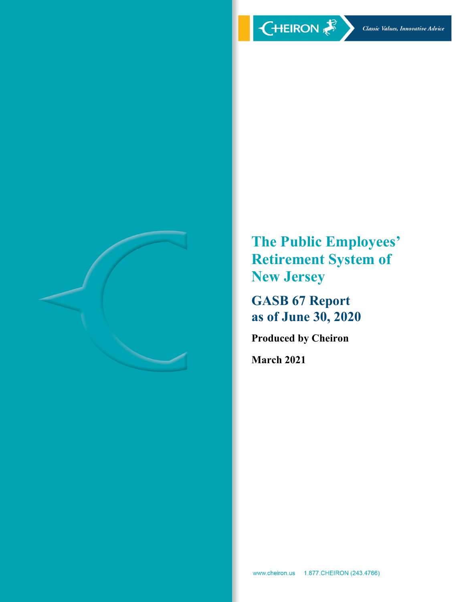

**The Public Employees' Retirement System of New Jersey** 

**GASB 67 Report as of June 30, 2020** 

**Produced by Cheiron** 

**March 2021**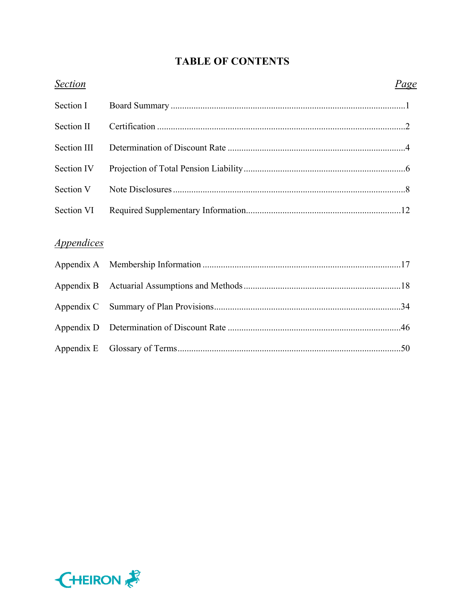# **TABLE OF CONTENTS**

| <b>Section</b>                  | <u>Page</u> |
|---------------------------------|-------------|
| Section I                       |             |
| Section II                      |             |
| Section III                     |             |
| Section IV                      |             |
| Section V                       |             |
| Section VI                      |             |
|                                 |             |
| <i><u><b>Appendices</b></u></i> |             |
| Appendix A                      |             |
| Appendix B                      |             |
| Appendix C                      |             |
| Appendix D                      |             |
| Appendix E                      |             |

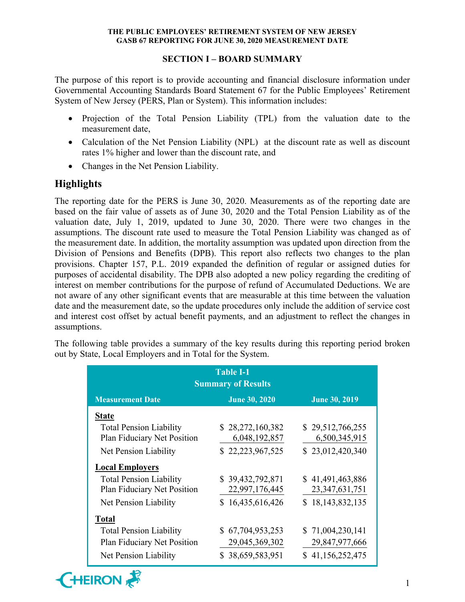# **SECTION I – BOARD SUMMARY**

The purpose of this report is to provide accounting and financial disclosure information under Governmental Accounting Standards Board Statement 67 for the Public Employees' Retirement System of New Jersey (PERS, Plan or System). This information includes:

- Projection of the Total Pension Liability (TPL) from the valuation date to the measurement date,
- Calculation of the Net Pension Liability (NPL) at the discount rate as well as discount rates 1% higher and lower than the discount rate, and
- Changes in the Net Pension Liability.

# **Highlights**

The reporting date for the PERS is June 30, 2020. Measurements as of the reporting date are based on the fair value of assets as of June 30, 2020 and the Total Pension Liability as of the valuation date, July 1, 2019, updated to June 30, 2020. There were two changes in the assumptions. The discount rate used to measure the Total Pension Liability was changed as of the measurement date. In addition, the mortality assumption was updated upon direction from the Division of Pensions and Benefits (DPB). This report also reflects two changes to the plan provisions. Chapter 157, P.L. 2019 expanded the definition of regular or assigned duties for purposes of accidental disability. The DPB also adopted a new policy regarding the crediting of interest on member contributions for the purpose of refund of Accumulated Deductions. We are not aware of any other significant events that are measurable at this time between the valuation date and the measurement date, so the update procedures only include the addition of service cost and interest cost offset by actual benefit payments, and an adjustment to reflect the changes in assumptions.

The following table provides a summary of the key results during this reporting period broken out by State, Local Employers and in Total for the System.

| <b>Table I-1</b><br><b>Summary of Results</b>                                          |                                                        |                                                        |  |  |  |  |  |  |
|----------------------------------------------------------------------------------------|--------------------------------------------------------|--------------------------------------------------------|--|--|--|--|--|--|
| <b>Measurement Date</b>                                                                | <b>June 30, 2020</b>                                   | <b>June 30, 2019</b>                                   |  |  |  |  |  |  |
| <b>State</b>                                                                           |                                                        |                                                        |  |  |  |  |  |  |
| <b>Total Pension Liability</b><br>Plan Fiduciary Net Position                          | \$28,272,160,382<br>6,048,192,857                      | \$29,512,766,255<br>6,500,345,915                      |  |  |  |  |  |  |
| Net Pension Liability                                                                  | \$22,223,967,525                                       | \$23,012,420,340                                       |  |  |  |  |  |  |
| <b>Local Employers</b>                                                                 |                                                        |                                                        |  |  |  |  |  |  |
| <b>Total Pension Liability</b><br>Plan Fiduciary Net Position                          | \$39,432,792,871<br>22,997,176,445                     | \$41,491,463,886<br>23, 347, 631, 751                  |  |  |  |  |  |  |
| Net Pension Liability                                                                  | \$16,435,616,426                                       | \$18,143,832,135                                       |  |  |  |  |  |  |
| <b>Total</b>                                                                           |                                                        |                                                        |  |  |  |  |  |  |
| <b>Total Pension Liability</b><br>Plan Fiduciary Net Position<br>Net Pension Liability | \$67,704,953,253<br>29,045,369,302<br>\$38,659,583,951 | \$71,004,230,141<br>29,847,977,666<br>\$41,156,252,475 |  |  |  |  |  |  |

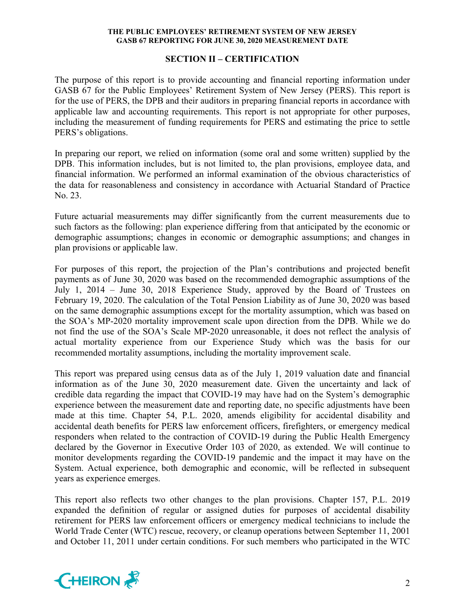# **SECTION II – CERTIFICATION**

The purpose of this report is to provide accounting and financial reporting information under GASB 67 for the Public Employees' Retirement System of New Jersey (PERS). This report is for the use of PERS, the DPB and their auditors in preparing financial reports in accordance with applicable law and accounting requirements. This report is not appropriate for other purposes, including the measurement of funding requirements for PERS and estimating the price to settle PERS's obligations.

In preparing our report, we relied on information (some oral and some written) supplied by the DPB. This information includes, but is not limited to, the plan provisions, employee data, and financial information. We performed an informal examination of the obvious characteristics of the data for reasonableness and consistency in accordance with Actuarial Standard of Practice No. 23.

Future actuarial measurements may differ significantly from the current measurements due to such factors as the following: plan experience differing from that anticipated by the economic or demographic assumptions; changes in economic or demographic assumptions; and changes in plan provisions or applicable law.

For purposes of this report, the projection of the Plan's contributions and projected benefit payments as of June 30, 2020 was based on the recommended demographic assumptions of the July 1, 2014 – June 30, 2018 Experience Study, approved by the Board of Trustees on February 19, 2020. The calculation of the Total Pension Liability as of June 30, 2020 was based on the same demographic assumptions except for the mortality assumption, which was based on the SOA's MP-2020 mortality improvement scale upon direction from the DPB. While we do not find the use of the SOA's Scale MP-2020 unreasonable, it does not reflect the analysis of actual mortality experience from our Experience Study which was the basis for our recommended mortality assumptions, including the mortality improvement scale.

This report was prepared using census data as of the July 1, 2019 valuation date and financial information as of the June 30, 2020 measurement date. Given the uncertainty and lack of credible data regarding the impact that COVID-19 may have had on the System's demographic experience between the measurement date and reporting date, no specific adjustments have been made at this time. Chapter 54, P.L. 2020, amends eligibility for accidental disability and accidental death benefits for PERS law enforcement officers, firefighters, or emergency medical responders when related to the contraction of COVID-19 during the Public Health Emergency declared by the Governor in Executive Order 103 of 2020, as extended. We will continue to monitor developments regarding the COVID-19 pandemic and the impact it may have on the System. Actual experience, both demographic and economic, will be reflected in subsequent years as experience emerges.

This report also reflects two other changes to the plan provisions. Chapter 157, P.L. 2019 expanded the definition of regular or assigned duties for purposes of accidental disability retirement for PERS law enforcement officers or emergency medical technicians to include the World Trade Center (WTC) rescue, recovery, or cleanup operations between September 11, 2001 and October 11, 2011 under certain conditions. For such members who participated in the WTC

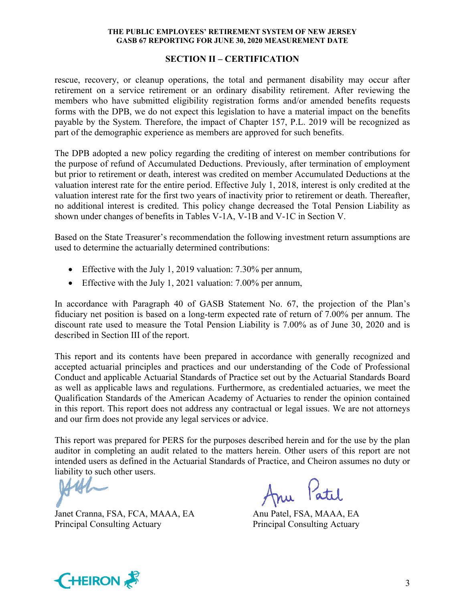# **SECTION II – CERTIFICATION**

rescue, recovery, or cleanup operations, the total and permanent disability may occur after retirement on a service retirement or an ordinary disability retirement. After reviewing the members who have submitted eligibility registration forms and/or amended benefits requests forms with the DPB, we do not expect this legislation to have a material impact on the benefits payable by the System. Therefore, the impact of Chapter 157, P.L. 2019 will be recognized as part of the demographic experience as members are approved for such benefits.

The DPB adopted a new policy regarding the crediting of interest on member contributions for the purpose of refund of Accumulated Deductions. Previously, after termination of employment but prior to retirement or death, interest was credited on member Accumulated Deductions at the valuation interest rate for the entire period. Effective July 1, 2018, interest is only credited at the valuation interest rate for the first two years of inactivity prior to retirement or death. Thereafter, no additional interest is credited. This policy change decreased the Total Pension Liability as shown under changes of benefits in Tables V-1A, V-1B and V-1C in Section V.

Based on the State Treasurer's recommendation the following investment return assumptions are used to determine the actuarially determined contributions:

- Effective with the July 1, 2019 valuation: 7.30% per annum,
- Effective with the July 1, 2021 valuation: 7.00% per annum,

In accordance with Paragraph 40 of GASB Statement No. 67, the projection of the Plan's fiduciary net position is based on a long-term expected rate of return of 7.00% per annum. The discount rate used to measure the Total Pension Liability is 7.00% as of June 30, 2020 and is described in Section III of the report.

This report and its contents have been prepared in accordance with generally recognized and accepted actuarial principles and practices and our understanding of the Code of Professional Conduct and applicable Actuarial Standards of Practice set out by the Actuarial Standards Board as well as applicable laws and regulations. Furthermore, as credentialed actuaries, we meet the Qualification Standards of the American Academy of Actuaries to render the opinion contained in this report. This report does not address any contractual or legal issues. We are not attorneys and our firm does not provide any legal services or advice.

This report was prepared for PERS for the purposes described herein and for the use by the plan auditor in completing an audit related to the matters herein. Other users of this report are not intended users as defined in the Actuarial Standards of Practice, and Cheiron assumes no duty or liability to such other users.

Janet Cranna, FSA, FCA, MAAA, EA Anu Patel, FSA, MAAA, EA Principal Consulting Actuary Principal Consulting Actuary

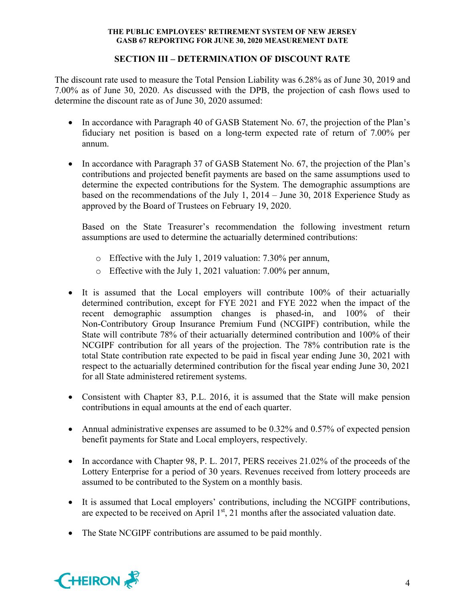# **SECTION III – DETERMINATION OF DISCOUNT RATE**

The discount rate used to measure the Total Pension Liability was 6.28% as of June 30, 2019 and 7.00% as of June 30, 2020. As discussed with the DPB, the projection of cash flows used to determine the discount rate as of June 30, 2020 assumed:

- In accordance with Paragraph 40 of GASB Statement No. 67, the projection of the Plan's fiduciary net position is based on a long-term expected rate of return of 7.00% per annum.
- In accordance with Paragraph 37 of GASB Statement No. 67, the projection of the Plan's contributions and projected benefit payments are based on the same assumptions used to determine the expected contributions for the System. The demographic assumptions are based on the recommendations of the July 1, 2014 – June 30, 2018 Experience Study as approved by the Board of Trustees on February 19, 2020.

Based on the State Treasurer's recommendation the following investment return assumptions are used to determine the actuarially determined contributions:

- o Effective with the July 1, 2019 valuation: 7.30% per annum,
- o Effective with the July 1, 2021 valuation: 7.00% per annum,
- It is assumed that the Local employers will contribute 100% of their actuarially determined contribution, except for FYE 2021 and FYE 2022 when the impact of the recent demographic assumption changes is phased-in, and 100% of their Non-Contributory Group Insurance Premium Fund (NCGIPF) contribution, while the State will contribute 78% of their actuarially determined contribution and 100% of their NCGIPF contribution for all years of the projection. The 78% contribution rate is the total State contribution rate expected to be paid in fiscal year ending June 30, 2021 with respect to the actuarially determined contribution for the fiscal year ending June 30, 2021 for all State administered retirement systems.
- Consistent with Chapter 83, P.L. 2016, it is assumed that the State will make pension contributions in equal amounts at the end of each quarter.
- Annual administrative expenses are assumed to be 0.32% and 0.57% of expected pension benefit payments for State and Local employers, respectively.
- In accordance with Chapter 98, P. L. 2017, PERS receives 21.02% of the proceeds of the Lottery Enterprise for a period of 30 years. Revenues received from lottery proceeds are assumed to be contributed to the System on a monthly basis.
- It is assumed that Local employers' contributions, including the NCGIPF contributions, are expected to be received on April  $1<sup>st</sup>$ , 21 months after the associated valuation date.
- The State NCGIPF contributions are assumed to be paid monthly.

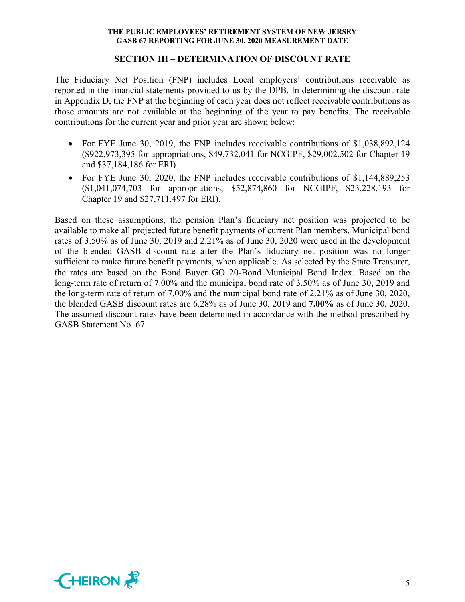## **SECTION III – DETERMINATION OF DISCOUNT RATE**

The Fiduciary Net Position (FNP) includes Local employers' contributions receivable as reported in the financial statements provided to us by the DPB. In determining the discount rate in Appendix D, the FNP at the beginning of each year does not reflect receivable contributions as those amounts are not available at the beginning of the year to pay benefits. The receivable contributions for the current year and prior year are shown below:

- For FYE June 30, 2019, the FNP includes receivable contributions of \$1,038,892,124 (\$922,973,395 for appropriations, \$49,732,041 for NCGIPF, \$29,002,502 for Chapter 19 and \$37,184,186 for ERI).
- For FYE June 30, 2020, the FNP includes receivable contributions of \$1,144,889,253 (\$1,041,074,703 for appropriations, \$52,874,860 for NCGIPF, \$23,228,193 for Chapter 19 and \$27,711,497 for ERI).

Based on these assumptions, the pension Plan's fiduciary net position was projected to be available to make all projected future benefit payments of current Plan members. Municipal bond rates of 3.50% as of June 30, 2019 and 2.21% as of June 30, 2020 were used in the development of the blended GASB discount rate after the Plan's fiduciary net position was no longer sufficient to make future benefit payments, when applicable. As selected by the State Treasurer, the rates are based on the Bond Buyer GO 20-Bond Municipal Bond Index. Based on the long-term rate of return of 7.00% and the municipal bond rate of 3.50% as of June 30, 2019 and the long-term rate of return of 7.00% and the municipal bond rate of 2.21% as of June 30, 2020, the blended GASB discount rates are 6.28% as of June 30, 2019 and **7.00%** as of June 30, 2020. The assumed discount rates have been determined in accordance with the method prescribed by GASB Statement No. 67.

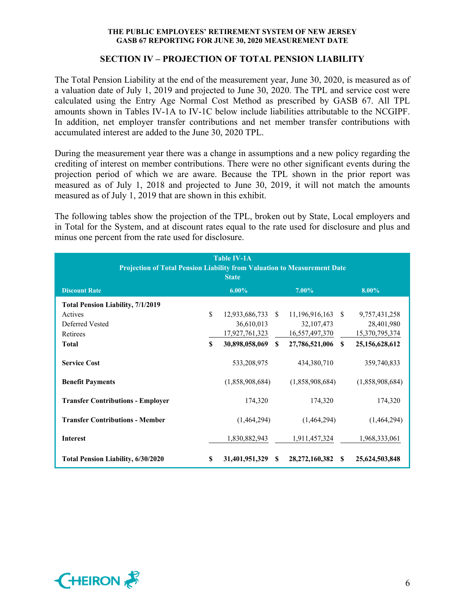# **SECTION IV – PROJECTION OF TOTAL PENSION LIABILITY**

The Total Pension Liability at the end of the measurement year, June 30, 2020, is measured as of a valuation date of July 1, 2019 and projected to June 30, 2020. The TPL and service cost were calculated using the Entry Age Normal Cost Method as prescribed by GASB 67. All TPL amounts shown in Tables IV-1A to IV-1C below include liabilities attributable to the NCGIPF. In addition, net employer transfer contributions and net member transfer contributions with accumulated interest are added to the June 30, 2020 TPL.

During the measurement year there was a change in assumptions and a new policy regarding the crediting of interest on member contributions. There were no other significant events during the projection period of which we are aware. Because the TPL shown in the prior report was measured as of July 1, 2018 and projected to June 30, 2019, it will not match the amounts measured as of July 1, 2019 that are shown in this exhibit.

The following tables show the projection of the TPL, broken out by State, Local employers and in Total for the System, and at discount rates equal to the rate used for disclosure and plus and minus one percent from the rate used for disclosure.

| <b>Table IV-1A</b><br><b>Projection of Total Pension Liability from Valuation to Measurement Date</b><br><b>State</b> |     |                                                   |          |                                                     |              |                                               |  |
|-----------------------------------------------------------------------------------------------------------------------|-----|---------------------------------------------------|----------|-----------------------------------------------------|--------------|-----------------------------------------------|--|
| <b>Discount Rate</b>                                                                                                  |     | $6.00\%$                                          |          | $7.00\%$                                            |              | 8.00%                                         |  |
| <b>Total Pension Liability, 7/1/2019</b>                                                                              |     |                                                   |          |                                                     |              |                                               |  |
| Actives<br>Deferred Vested<br>Retirees                                                                                | \$  | 12,933,686,733 \$<br>36,610,013<br>17,927,761,323 |          | $11,196,916,163$ \$<br>32,107,473<br>16,557,497,370 |              | 9,757,431,258<br>28,401,980<br>15,370,795,374 |  |
| <b>Total</b>                                                                                                          | \$  | 30,898,058,069 \$                                 |          | 27,786,521,006                                      | $\mathbf{s}$ | 25, 156, 628, 612                             |  |
| <b>Service Cost</b><br><b>Benefit Payments</b>                                                                        |     | 533,208,975<br>(1,858,908,684)                    |          | 434,380,710<br>(1,858,908,684)                      |              | 359,740,833<br>(1,858,908,684)                |  |
| <b>Transfer Contributions - Employer</b>                                                                              |     | 174,320                                           |          | 174,320                                             |              | 174,320                                       |  |
| <b>Transfer Contributions - Member</b>                                                                                |     | (1,464,294)                                       |          | (1,464,294)                                         |              | (1,464,294)                                   |  |
| <b>Interest</b>                                                                                                       |     | 1,830,882,943                                     |          | 1,911,457,324                                       |              | 1,968,333,061                                 |  |
| <b>Total Pension Liability, 6/30/2020</b>                                                                             | \$. | 31,401,951,329                                    | <b>S</b> | 28, 272, 160, 382                                   | S            | 25,624,503,848                                |  |

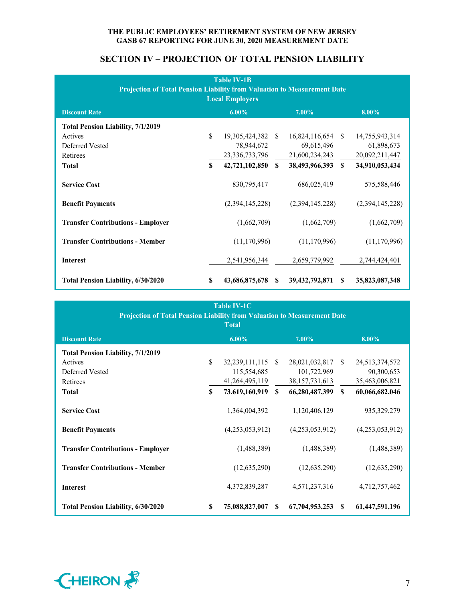| <b>Table IV-1B</b><br><b>Projection of Total Pension Liability from Valuation to Measurement Date</b><br><b>Local Employers</b> |    |                   |               |                 |               |                 |  |  |
|---------------------------------------------------------------------------------------------------------------------------------|----|-------------------|---------------|-----------------|---------------|-----------------|--|--|
| <b>Discount Rate</b>                                                                                                            |    | $6.00\%$          |               | $7.00\%$        |               | $8.00\%$        |  |  |
| <b>Total Pension Liability, 7/1/2019</b>                                                                                        |    |                   |               |                 |               |                 |  |  |
| Actives                                                                                                                         | \$ | 19,305,424,382 \$ |               | 16,824,116,654  | -S            | 14,755,943,314  |  |  |
| Deferred Vested                                                                                                                 |    | 78,944,672        |               | 69,615,496      |               | 61,898,673      |  |  |
| Retirees                                                                                                                        |    | 23,336,733,796    |               | 21,600,234,243  |               | 20,092,211,447  |  |  |
| <b>Total</b>                                                                                                                    | \$ | 42,721,102,850    | $\mathbf{s}$  | 38,493,966,393  | $\mathbf{s}$  | 34,910,053,434  |  |  |
| <b>Service Cost</b>                                                                                                             |    | 830,795,417       |               | 686,025,419     |               | 575,588,446     |  |  |
| <b>Benefit Payments</b>                                                                                                         |    | (2,394,145,228)   |               | (2,394,145,228) |               | (2,394,145,228) |  |  |
| <b>Transfer Contributions - Employer</b>                                                                                        |    | (1,662,709)       |               | (1,662,709)     |               | (1,662,709)     |  |  |
| <b>Transfer Contributions - Member</b>                                                                                          |    | (11, 170, 996)    |               | (11, 170, 996)  |               | (11, 170, 996)  |  |  |
| <b>Interest</b>                                                                                                                 |    | 2,541,956,344     |               | 2,659,779,992   |               | 2,744,424,401   |  |  |
| <b>Total Pension Liability, 6/30/2020</b>                                                                                       | S  | 43,686,875,678    | <sup>\$</sup> | 39,432,792,871  | <sup>\$</sup> | 35,823,087,348  |  |  |

# **SECTION IV – PROJECTION OF TOTAL PENSION LIABILITY**

| <b>Table IV-1C</b><br><b>Projection of Total Pension Liability from Valuation to Measurement Date</b><br><b>Total</b> |     |                   |              |                   |    |                 |  |
|-----------------------------------------------------------------------------------------------------------------------|-----|-------------------|--------------|-------------------|----|-----------------|--|
| <b>Discount Rate</b>                                                                                                  |     | $6.00\%$          |              | $7.00\%$          |    | $8.00\%$        |  |
| <b>Total Pension Liability, 7/1/2019</b>                                                                              |     |                   |              |                   |    |                 |  |
| Actives                                                                                                               | \$  | 32,239,111,115 \$ |              | 28,021,032,817 \$ |    | 24,513,374,572  |  |
| Deferred Vested                                                                                                       |     | 115,554,685       |              | 101,722,969       |    | 90,300,653      |  |
| Retirees                                                                                                              |     | 41, 264, 495, 119 |              | 38, 157, 731, 613 |    | 35,463,006,821  |  |
| <b>Total</b>                                                                                                          | \$. | 73,619,160,919    | $\mathbf{s}$ | 66,280,487,399    | \$ | 60,066,682,046  |  |
| <b>Service Cost</b>                                                                                                   |     | 1,364,004,392     |              | 1,120,406,129     |    | 935, 329, 279   |  |
| <b>Benefit Payments</b>                                                                                               |     | (4,253,053,912)   |              | (4,253,053,912)   |    | (4,253,053,912) |  |
| <b>Transfer Contributions - Employer</b>                                                                              |     | (1,488,389)       |              | (1,488,389)       |    | (1,488,389)     |  |
| <b>Transfer Contributions - Member</b>                                                                                |     | (12,635,290)      |              | (12, 635, 290)    |    | (12, 635, 290)  |  |
| <b>Interest</b>                                                                                                       |     | 4,372,839,287     |              | 4,571,237,316     |    | 4,712,757,462   |  |
| <b>Total Pension Liability, 6/30/2020</b>                                                                             | \$  | 75,088,827,007    | -S           | 67,704,953,253    | -8 | 61,447,591,196  |  |

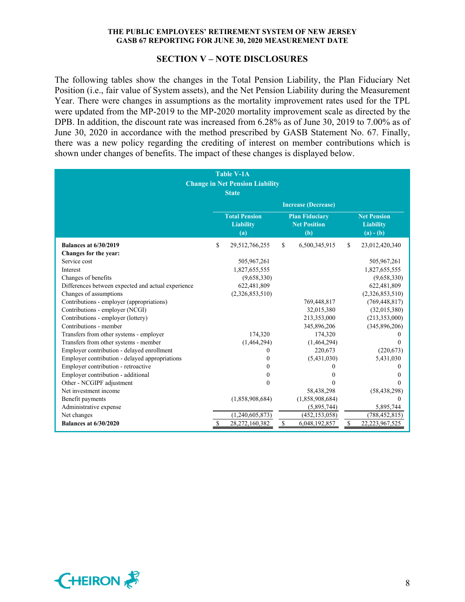#### **SECTION V – NOTE DISCLOSURES**

The following tables show the changes in the Total Pension Liability, the Plan Fiduciary Net Position (i.e., fair value of System assets), and the Net Pension Liability during the Measurement Year. There were changes in assumptions as the mortality improvement rates used for the TPL were updated from the MP-2019 to the MP-2020 mortality improvement scale as directed by the DPB. In addition, the discount rate was increased from 6.28% as of June 30, 2019 to 7.00% as of June 30, 2020 in accordance with the method prescribed by GASB Statement No. 67. Finally, there was a new policy regarding the crediting of interest on member contributions which is shown under changes of benefits. The impact of these changes is displayed below.

|                                                    | <b>Table V-1A</b><br><b>Change in Net Pension Liability</b><br><b>State</b> |                                                     |              |                                                       |
|----------------------------------------------------|-----------------------------------------------------------------------------|-----------------------------------------------------|--------------|-------------------------------------------------------|
|                                                    |                                                                             | <b>Increase (Decrease)</b>                          |              |                                                       |
|                                                    | <b>Total Pension</b><br><b>Liability</b><br>(a)                             | <b>Plan Fiduciary</b><br><b>Net Position</b><br>(b) |              | <b>Net Pension</b><br><b>Liability</b><br>$(a) - (b)$ |
| <b>Balances at 6/30/2019</b>                       | \$<br>29,512,766,255                                                        | \$<br>6,500,345,915                                 | $\mathbb{S}$ | 23,012,420,340                                        |
| Changes for the year:                              |                                                                             |                                                     |              |                                                       |
| Service cost                                       | 505,967,261                                                                 |                                                     |              | 505,967,261                                           |
| Interest                                           | 1,827,655,555                                                               |                                                     |              | 1,827,655,555                                         |
| Changes of benefits                                | (9,658,330)                                                                 |                                                     |              | (9,658,330)                                           |
| Differences between expected and actual experience | 622,481,809                                                                 |                                                     |              | 622,481,809                                           |
| Changes of assumptions                             | (2,326,853,510)                                                             |                                                     |              | (2,326,853,510)                                       |
| Contributions - employer (appropriations)          |                                                                             | 769,448,817                                         |              | (769, 448, 817)                                       |
| Contributions - employer (NCGI)                    |                                                                             | 32,015,380                                          |              | (32,015,380)                                          |
| Contributions - employer (lottery)                 |                                                                             | 213,353,000                                         |              | (213, 353, 000)                                       |
| Contributions - member                             |                                                                             | 345,896,206                                         |              | (345,896,206)                                         |
| Transfers from other systems - employer            | 174,320                                                                     | 174,320                                             |              | $^{(1)}$                                              |
| Transfers from other systems - member              | (1,464,294)                                                                 | (1,464,294)                                         |              | $\theta$                                              |
| Employer contribution - delayed enrollment         | $\mathbf{0}$                                                                | 220,673                                             |              | (220, 673)                                            |
| Employer contribution - delayed appropriations     | 0                                                                           | (5,431,030)                                         |              | 5,431,030                                             |
| Employer contribution - retroactive                | 0                                                                           |                                                     |              | $\Omega$                                              |
| Employer contribution - additional                 | $\Omega$                                                                    |                                                     |              | $\theta$                                              |
| Other - NCGIPF adjustment                          | $\Omega$                                                                    |                                                     |              | 0                                                     |
| Net investment income                              |                                                                             | 58,438,298                                          |              | (58, 438, 298)                                        |
| Benefit payments                                   | (1,858,908,684)                                                             | (1,858,908,684)                                     |              | $\theta$                                              |
| Administrative expense                             |                                                                             | (5,895,744)                                         |              | 5,895,744                                             |
| Net changes                                        | (1,240,605,873)                                                             | (452, 153, 058)                                     |              | (788, 452, 815)                                       |
| <b>Balances at 6/30/2020</b>                       | \$<br>28,272,160,382                                                        | \$<br>6,048,192,857                                 | \$           | 22,223,967,525                                        |

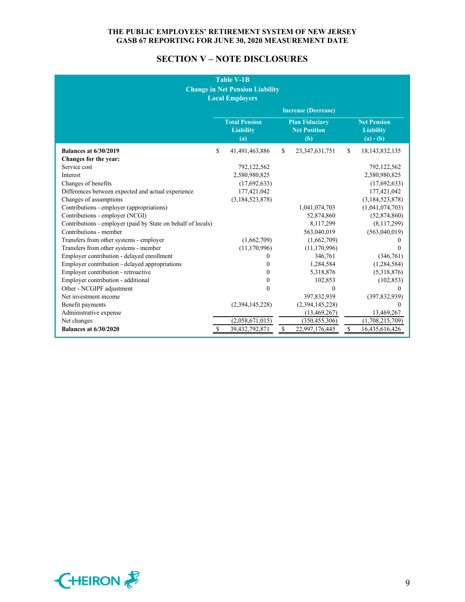# **SECTION V – NOTE DISCLOSURES**

| <b>Table V-1B</b><br><b>Change in Net Pension Liability</b><br><b>Local Employers</b> |    |                                                 |    |                                                     |     |                                                       |
|---------------------------------------------------------------------------------------|----|-------------------------------------------------|----|-----------------------------------------------------|-----|-------------------------------------------------------|
|                                                                                       |    |                                                 |    | <b>Increase (Decrease)</b>                          |     |                                                       |
|                                                                                       |    | <b>Total Pension</b><br><b>Liability</b><br>(a) |    | <b>Plan Fiduciary</b><br><b>Net Position</b><br>(b) |     | <b>Net Pension</b><br><b>Liability</b><br>$(a) - (b)$ |
| <b>Balances at 6/30/2019</b>                                                          | \$ | 41,491,463,886                                  | \$ | 23, 347, 631, 751                                   | \$. | 18, 143, 832, 135                                     |
| Changes for the year:                                                                 |    |                                                 |    |                                                     |     |                                                       |
| Service cost                                                                          |    | 792,122,562                                     |    |                                                     |     | 792,122,562                                           |
| Interest                                                                              |    | 2,580,980,825                                   |    |                                                     |     | 2,580,980,825                                         |
| Changes of benefits                                                                   |    | (17,692,633)                                    |    |                                                     |     | (17,692,633)                                          |
| Differences between expected and actual experience                                    |    | 177,421,042                                     |    |                                                     |     | 177,421,042                                           |
| Changes of assumptions                                                                |    | (3, 184, 523, 878)                              |    |                                                     |     | (3,184,523,878)                                       |
| Contributions - employer (appropriations)                                             |    |                                                 |    | 1,041,074,703                                       |     | (1,041,074,703)                                       |
| Contributions - employer (NCGI)                                                       |    |                                                 |    | 52,874,860                                          |     | (52,874,860)                                          |
| Contributions - employer (paid by State on behalf of locals)                          |    |                                                 |    | 8,117,299                                           |     | (8,117,299)                                           |
| Contributions - member                                                                |    |                                                 |    | 563,040,019                                         |     | (563,040,019)                                         |
| Transfers from other systems - employer                                               |    | (1,662,709)                                     |    | (1,662,709)                                         |     | $\theta$                                              |
| Transfers from other systems - member                                                 |    | (11, 170, 996)                                  |    | (11, 170, 996)                                      |     | $\theta$                                              |
| Employer contribution - delayed enrollment                                            |    | $\Omega$                                        |    | 346,761                                             |     | (346,761)                                             |
| Employer contribution - delayed appropriations                                        |    | $\theta$                                        |    | 1,284,584                                           |     | (1,284,584)                                           |
| Employer contribution - retroactive                                                   |    | $\Omega$                                        |    | 5,318,876                                           |     | (5,318,876)                                           |
| Employer contribution - additional                                                    |    | $\theta$                                        |    | 102,853                                             |     | (102, 853)                                            |
| Other - NCGIPF adjustment                                                             |    | $\theta$                                        |    | $\Omega$                                            |     | 0                                                     |
| Net investment income                                                                 |    |                                                 |    | 397,832,939                                         |     | (397, 832, 939)                                       |
| Benefit payments                                                                      |    | (2,394,145,228)                                 |    | (2,394,145,228)                                     |     | $\Omega$                                              |
| Administrative expense                                                                |    |                                                 |    | (13, 469, 267)                                      |     | 13,469,267                                            |
| Net changes                                                                           |    | (2,058,671,015)                                 |    | (350, 455, 306)                                     |     | (1,708,215,709)                                       |
| <b>Balances at 6/30/2020</b>                                                          | S  | 39,432,792,871                                  | \$ | 22,997,176,445                                      | \$  | 16,435,616,426                                        |

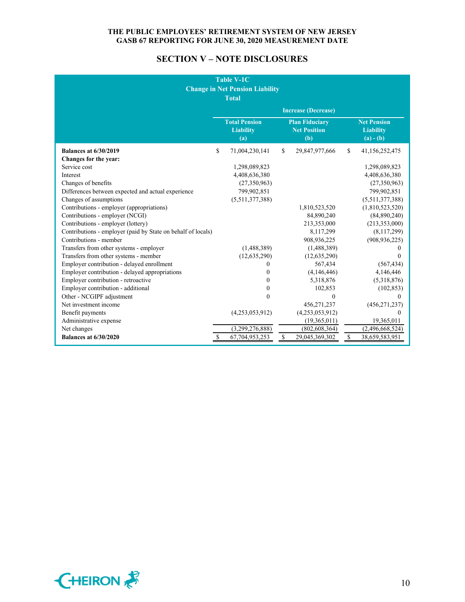# **SECTION V – NOTE DISCLOSURES**

|                                                              |    | <b>Table V-1C</b><br><b>Change in Net Pension Liability</b><br><b>Total</b> |              |                                                     |               |                                                       |
|--------------------------------------------------------------|----|-----------------------------------------------------------------------------|--------------|-----------------------------------------------------|---------------|-------------------------------------------------------|
|                                                              |    |                                                                             |              | <b>Increase (Decrease)</b>                          |               |                                                       |
|                                                              |    | <b>Total Pension</b><br><b>Liability</b><br>(a)                             |              | <b>Plan Fiduciary</b><br><b>Net Position</b><br>(b) |               | <b>Net Pension</b><br><b>Liability</b><br>$(a) - (b)$ |
| <b>Balances at 6/30/2019</b>                                 | \$ | 71,004,230,141                                                              | \$           | 29,847,977,666                                      | $\mathcal{S}$ | 41,156,252,475                                        |
| Changes for the year:                                        |    |                                                                             |              |                                                     |               |                                                       |
| Service cost                                                 |    | 1,298,089,823                                                               |              |                                                     |               | 1,298,089,823                                         |
| Interest                                                     |    | 4,408,636,380                                                               |              |                                                     |               | 4,408,636,380                                         |
| Changes of benefits                                          |    | (27,350,963)                                                                |              |                                                     |               | (27,350,963)                                          |
| Differences between expected and actual experience           |    | 799,902,851                                                                 |              |                                                     |               | 799,902,851                                           |
| Changes of assumptions                                       |    | (5,511,377,388)                                                             |              |                                                     |               | (5,511,377,388)                                       |
| Contributions - employer (appropriations)                    |    |                                                                             |              | 1,810,523,520                                       |               | (1,810,523,520)                                       |
| Contributions - employer (NCGI)                              |    |                                                                             |              | 84,890,240                                          |               | (84,890,240)                                          |
| Contributions - employer (lottery)                           |    |                                                                             |              | 213,353,000                                         |               | (213, 353, 000)                                       |
| Contributions - employer (paid by State on behalf of locals) |    |                                                                             |              | 8,117,299                                           |               | (8,117,299)                                           |
| Contributions - member                                       |    |                                                                             |              | 908,936,225                                         |               | (908, 936, 225)                                       |
| Transfers from other systems - employer                      |    | (1,488,389)                                                                 |              | (1,488,389)                                         |               | 0                                                     |
| Transfers from other systems - member                        |    | (12, 635, 290)                                                              |              | (12, 635, 290)                                      |               | 0                                                     |
| Employer contribution - delayed enrollment                   |    | $\theta$                                                                    |              | 567,434                                             |               | (567, 434)                                            |
| Employer contribution - delayed appropriations               |    | $\theta$                                                                    |              | (4,146,446)                                         |               | 4,146,446                                             |
| Employer contribution - retroactive                          |    | $\Omega$                                                                    |              | 5,318,876                                           |               | (5,318,876)                                           |
| Employer contribution - additional                           |    | $\Omega$                                                                    |              | 102,853                                             |               | (102, 853)                                            |
| Other - NCGIPF adjustment                                    |    | $\mathbf{0}$                                                                |              | $\theta$                                            |               | $\theta$                                              |
| Net investment income                                        |    |                                                                             |              | 456,271,237                                         |               | (456, 271, 237)                                       |
| Benefit payments                                             |    | (4,253,053,912)                                                             |              | (4,253,053,912)                                     |               | 0                                                     |
| Administrative expense                                       |    |                                                                             |              | (19,365,011)                                        |               | 19,365,011                                            |
| Net changes                                                  |    | (3,299,276,888)                                                             |              | (802, 608, 364)                                     |               | (2,496,668,524)                                       |
| <b>Balances at 6/30/2020</b>                                 | S  | 67,704,953,253                                                              | $\mathbb{S}$ | 29,045,369,302                                      | $\mathbb S$   | 38,659,583,951                                        |

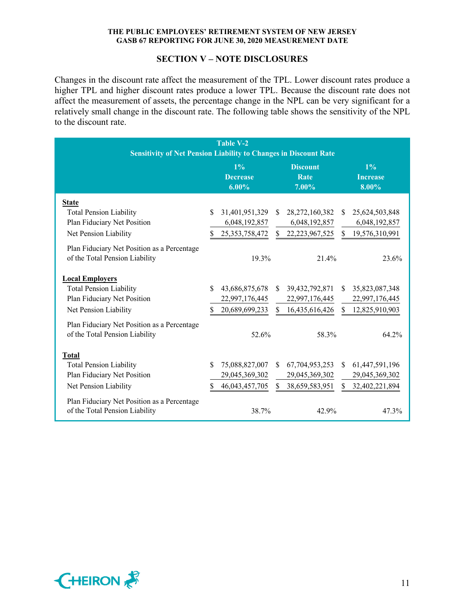# **SECTION V – NOTE DISCLOSURES**

Changes in the discount rate affect the measurement of the TPL. Lower discount rates produce a higher TPL and higher discount rates produce a lower TPL. Because the discount rate does not affect the measurement of assets, the percentage change in the NPL can be very significant for a relatively small change in the discount rate. The following table shows the sensitivity of the NPL to the discount rate.

| <b>Table V-2</b>                                                              |               |                                      |     |                                  |              |                                   |
|-------------------------------------------------------------------------------|---------------|--------------------------------------|-----|----------------------------------|--------------|-----------------------------------|
| <b>Sensitivity of Net Pension Liability to Changes in Discount Rate</b>       |               |                                      |     |                                  |              |                                   |
|                                                                               |               | $1\%$<br><b>Decrease</b><br>$6.00\%$ |     | <b>Discount</b><br>Rate<br>7.00% |              | $1\%$<br><b>Increase</b><br>8.00% |
| <b>State</b>                                                                  |               |                                      |     |                                  |              |                                   |
| <b>Total Pension Liability</b>                                                | \$.           | 31,401,951,329                       | S.  | 28, 272, 160, 382                | \$.          | 25,624,503,848                    |
| Plan Fiduciary Net Position                                                   |               | 6,048,192,857                        |     | 6,048,192,857                    |              | 6,048,192,857                     |
| Net Pension Liability                                                         | S.            | 25, 353, 758, 472                    |     | \$22,223,967,525                 | <sup>S</sup> | 19,576,310,991                    |
| Plan Fiduciary Net Position as a Percentage<br>of the Total Pension Liability |               | 19.3%                                |     | 21.4%                            |              | 23.6%                             |
| <b>Local Employers</b>                                                        |               |                                      |     |                                  |              |                                   |
| <b>Total Pension Liability</b>                                                | $\mathcal{S}$ | 43,686,875,678                       |     | \$ 39,432,792,871                | \$           | 35,823,087,348                    |
| Plan Fiduciary Net Position                                                   |               | 22,997,176,445                       |     | 22,997,176,445                   |              | 22,997,176,445                    |
| Net Pension Liability                                                         | S             | 20,689,699,233                       | \$  | 16,435,616,426                   | \$           | 12,825,910,903                    |
| Plan Fiduciary Net Position as a Percentage<br>of the Total Pension Liability |               | 52.6%                                |     | 58.3%                            |              | 64.2%                             |
| <b>Total</b>                                                                  |               |                                      |     |                                  |              |                                   |
| <b>Total Pension Liability</b>                                                | \$.           | 75,088,827,007                       | S.  | 67,704,953,253                   | \$.          | 61,447,591,196                    |
| Plan Fiduciary Net Position                                                   |               | 29,045,369,302                       |     | 29,045,369,302                   |              | 29,045,369,302                    |
| Net Pension Liability                                                         | \$            | 46,043,457,705                       | \$. | 38,659,583,951                   | \$.          | 32,402,221,894                    |
| Plan Fiduciary Net Position as a Percentage<br>of the Total Pension Liability |               | 38.7%                                |     | 42.9%                            |              | 47.3%                             |

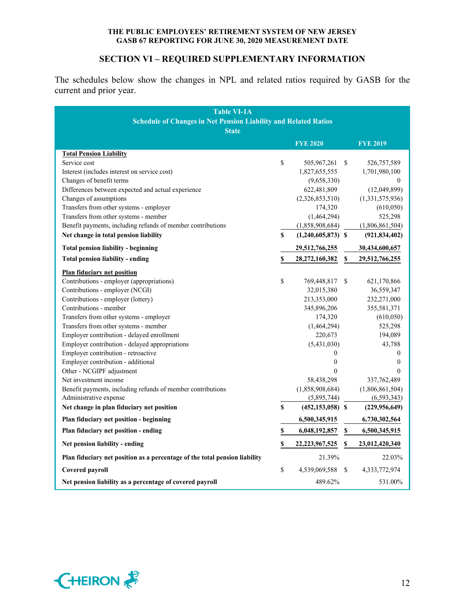# **SECTION VI – REQUIRED SUPPLEMENTARY INFORMATION**

The schedules below show the changes in NPL and related ratios required by GASB for the current and prior year.

| <b>Table VI-1A</b><br><b>Schedule of Changes in Net Pension Liability and Related Ratios</b> |    |                      |               |                 |
|----------------------------------------------------------------------------------------------|----|----------------------|---------------|-----------------|
| <b>State</b>                                                                                 |    |                      |               |                 |
|                                                                                              |    | <b>FYE 2020</b>      |               | <b>FYE 2019</b> |
| <b>Total Pension Liability</b>                                                               |    |                      |               |                 |
| Service cost                                                                                 | \$ | 505,967,261          | <sup>\$</sup> | 526,757,589     |
| Interest (includes interest on service cost)                                                 |    | 1,827,655,555        |               | 1,701,980,100   |
| Changes of benefit terms                                                                     |    | (9,658,330)          |               | $\theta$        |
| Differences between expected and actual experience                                           |    | 622,481,809          |               | (12,049,899)    |
| Changes of assumptions                                                                       |    | (2,326,853,510)      |               | (1,331,575,936) |
| Transfers from other systems - employer                                                      |    | 174,320              |               | (610,050)       |
| Transfers from other systems - member                                                        |    | (1,464,294)          |               | 525,298         |
| Benefit payments, including refunds of member contributions                                  |    | (1,858,908,684)      |               | (1,806,861,504) |
| Net change in total pension liability                                                        | \$ | $(1,240,605,873)$ \$ |               | (921, 834, 402) |
| <b>Total pension liability - beginning</b>                                                   |    | 29,512,766,255       |               | 30,434,600,657  |
| <b>Total pension liability - ending</b>                                                      | \$ | 28,272,160,382       | \$            | 29,512,766,255  |
| <b>Plan fiduciary net position</b>                                                           |    |                      |               |                 |
| Contributions - employer (appropriations)                                                    | \$ | 769,448,817          | <sup>\$</sup> | 621,170,866     |
| Contributions - employer (NCGI)                                                              |    | 32,015,380           |               | 36,559,347      |
| Contributions - employer (lottery)                                                           |    | 213,353,000          |               | 232,271,000     |
| Contributions - member                                                                       |    | 345,896,206          |               | 355,581,371     |
| Transfers from other systems - employer                                                      |    | 174,320              |               | (610,050)       |
| Transfers from other systems - member                                                        |    | (1,464,294)          |               | 525,298         |
| Employer contribution - delayed enrollment                                                   |    | 220,673              |               | 194,089         |
| Employer contribution - delayed appropriations                                               |    | (5,431,030)          |               | 43,788          |
| Employer contribution - retroactive                                                          |    | $\boldsymbol{0}$     |               | $\mathbf{0}$    |
| Employer contribution - additional                                                           |    | $\boldsymbol{0}$     |               | $\mathbf{0}$    |
| Other - NCGIPF adjustment                                                                    |    | $\theta$             |               | $\theta$        |
| Net investment income                                                                        |    | 58,438,298           |               | 337,762,489     |
| Benefit payments, including refunds of member contributions                                  |    | (1,858,908,684)      |               | (1,806,861,504) |
| Administrative expense                                                                       |    | (5,895,744)          |               | (6, 593, 343)   |
| Net change in plan fiduciary net position                                                    | S  | $(452, 153, 058)$ \$ |               | (229, 956, 649) |
| Plan fiduciary net position - beginning                                                      |    | 6,500,345,915        |               | 6,730,302,564   |
| Plan fiduciary net position - ending                                                         | \$ | 6,048,192,857        | \$            | 6,500,345,915   |
| Net pension liability - ending                                                               | \$ | 22, 223, 967, 525    | S             | 23,012,420,340  |
| Plan fiduciary net position as a percentage of the total pension liability                   |    | 21.39%               |               | 22.03%          |
| Covered payroll                                                                              | \$ | 4,539,069,588        | <sup>\$</sup> | 4,333,772,974   |
| Net pension liability as a percentage of covered payroll                                     |    | 489.62%              |               | 531.00%         |

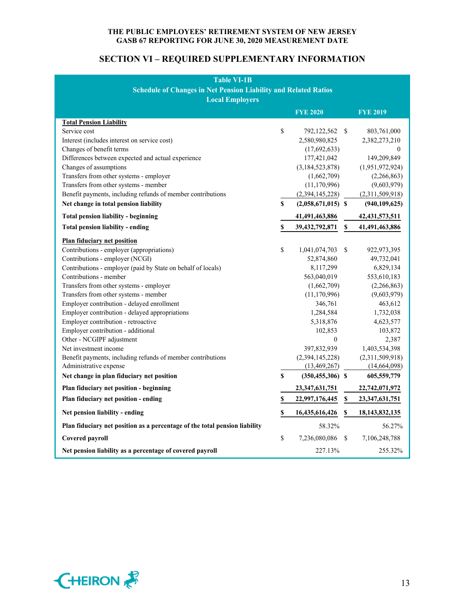# **SECTION VI – REQUIRED SUPPLEMENTARY INFORMATION**

| <b>Table VI-1B</b><br><b>Schedule of Changes in Net Pension Liability and Related Ratios</b><br><b>Local Employers</b>                                                                                                                                                                                                                                                                                                                                                                                                                                                                                                                                                    |          |                                                                                                                                                                                                                                      |               |                                                                                                                                                                                                                 |  |  |
|---------------------------------------------------------------------------------------------------------------------------------------------------------------------------------------------------------------------------------------------------------------------------------------------------------------------------------------------------------------------------------------------------------------------------------------------------------------------------------------------------------------------------------------------------------------------------------------------------------------------------------------------------------------------------|----------|--------------------------------------------------------------------------------------------------------------------------------------------------------------------------------------------------------------------------------------|---------------|-----------------------------------------------------------------------------------------------------------------------------------------------------------------------------------------------------------------|--|--|
|                                                                                                                                                                                                                                                                                                                                                                                                                                                                                                                                                                                                                                                                           |          | <b>FYE 2020</b>                                                                                                                                                                                                                      |               | <b>FYE 2019</b>                                                                                                                                                                                                 |  |  |
| <b>Total Pension Liability</b><br>Service cost<br>Interest (includes interest on service cost)<br>Changes of benefit terms<br>Differences between expected and actual experience<br>Changes of assumptions<br>Transfers from other systems - employer<br>Transfers from other systems - member                                                                                                                                                                                                                                                                                                                                                                            | \$       | 792,122,562 \$<br>2,580,980,825<br>(17,692,633)<br>177,421,042<br>(3,184,523,878)<br>(1,662,709)<br>(11, 170, 996)                                                                                                                   |               | 803,761,000<br>2,382,273,210<br>0<br>149,209,849<br>(1,951,972,924)<br>(2,266,863)<br>(9,603,979)                                                                                                               |  |  |
| Benefit payments, including refunds of member contributions                                                                                                                                                                                                                                                                                                                                                                                                                                                                                                                                                                                                               |          | (2,394,145,228)                                                                                                                                                                                                                      |               | (2,311,509,918)                                                                                                                                                                                                 |  |  |
| Net change in total pension liability                                                                                                                                                                                                                                                                                                                                                                                                                                                                                                                                                                                                                                     | \$       | $(2,058,671,015)$ \$                                                                                                                                                                                                                 |               | (940, 109, 625)                                                                                                                                                                                                 |  |  |
| <b>Total pension liability - beginning</b>                                                                                                                                                                                                                                                                                                                                                                                                                                                                                                                                                                                                                                |          | 41,491,463,886                                                                                                                                                                                                                       |               | 42, 431, 573, 511                                                                                                                                                                                               |  |  |
| <b>Total pension liability - ending</b>                                                                                                                                                                                                                                                                                                                                                                                                                                                                                                                                                                                                                                   | \$       | 39, 432, 792, 871                                                                                                                                                                                                                    | S             | 41,491,463,886                                                                                                                                                                                                  |  |  |
| <b>Plan fiduciary net position</b><br>Contributions - employer (appropriations)<br>Contributions - employer (NCGI)<br>Contributions - employer (paid by State on behalf of locals)<br>Contributions - member<br>Transfers from other systems - employer<br>Transfers from other systems - member<br>Employer contribution - delayed enrollment<br>Employer contribution - delayed appropriations<br>Employer contribution - retroactive<br>Employer contribution - additional<br>Other - NCGIPF adjustment<br>Net investment income<br>Benefit payments, including refunds of member contributions<br>Administrative expense<br>Net change in plan fiduciary net position | \$<br>\$ | 1,041,074,703<br>52,874,860<br>8,117,299<br>563,040,019<br>(1,662,709)<br>(11, 170, 996)<br>346,761<br>1,284,584<br>5,318,876<br>102,853<br>$\mathbf{0}$<br>397,832,939<br>(2,394,145,228)<br>(13, 469, 267)<br>$(350, 455, 306)$ \$ | <sup>\$</sup> | 922,973,395<br>49,732,041<br>6,829,134<br>553,610,183<br>(2,266,863)<br>(9,603,979)<br>463,612<br>1,732,038<br>4,623,577<br>103,872<br>2,387<br>1,403,534,398<br>(2,311,509,918)<br>(14,664,098)<br>605,559,779 |  |  |
| Plan fiduciary net position - beginning                                                                                                                                                                                                                                                                                                                                                                                                                                                                                                                                                                                                                                   |          | 23,347,631,751                                                                                                                                                                                                                       |               | 22,742,071,972                                                                                                                                                                                                  |  |  |
| Plan fiduciary net position - ending                                                                                                                                                                                                                                                                                                                                                                                                                                                                                                                                                                                                                                      | \$       | 22,997,176,445                                                                                                                                                                                                                       | \$            | 23,347,631,751                                                                                                                                                                                                  |  |  |
| Net pension liability - ending                                                                                                                                                                                                                                                                                                                                                                                                                                                                                                                                                                                                                                            | \$       | 16,435,616,426                                                                                                                                                                                                                       | \$            | 18, 143, 832, 135                                                                                                                                                                                               |  |  |
| Plan fiduciary net position as a percentage of the total pension liability                                                                                                                                                                                                                                                                                                                                                                                                                                                                                                                                                                                                |          | 58.32%                                                                                                                                                                                                                               |               | 56.27%                                                                                                                                                                                                          |  |  |
| Covered payroll                                                                                                                                                                                                                                                                                                                                                                                                                                                                                                                                                                                                                                                           | \$       | 7,236,080,086                                                                                                                                                                                                                        | <sup>\$</sup> | 7,106,248,788                                                                                                                                                                                                   |  |  |
| Net pension liability as a percentage of covered payroll                                                                                                                                                                                                                                                                                                                                                                                                                                                                                                                                                                                                                  |          | 227.13%                                                                                                                                                                                                                              |               | 255.32%                                                                                                                                                                                                         |  |  |

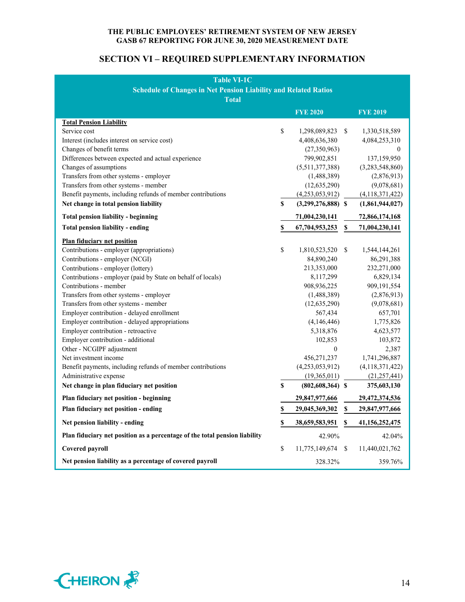# **SECTION VI – REQUIRED SUPPLEMENTARY INFORMATION**

| <b>Table VI-1C</b>                                                         |    |                      |               |                    |  |  |
|----------------------------------------------------------------------------|----|----------------------|---------------|--------------------|--|--|
| <b>Schedule of Changes in Net Pension Liability and Related Ratios</b>     |    |                      |               |                    |  |  |
| <b>Total</b>                                                               |    |                      |               |                    |  |  |
|                                                                            |    | <b>FYE 2020</b>      |               | <b>FYE 2019</b>    |  |  |
| <b>Total Pension Liability</b>                                             |    |                      |               |                    |  |  |
| Service cost                                                               | \$ | 1,298,089,823        | S.            | 1,330,518,589      |  |  |
| Interest (includes interest on service cost)                               |    | 4,408,636,380        |               | 4,084,253,310      |  |  |
| Changes of benefit terms                                                   |    | (27,350,963)         |               | 0                  |  |  |
| Differences between expected and actual experience                         |    | 799,902,851          |               | 137,159,950        |  |  |
| Changes of assumptions                                                     |    | (5,511,377,388)      |               | (3,283,548,860)    |  |  |
| Transfers from other systems - employer                                    |    | (1,488,389)          |               | (2,876,913)        |  |  |
| Transfers from other systems - member                                      |    | (12, 635, 290)       |               | (9,078,681)        |  |  |
| Benefit payments, including refunds of member contributions                |    | (4,253,053,912)      |               | (4,118,371,422)    |  |  |
| Net change in total pension liability                                      | \$ | $(3,299,276,888)$ \$ |               | (1,861,944,027)    |  |  |
| <b>Total pension liability - beginning</b>                                 |    | 71,004,230,141       |               | 72,866,174,168     |  |  |
| <b>Total pension liability - ending</b>                                    | \$ | 67,704,953,253       | \$            | 71,004,230,141     |  |  |
| <b>Plan fiduciary net position</b>                                         |    |                      |               |                    |  |  |
| Contributions - employer (appropriations)                                  | \$ | 1,810,523,520        | <sup>\$</sup> | 1,544,144,261      |  |  |
| Contributions - employer (NCGI)                                            |    | 84,890,240           |               | 86,291,388         |  |  |
| Contributions - employer (lottery)                                         |    | 213,353,000          |               | 232,271,000        |  |  |
| Contributions - employer (paid by State on behalf of locals)               |    | 8,117,299            |               | 6,829,134          |  |  |
| Contributions - member                                                     |    | 908,936,225          |               | 909,191,554        |  |  |
| Transfers from other systems - employer                                    |    | (1,488,389)          |               | (2,876,913)        |  |  |
| Transfers from other systems - member                                      |    | (12, 635, 290)       |               | (9,078,681)        |  |  |
| Employer contribution - delayed enrollment                                 |    | 567,434              |               | 657,701            |  |  |
| Employer contribution - delayed appropriations                             |    | (4,146,446)          |               | 1,775,826          |  |  |
| Employer contribution - retroactive                                        |    | 5,318,876            |               | 4,623,577          |  |  |
| Employer contribution - additional                                         |    | 102,853              |               | 103,872            |  |  |
| Other - NCGIPF adjustment                                                  |    | $\theta$             |               | 2,387              |  |  |
| Net investment income                                                      |    | 456,271,237          |               | 1,741,296,887      |  |  |
| Benefit payments, including refunds of member contributions                |    | (4,253,053,912)      |               | (4, 118, 371, 422) |  |  |
| Administrative expense                                                     |    | (19,365,011)         |               | (21, 257, 441)     |  |  |
| Net change in plan fiduciary net position                                  | \$ | $(802, 608, 364)$ \$ |               | 375,603,130        |  |  |
| Plan fiduciary net position - beginning                                    |    | 29,847,977,666       |               | 29,472,374,536     |  |  |
| Plan fiduciary net position - ending                                       | \$ | 29,045,369,302       | S             | 29,847,977,666     |  |  |
| Net pension liability - ending                                             | \$ | 38,659,583,951       | S.            | 41,156,252,475     |  |  |
| Plan fiduciary net position as a percentage of the total pension liability |    | 42.90%               |               | 42.04%             |  |  |
| Covered payroll                                                            | \$ | 11,775,149,674 \$    |               | 11,440,021,762     |  |  |
| Net pension liability as a percentage of covered payroll                   |    | 328.32%              |               | 359.76%            |  |  |

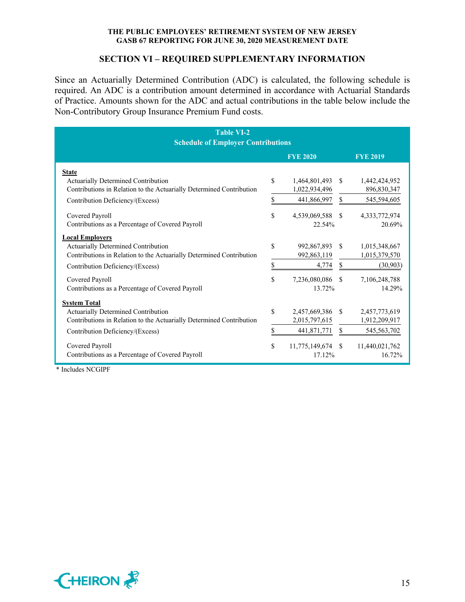## **SECTION VI – REQUIRED SUPPLEMENTARY INFORMATION**

Since an Actuarially Determined Contribution (ADC) is calculated, the following schedule is required. An ADC is a contribution amount determined in accordance with Actuarial Standards of Practice. Amounts shown for the ADC and actual contributions in the table below include the Non-Contributory Group Insurance Premium Fund costs.

| <b>Table VI-2</b>                                                    |               |                 |               |                 |
|----------------------------------------------------------------------|---------------|-----------------|---------------|-----------------|
| <b>Schedule of Employer Contributions</b>                            |               |                 |               |                 |
|                                                                      |               | <b>FYE 2020</b> |               | <b>FYE 2019</b> |
| <b>State</b>                                                         |               |                 |               |                 |
| Actuarially Determined Contribution                                  | \$            | 1,464,801,493   | -S            | 1,442,424,952   |
| Contributions in Relation to the Actuarially Determined Contribution |               | 1,022,934,496   |               | 896,830,347     |
| Contribution Deficiency/(Excess)                                     | \$            | 441,866,997     | \$            | 545,594,605     |
| Covered Payroll                                                      | \$            | 4,539,069,588   | <sup>S</sup>  | 4,333,772,974   |
| Contributions as a Percentage of Covered Payroll                     |               | 22.54%          |               | 20.69%          |
| <b>Local Employers</b>                                               |               |                 |               |                 |
| Actuarially Determined Contribution                                  | \$            | 992,867,893     | -S            | 1,015,348,667   |
| Contributions in Relation to the Actuarially Determined Contribution |               | 992,863,119     |               | 1,015,379,570   |
| Contribution Deficiency/(Excess)                                     | \$            | 4,774           | \$            | (30,903)        |
| Covered Payroll                                                      | \$            | 7,236,080,086   | <sup>S</sup>  | 7,106,248,788   |
| Contributions as a Percentage of Covered Payroll                     |               | 13.72%          |               | 14.29%          |
| <b>System Total</b>                                                  |               |                 |               |                 |
| Actuarially Determined Contribution                                  | <sup>\$</sup> | 2,457,669,386   | <sup>\$</sup> | 2,457,773,619   |
| Contributions in Relation to the Actuarially Determined Contribution |               | 2,015,797,615   |               | 1,912,209,917   |
| Contribution Deficiency/(Excess)                                     | \$            | 441,871,771     | \$            | 545,563,702     |
| Covered Payroll                                                      | \$            | 11,775,149,674  | -S            | 11,440,021,762  |
| Contributions as a Percentage of Covered Payroll                     |               | 17.12%          |               | 16.72%          |

\* Includes NCGIPF

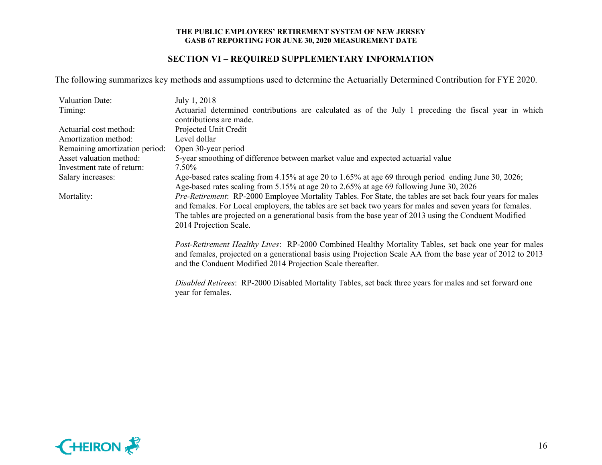# **SECTION VI – REQUIRED SUPPLEMENTARY INFORMATION**

The following summarizes key methods and assumptions used to determine the Actuarially Determined Contribution for FYE 2020.

| Valuation Date:                | July 1, 2018                                                                                                |
|--------------------------------|-------------------------------------------------------------------------------------------------------------|
| Timing:                        | Actuarial determined contributions are calculated as of the July 1 preceding the fiscal year in which       |
|                                | contributions are made.                                                                                     |
| Actuarial cost method:         | Projected Unit Credit                                                                                       |
| Amortization method:           | Level dollar                                                                                                |
| Remaining amortization period: | Open 30-year period                                                                                         |
| Asset valuation method:        | 5-year smoothing of difference between market value and expected actuarial value                            |
| Investment rate of return:     | 7.50%                                                                                                       |
| Salary increases:              | Age-based rates scaling from 4.15% at age 20 to 1.65% at age 69 through period ending June 30, 2026;        |
|                                | Age-based rates scaling from 5.15% at age 20 to 2.65% at age 69 following June 30, 2026                     |
| Mortality:                     | Pre-Retirement: RP-2000 Employee Mortality Tables. For State, the tables are set back four years for males  |
|                                | and females. For Local employers, the tables are set back two years for males and seven years for females.  |
|                                | The tables are projected on a generational basis from the base year of 2013 using the Conduent Modified     |
|                                | 2014 Projection Scale.                                                                                      |
|                                | Post-Retirement Healthy Lives: RP-2000 Combined Healthy Mortality Tables, set back one year for males       |
|                                | and females, projected on a generational basis using Projection Scale AA from the base year of 2012 to 2013 |
|                                | and the Conduent Modified 2014 Projection Scale thereafter.                                                 |
|                                |                                                                                                             |
|                                | Disabled Retirees: RP-2000 Disabled Mortality Tables, set back three years for males and set forward one    |
|                                | year for females.                                                                                           |

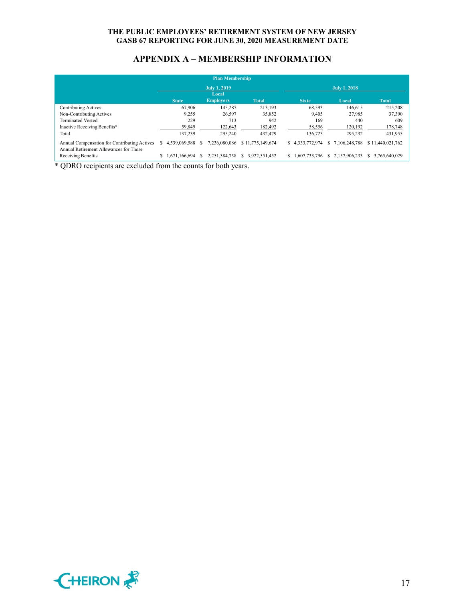# **APPENDIX A – MEMBERSHIP INFORMATION**

|                                                                                        |                     |               |   | <b>Plan Membership</b>    |                  |    |               |   |               |                     |
|----------------------------------------------------------------------------------------|---------------------|---------------|---|---------------------------|------------------|----|---------------|---|---------------|---------------------|
|                                                                                        | <b>July 1, 2019</b> |               |   |                           |                  |    | July 1, 2018  |   |               |                     |
|                                                                                        |                     | <b>State</b>  |   | Local<br><b>Employers</b> | <b>Total</b>     |    | <b>State</b>  |   | Local         | <b>Total</b>        |
| Contributing Actives                                                                   |                     | 67,906        |   | 145,287                   | 213,193          |    | 68,593        |   | 146,615       | 215,208             |
| Non-Contributing Actives                                                               |                     | 9.255         |   | 26,597                    | 35,852           |    | 9,405         |   | 27.985        | 37,390              |
| <b>Terminated Vested</b>                                                               |                     | 229           |   | 713                       | 942              |    | 169           |   | 440           | 609                 |
| Inactive Receiving Benefits*                                                           |                     | 59.849        |   | 122,643                   | 182,492          |    | 58,556        |   | 120,192       | 178,748             |
| Total                                                                                  |                     | 137,239       |   | 295,240                   | 432,479          |    | 136,723       |   | 295,232       | 431,955             |
| Annual Compensation for Contributing Actives<br>Annual Retirement Allowances for Those | S                   | 4.539.069.588 |   | 7.236.080.086             | \$11,775,149,674 | S. | 4,333,772,974 |   | 7.106.248.788 | \$11,440,021,762    |
| Receiving Benefits                                                                     | \$                  | 1,671,166,694 | S | 2.251.384.758             | 3.922.551.452    | S. | 1,607,733,796 | У | 2.157.906.233 | 3.765.640.029<br>S. |

\* QDRO recipients are excluded from the counts for both years.

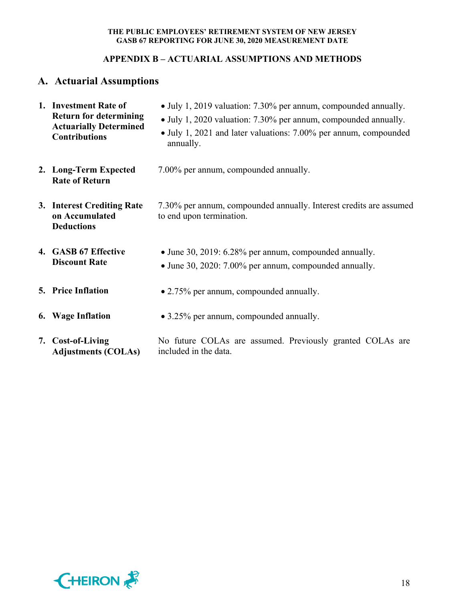# **APPENDIX B – ACTUARIAL ASSUMPTIONS AND METHODS**

# **A. Actuarial Assumptions**

| 1. Investment Rate of<br><b>Return for determining</b><br><b>Actuarially Determined</b><br><b>Contributions</b> | • July 1, 2019 valuation: 7.30% per annum, compounded annually.<br>• July 1, 2020 valuation: 7.30% per annum, compounded annually.<br>• July 1, 2021 and later valuations: 7.00% per annum, compounded<br>annually. |
|-----------------------------------------------------------------------------------------------------------------|---------------------------------------------------------------------------------------------------------------------------------------------------------------------------------------------------------------------|
| 2. Long-Term Expected<br><b>Rate of Return</b>                                                                  | 7.00% per annum, compounded annually.                                                                                                                                                                               |
| 3. Interest Crediting Rate<br>on Accumulated<br><b>Deductions</b>                                               | 7.30% per annum, compounded annually. Interest credits are assumed<br>to end upon termination.                                                                                                                      |
| 4. GASB 67 Effective<br><b>Discount Rate</b>                                                                    | • June 30, 2019: 6.28% per annum, compounded annually.<br>• June 30, 2020: 7.00% per annum, compounded annually.                                                                                                    |
| <b>5. Price Inflation</b>                                                                                       | • 2.75% per annum, compounded annually.                                                                                                                                                                             |
| 6. Wage Inflation                                                                                               | • 3.25% per annum, compounded annually.                                                                                                                                                                             |
| 7. Cost-of-Living<br><b>Adjustments (COLAs)</b>                                                                 | No future COLAs are assumed. Previously granted COLAs are<br>included in the data.                                                                                                                                  |

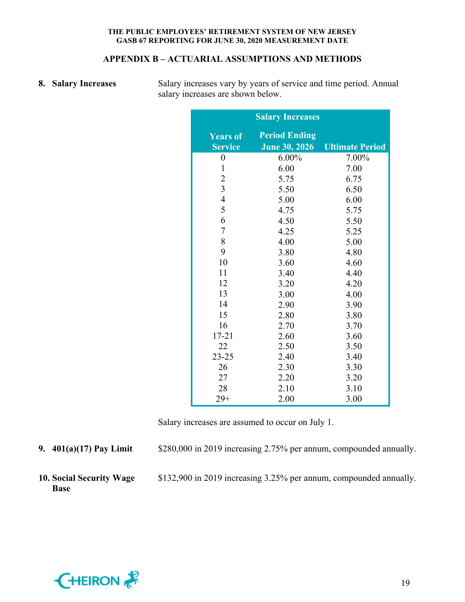## **APPENDIX B – ACTUARIAL ASSUMPTIONS AND METHODS**

**8.** Salary Increases Salary increases vary by years of service and time period. Annual salary increases are shown below.

|                                   | <b>Salary Increases</b>                      |                        |
|-----------------------------------|----------------------------------------------|------------------------|
| <b>Years of</b><br><b>Service</b> | <b>Period Ending</b><br><b>June 30, 2026</b> | <b>Ultimate Period</b> |
| $\boldsymbol{0}$                  | $6.00\%$                                     | 7.00%                  |
| $\mathbf{1}$                      | 6.00                                         | 7.00                   |
| $\overline{c}$                    | 5.75                                         | 6.75                   |
| $\overline{\mathbf{3}}$           | 5.50                                         | 6.50                   |
| $\overline{4}$                    | 5.00                                         | 6.00                   |
| 5                                 | 4.75                                         | 5.75                   |
| 6                                 | 4.50                                         | 5.50                   |
| $\overline{7}$                    | 4.25                                         | 5.25                   |
| 8                                 | 4.00                                         | 5.00                   |
| 9                                 | 3.80                                         | 4.80                   |
| 10                                | 3.60                                         | 4.60                   |
| 11                                | 3.40                                         | 4.40                   |
| 12                                | 3.20                                         | 4.20                   |
| 13                                | 3.00                                         | 4.00                   |
| 14                                | 2.90                                         | 3.90                   |
| 15                                | 2.80                                         | 3.80                   |
| 16                                | 2.70                                         | 3.70                   |
| $17 - 21$                         | 2.60                                         | 3.60                   |
| 22                                | 2.50                                         | 3.50                   |
| $23 - 25$                         | 2.40                                         | 3.40                   |
| 26                                | 2.30                                         | 3.30                   |
| 27                                | 2.20                                         | 3.20                   |
| 28                                | 2.10                                         | 3.10                   |
| $29+$                             | 2.00                                         | 3.00                   |

Salary increases are assumed to occur on July 1.

**9. 401(a)(17) Pay Limit** \$280,000 in 2019 increasing 2.75% per annum, compounded annually.

**10. Social Security Wage Base** 

\$132,900 in 2019 increasing 3.25% per annum, compounded annually.

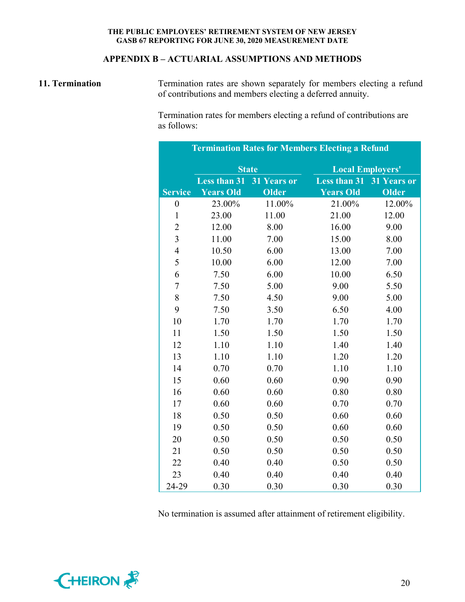# **APPENDIX B – ACTUARIAL ASSUMPTIONS AND METHODS**

**11. Termination Termination rates are shown separately for members electing a refund** of contributions and members electing a deferred annuity.

> Termination rates for members electing a refund of contributions are as follows:

| <b>Termination Rates for Members Electing a Refund</b> |                     |              |                         |                    |  |  |
|--------------------------------------------------------|---------------------|--------------|-------------------------|--------------------|--|--|
|                                                        |                     | <b>State</b> | <b>Local Employers'</b> |                    |  |  |
|                                                        | <b>Less than 31</b> | 31 Years or  | <b>Less than 31</b>     | <b>31 Years or</b> |  |  |
| <b>Service</b>                                         | <b>Years Old</b>    | Older        | <b>Years Old</b>        | <b>Older</b>       |  |  |
| $\boldsymbol{0}$                                       | 23.00%              | 11.00%       | 21.00%                  | 12.00%             |  |  |
| $\mathbf{1}$                                           | 23.00               | 11.00        | 21.00                   | 12.00              |  |  |
| $\overline{c}$                                         | 12.00               | 8.00         | 16.00                   | 9.00               |  |  |
| $\overline{3}$                                         | 11.00               | 7.00         | 15.00                   | 8.00               |  |  |
| $\overline{4}$                                         | 10.50               | 6.00         | 13.00                   | 7.00               |  |  |
| 5                                                      | 10.00               | 6.00         | 12.00                   | 7.00               |  |  |
| 6                                                      | 7.50                | 6.00         | 10.00                   | 6.50               |  |  |
| $\overline{7}$                                         | 7.50                | 5.00         | 9.00                    | 5.50               |  |  |
| 8                                                      | 7.50                | 4.50         | 9.00                    | 5.00               |  |  |
| 9                                                      | 7.50                | 3.50         | 6.50                    | 4.00               |  |  |
| 10                                                     | 1.70                | 1.70         | 1.70                    | 1.70               |  |  |
| 11                                                     | 1.50                | 1.50         | 1.50                    | 1.50               |  |  |
| 12                                                     | 1.10                | 1.10         | 1.40                    | 1.40               |  |  |
| 13                                                     | 1.10                | 1.10         | 1.20                    | 1.20               |  |  |
| 14                                                     | 0.70                | 0.70         | 1.10                    | 1.10               |  |  |
| 15                                                     | 0.60                | 0.60         | 0.90                    | 0.90               |  |  |
| 16                                                     | 0.60                | 0.60         | 0.80                    | 0.80               |  |  |
| 17                                                     | 0.60                | 0.60         | 0.70                    | 0.70               |  |  |
| 18                                                     | 0.50                | 0.50         | 0.60                    | 0.60               |  |  |
| 19                                                     | 0.50                | 0.50         | 0.60                    | 0.60               |  |  |
| 20                                                     | 0.50                | 0.50         | 0.50                    | 0.50               |  |  |
| 21                                                     | 0.50                | 0.50         | 0.50                    | 0.50               |  |  |
| 22                                                     | 0.40                | 0.40         | 0.50                    | 0.50               |  |  |
| 23                                                     | 0.40                | 0.40         | 0.40                    | 0.40               |  |  |
| 24-29                                                  | 0.30                | 0.30         | 0.30                    | 0.30               |  |  |

No termination is assumed after attainment of retirement eligibility.

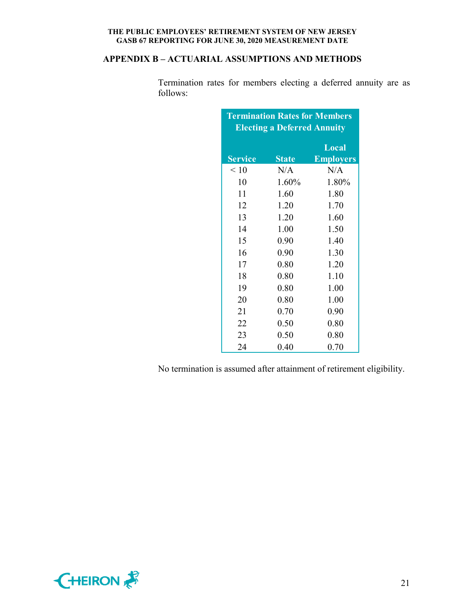# **APPENDIX B – ACTUARIAL ASSUMPTIONS AND METHODS**

Termination rates for members electing a deferred annuity are as follows:

| <b>Termination Rates for Members</b> |              |                  |  |  |  |  |
|--------------------------------------|--------------|------------------|--|--|--|--|
| <b>Electing a Deferred Annuity</b>   |              |                  |  |  |  |  |
|                                      |              | Local            |  |  |  |  |
| <b>Service</b>                       | <b>State</b> | <b>Employers</b> |  |  |  |  |
| $\leq 10$                            | N/A          | N/A              |  |  |  |  |
| 10                                   | 1.60%        | 1.80%            |  |  |  |  |
| 11                                   | 1.60         | 1.80             |  |  |  |  |
| 12                                   | 1.20         | 1.70             |  |  |  |  |
| 13                                   | 1.20         | 1.60             |  |  |  |  |
| 14                                   | 1.00         | 1.50             |  |  |  |  |
| 15                                   | 0.90         | 1.40             |  |  |  |  |
| 16                                   | 0.90         | 1.30             |  |  |  |  |
| 17                                   | 0.80         | 1.20             |  |  |  |  |
| 18                                   | 0.80         | 1.10             |  |  |  |  |
| 19                                   | 0.80         | 1.00             |  |  |  |  |
| 20                                   | 0.80         | 1.00             |  |  |  |  |
| 21                                   | 0.70         | 0.90             |  |  |  |  |
| 22                                   | 0.50         | 0.80             |  |  |  |  |
| 23                                   | 0.50         | 0.80             |  |  |  |  |
| 24                                   | 0.40         | 0.70             |  |  |  |  |

No termination is assumed after attainment of retirement eligibility.

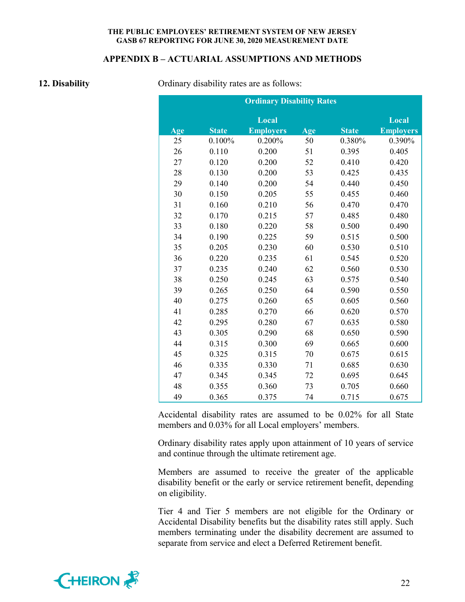#### **APPENDIX B – ACTUARIAL ASSUMPTIONS AND METHODS**

**12. Disability 12. Disability Ordinary disability rates are as follows:** 

|     |              | <b>Ordinary Disability Rates</b> |     |              |                  |
|-----|--------------|----------------------------------|-----|--------------|------------------|
|     |              | Local                            |     |              | Local            |
| Age | <b>State</b> | <b>Employers</b>                 | Age | <b>State</b> | <b>Employers</b> |
| 25  | 0.100%       | 0.200%                           | 50  | 0.380%       | 0.390%           |
| 26  | 0.110        | 0.200                            | 51  | 0.395        | 0.405            |
| 27  | 0.120        | 0.200                            | 52  | 0.410        | 0.420            |
| 28  | 0.130        | 0.200                            | 53  | 0.425        | 0.435            |
| 29  | 0.140        | 0.200                            | 54  | 0.440        | 0.450            |
| 30  | 0.150        | 0.205                            | 55  | 0.455        | 0.460            |
| 31  | 0.160        | 0.210                            | 56  | 0.470        | 0.470            |
| 32  | 0.170        | 0.215                            | 57  | 0.485        | 0.480            |
| 33  | 0.180        | 0.220                            | 58  | 0.500        | 0.490            |
| 34  | 0.190        | 0.225                            | 59  | 0.515        | 0.500            |
| 35  | 0.205        | 0.230                            | 60  | 0.530        | 0.510            |
| 36  | 0.220        | 0.235                            | 61  | 0.545        | 0.520            |
| 37  | 0.235        | 0.240                            | 62  | 0.560        | 0.530            |
| 38  | 0.250        | 0.245                            | 63  | 0.575        | 0.540            |
| 39  | 0.265        | 0.250                            | 64  | 0.590        | 0.550            |
| 40  | 0.275        | 0.260                            | 65  | 0.605        | 0.560            |
| 41  | 0.285        | 0.270                            | 66  | 0.620        | 0.570            |
| 42  | 0.295        | 0.280                            | 67  | 0.635        | 0.580            |
| 43  | 0.305        | 0.290                            | 68  | 0.650        | 0.590            |
| 44  | 0.315        | 0.300                            | 69  | 0.665        | 0.600            |
| 45  | 0.325        | 0.315                            | 70  | 0.675        | 0.615            |
| 46  | 0.335        | 0.330                            | 71  | 0.685        | 0.630            |
| 47  | 0.345        | 0.345                            | 72  | 0.695        | 0.645            |
| 48  | 0.355        | 0.360                            | 73  | 0.705        | 0.660            |
| 49  | 0.365        | 0.375                            | 74  | 0.715        | 0.675            |

Accidental disability rates are assumed to be 0.02% for all State members and 0.03% for all Local employers' members.

Ordinary disability rates apply upon attainment of 10 years of service and continue through the ultimate retirement age.

Members are assumed to receive the greater of the applicable disability benefit or the early or service retirement benefit, depending on eligibility.

Tier 4 and Tier 5 members are not eligible for the Ordinary or Accidental Disability benefits but the disability rates still apply. Such members terminating under the disability decrement are assumed to separate from service and elect a Deferred Retirement benefit.

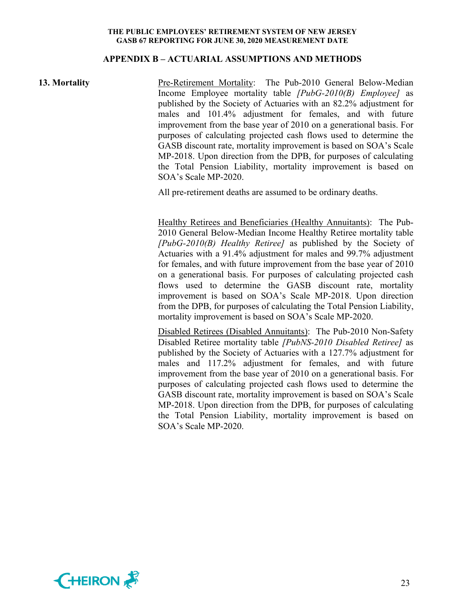#### **APPENDIX B – ACTUARIAL ASSUMPTIONS AND METHODS**

**13. Mortality** Pre-Retirement Mortality: The Pub-2010 General Below-Median Income Employee mortality table *[PubG-2010(B) Employee]* as published by the Society of Actuaries with an 82.2% adjustment for males and 101.4% adjustment for females, and with future improvement from the base year of 2010 on a generational basis. For purposes of calculating projected cash flows used to determine the GASB discount rate, mortality improvement is based on SOA's Scale MP-2018. Upon direction from the DPB, for purposes of calculating the Total Pension Liability, mortality improvement is based on SOA's Scale MP-2020.

All pre-retirement deaths are assumed to be ordinary deaths.

Healthy Retirees and Beneficiaries (Healthy Annuitants): The Pub-2010 General Below-Median Income Healthy Retiree mortality table *[PubG-2010(B) Healthy Retiree]* as published by the Society of Actuaries with a 91.4% adjustment for males and 99.7% adjustment for females, and with future improvement from the base year of 2010 on a generational basis. For purposes of calculating projected cash flows used to determine the GASB discount rate, mortality improvement is based on SOA's Scale MP-2018. Upon direction from the DPB, for purposes of calculating the Total Pension Liability, mortality improvement is based on SOA's Scale MP-2020.

Disabled Retirees (Disabled Annuitants): The Pub-2010 Non-Safety Disabled Retiree mortality table *[PubNS-2010 Disabled Retiree]* as published by the Society of Actuaries with a 127.7% adjustment for males and 117.2% adjustment for females, and with future improvement from the base year of 2010 on a generational basis. For purposes of calculating projected cash flows used to determine the GASB discount rate, mortality improvement is based on SOA's Scale MP-2018. Upon direction from the DPB, for purposes of calculating the Total Pension Liability, mortality improvement is based on SOA's Scale MP-2020.

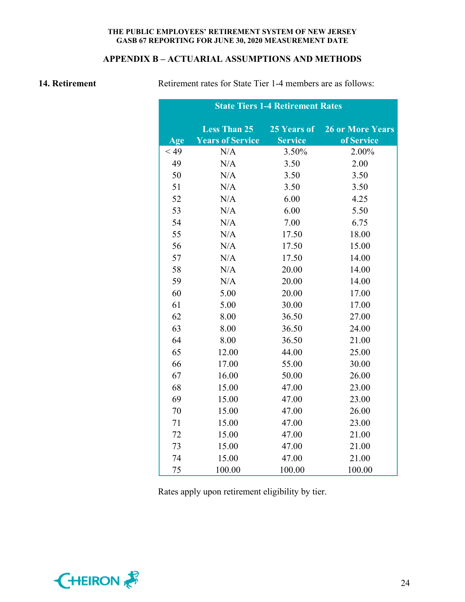# **APPENDIX B – ACTUARIAL ASSUMPTIONS AND METHODS**

**14. Retirement Retirement rates for State Tier 1-4 members are as follows:** 

| <b>State Tiers 1-4 Retirement Rates</b> |                         |                |                         |  |  |  |
|-----------------------------------------|-------------------------|----------------|-------------------------|--|--|--|
|                                         | <b>Less Than 25</b>     | 25 Years of    | <b>26 or More Years</b> |  |  |  |
| Age                                     | <b>Years of Service</b> | <b>Service</b> | of Service              |  |  |  |
| $<$ 49                                  | N/A                     | 3.50%          | 2.00%                   |  |  |  |
| 49                                      | N/A                     | 3.50           | 2.00                    |  |  |  |
| 50                                      | N/A                     | 3.50           | 3.50                    |  |  |  |
| 51                                      | N/A                     | 3.50           | 3.50                    |  |  |  |
| 52                                      | N/A                     | 6.00           | 4.25                    |  |  |  |
| 53                                      | N/A                     | 6.00           | 5.50                    |  |  |  |
| 54                                      | N/A                     | 7.00           | 6.75                    |  |  |  |
| 55                                      | N/A                     | 17.50          | 18.00                   |  |  |  |
| 56                                      | N/A                     | 17.50          | 15.00                   |  |  |  |
| 57                                      | N/A                     | 17.50          | 14.00                   |  |  |  |
| 58                                      | N/A                     | 20.00          | 14.00                   |  |  |  |
| 59                                      | N/A                     | 20.00          | 14.00                   |  |  |  |
| 60                                      | 5.00                    | 20.00          | 17.00                   |  |  |  |
| 61                                      | 5.00                    | 30.00          | 17.00                   |  |  |  |
| 62                                      | 8.00                    | 36.50          | 27.00                   |  |  |  |
| 63                                      | 8.00                    | 36.50          | 24.00                   |  |  |  |
| 64                                      | 8.00                    | 36.50          | 21.00                   |  |  |  |
| 65                                      | 12.00                   | 44.00          | 25.00                   |  |  |  |
| 66                                      | 17.00                   | 55.00          | 30.00                   |  |  |  |
| 67                                      | 16.00                   | 50.00          | 26.00                   |  |  |  |
| 68                                      | 15.00                   | 47.00          | 23.00                   |  |  |  |
| 69                                      | 15.00                   | 47.00          | 23.00                   |  |  |  |
| 70                                      | 15.00                   | 47.00          | 26.00                   |  |  |  |
| 71                                      | 15.00                   | 47.00          | 23.00                   |  |  |  |
| 72                                      | 15.00                   | 47.00          | 21.00                   |  |  |  |
| 73                                      | 15.00                   | 47.00          | 21.00                   |  |  |  |
| 74                                      | 15.00                   | 47.00          | 21.00                   |  |  |  |
| 75                                      | 100.00                  | 100.00         | 100.00                  |  |  |  |

Rates apply upon retirement eligibility by tier.

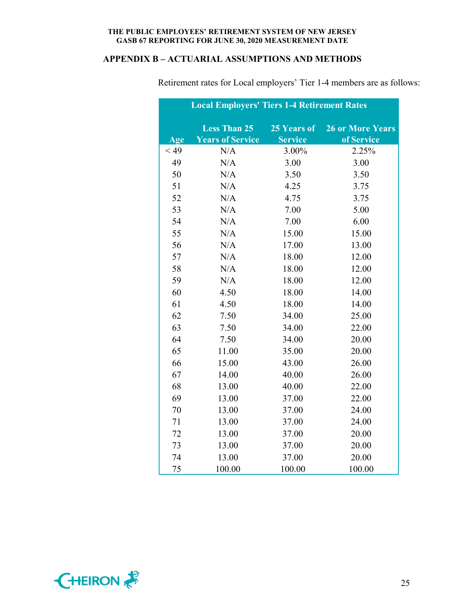# **APPENDIX B – ACTUARIAL ASSUMPTIONS AND METHODS**

|        | <b>Local Employers' Tiers 1-4 Retirement Rates</b> |                |                         |
|--------|----------------------------------------------------|----------------|-------------------------|
|        | <b>Less Than 25</b>                                | 25 Years of    | <b>26 or More Years</b> |
| Age    | <b>Years of Service</b>                            | <b>Service</b> | of Service              |
| $<$ 49 | N/A                                                | 3.00%          | 2.25%                   |
| 49     | N/A                                                | 3.00           | 3.00                    |
| 50     | N/A                                                | 3.50           | 3.50                    |
| 51     | N/A                                                | 4.25           | 3.75                    |
| 52     | N/A                                                | 4.75           | 3.75                    |
| 53     | N/A                                                | 7.00           | 5.00                    |
| 54     | N/A                                                | 7.00           | 6.00                    |
| 55     | N/A                                                | 15.00          | 15.00                   |
| 56     | N/A                                                | 17.00          | 13.00                   |
| 57     | N/A                                                | 18.00          | 12.00                   |
| 58     | N/A                                                | 18.00          | 12.00                   |
| 59     | N/A                                                | 18.00          | 12.00                   |
| 60     | 4.50                                               | 18.00          | 14.00                   |
| 61     | 4.50                                               | 18.00          | 14.00                   |
| 62     | 7.50                                               | 34.00          | 25.00                   |
| 63     | 7.50                                               | 34.00          | 22.00                   |
| 64     | 7.50                                               | 34.00          | 20.00                   |
| 65     | 11.00                                              | 35.00          | 20.00                   |
| 66     | 15.00                                              | 43.00          | 26.00                   |
| 67     | 14.00                                              | 40.00          | 26.00                   |
| 68     | 13.00                                              | 40.00          | 22.00                   |
| 69     | 13.00                                              | 37.00          | 22.00                   |
| 70     | 13.00                                              | 37.00          | 24.00                   |
| 71     | 13.00                                              | 37.00          | 24.00                   |
| 72     | 13.00                                              | 37.00          | 20.00                   |
| 73     | 13.00                                              | 37.00          | 20.00                   |
| 74     | 13.00                                              | 37.00          | 20.00                   |
| 75     | 100.00                                             | 100.00         | 100.00                  |

Retirement rates for Local employers' Tier 1-4 members are as follows:

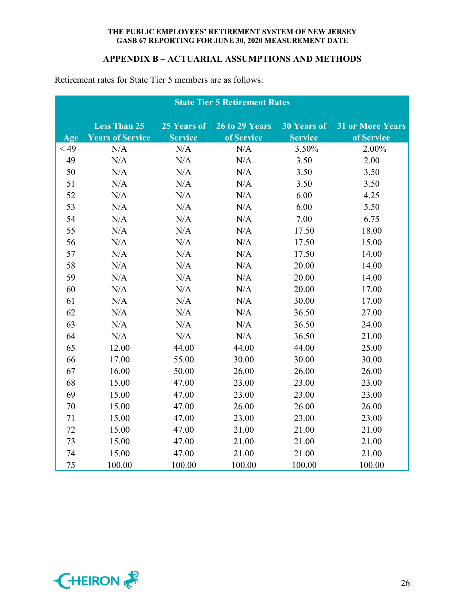# **APPENDIX B – ACTUARIAL ASSUMPTIONS AND METHODS**

|        | <b>State Tier 5 Retirement Rates</b> |                |                |                    |                         |  |
|--------|--------------------------------------|----------------|----------------|--------------------|-------------------------|--|
|        | <b>Less Than 25</b>                  | 25 Years of    | 26 to 29 Years | <b>30 Years of</b> | <b>31 or More Years</b> |  |
| Age    | <b>Years of Service</b>              | <b>Service</b> | of Service     | <b>Service</b>     | of Service              |  |
| $<$ 49 | N/A                                  | N/A            | N/A            | 3.50%              | 2.00%                   |  |
| 49     | N/A                                  | N/A            | N/A            | 3.50               | 2.00                    |  |
| 50     | N/A                                  | N/A            | N/A            | 3.50               | 3.50                    |  |
| 51     | N/A                                  | N/A            | N/A            | 3.50               | 3.50                    |  |
| 52     | N/A                                  | N/A            | N/A            | 6.00               | 4.25                    |  |
| 53     | N/A                                  | N/A            | N/A            | 6.00               | 5.50                    |  |
| 54     | N/A                                  | N/A            | N/A            | 7.00               | 6.75                    |  |
| 55     | N/A                                  | N/A            | N/A            | 17.50              | 18.00                   |  |
| 56     | N/A                                  | N/A            | N/A            | 17.50              | 15.00                   |  |
| 57     | N/A                                  | N/A            | N/A            | 17.50              | 14.00                   |  |
| 58     | N/A                                  | N/A            | N/A            | 20.00              | 14.00                   |  |
| 59     | N/A                                  | N/A            | N/A            | 20.00              | 14.00                   |  |
| 60     | N/A                                  | N/A            | N/A            | 20.00              | 17.00                   |  |
| 61     | N/A                                  | N/A            | N/A            | 30.00              | 17.00                   |  |
| 62     | N/A                                  | N/A            | N/A            | 36.50              | 27.00                   |  |
| 63     | N/A                                  | N/A            | N/A            | 36.50              | 24.00                   |  |
| 64     | N/A                                  | N/A            | N/A            | 36.50              | 21.00                   |  |
| 65     | 12.00                                | 44.00          | 44.00          | 44.00              | 25.00                   |  |
| 66     | 17.00                                | 55.00          | 30.00          | 30.00              | 30.00                   |  |
| 67     | 16.00                                | 50.00          | 26.00          | 26.00              | 26.00                   |  |
| 68     | 15.00                                | 47.00          | 23.00          | 23.00              | 23.00                   |  |
| 69     | 15.00                                | 47.00          | 23.00          | 23.00              | 23.00                   |  |
| 70     | 15.00                                | 47.00          | 26.00          | 26.00              | 26.00                   |  |
| 71     | 15.00                                | 47.00          | 23.00          | 23.00              | 23.00                   |  |
| 72     | 15.00                                | 47.00          | 21.00          | 21.00              | 21.00                   |  |
| 73     | 15.00                                | 47.00          | 21.00          | 21.00              | 21.00                   |  |
| 74     | 15.00                                | 47.00          | 21.00          | 21.00              | 21.00                   |  |
| 75     | 100.00                               | 100.00         | 100.00         | 100.00             | 100.00                  |  |

Retirement rates for State Tier 5 members are as follows:

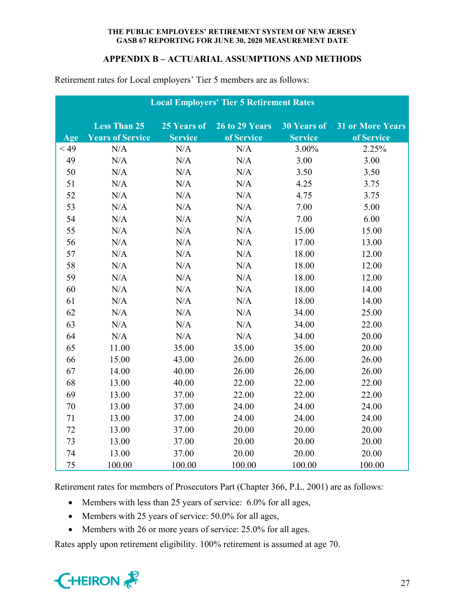# **APPENDIX B – ACTUARIAL ASSUMPTIONS AND METHODS**

|      | <b>Local Employers' Tier 5 Retirement Rates</b> |                |                       |                    |                         |  |
|------|-------------------------------------------------|----------------|-----------------------|--------------------|-------------------------|--|
|      | <b>Less Than 25</b>                             | 25 Years of    | <b>26 to 29 Years</b> | <b>30 Years of</b> | <b>31 or More Years</b> |  |
| Age  | <b>Years of Service</b>                         | <b>Service</b> | of Service            | <b>Service</b>     | of Service              |  |
| < 49 | N/A                                             | N/A            | N/A                   | 3.00%              | 2.25%                   |  |
| 49   | N/A                                             | N/A            | N/A                   | 3.00               | 3.00                    |  |
| 50   | N/A                                             | N/A            | N/A                   | 3.50               | 3.50                    |  |
| 51   | N/A                                             | N/A            | N/A                   | 4.25               | 3.75                    |  |
| 52   | N/A                                             | N/A            | N/A                   | 4.75               | 3.75                    |  |
| 53   | N/A                                             | N/A            | N/A                   | 7.00               | 5.00                    |  |
| 54   | N/A                                             | N/A            | N/A                   | 7.00               | 6.00                    |  |
| 55   | N/A                                             | N/A            | N/A                   | 15.00              | 15.00                   |  |
| 56   | N/A                                             | N/A            | N/A                   | 17.00              | 13.00                   |  |
| 57   | N/A                                             | N/A            | N/A                   | 18.00              | 12.00                   |  |
| 58   | N/A                                             | N/A            | N/A                   | 18.00              | 12.00                   |  |
| 59   | N/A                                             | N/A            | N/A                   | 18.00              | 12.00                   |  |
| 60   | N/A                                             | N/A            | N/A                   | 18.00              | 14.00                   |  |
| 61   | N/A                                             | N/A            | N/A                   | 18.00              | 14.00                   |  |
| 62   | N/A                                             | N/A            | N/A                   | 34.00              | 25.00                   |  |
| 63   | N/A                                             | N/A            | N/A                   | 34.00              | 22.00                   |  |
| 64   | N/A                                             | N/A            | N/A                   | 34.00              | 20.00                   |  |
| 65   | 11.00                                           | 35.00          | 35.00                 | 35.00              | 20.00                   |  |
| 66   | 15.00                                           | 43.00          | 26.00                 | 26.00              | 26.00                   |  |
| 67   | 14.00                                           | 40.00          | 26.00                 | 26.00              | 26.00                   |  |
| 68   | 13.00                                           | 40.00          | 22.00                 | 22.00              | 22.00                   |  |
| 69   | 13.00                                           | 37.00          | 22.00                 | 22.00              | 22.00                   |  |
| 70   | 13.00                                           | 37.00          | 24.00                 | 24.00              | 24.00                   |  |
| 71   | 13.00                                           | 37.00          | 24.00                 | 24.00              | 24.00                   |  |
| 72   | 13.00                                           | 37.00          | 20.00                 | 20.00              | 20.00                   |  |
| 73   | 13.00                                           | 37.00          | 20.00                 | 20.00              | 20.00                   |  |
| 74   | 13.00                                           | 37.00          | 20.00                 | 20.00              | 20.00                   |  |
| 75   | 100.00                                          | 100.00         | 100.00                | 100.00             | 100.00                  |  |

Retirement rates for Local employers' Tier 5 members are as follows:

Retirement rates for members of Prosecutors Part (Chapter 366, P.L. 2001) are as follows:

- Members with less than 25 years of service: 6.0% for all ages,
- Members with 25 years of service: 50.0% for all ages,
- Members with 26 or more years of service: 25.0% for all ages.

Rates apply upon retirement eligibility. 100% retirement is assumed at age 70.

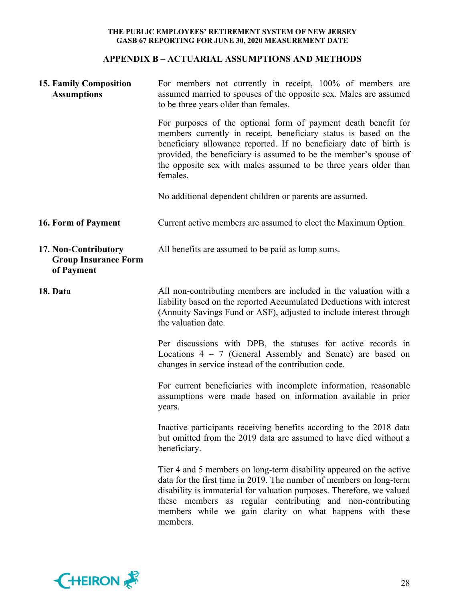# **APPENDIX B – ACTUARIAL ASSUMPTIONS AND METHODS**

| <b>15. Family Composition</b><br><b>Assumptions</b>               | For members not currently in receipt, 100% of members are<br>assumed married to spouses of the opposite sex. Males are assumed<br>to be three years older than females.                                                                                                                                                                                       |  |  |  |  |
|-------------------------------------------------------------------|---------------------------------------------------------------------------------------------------------------------------------------------------------------------------------------------------------------------------------------------------------------------------------------------------------------------------------------------------------------|--|--|--|--|
|                                                                   | For purposes of the optional form of payment death benefit for<br>members currently in receipt, beneficiary status is based on the<br>beneficiary allowance reported. If no beneficiary date of birth is<br>provided, the beneficiary is assumed to be the member's spouse of<br>the opposite sex with males assumed to be three years older than<br>females. |  |  |  |  |
|                                                                   | No additional dependent children or parents are assumed.                                                                                                                                                                                                                                                                                                      |  |  |  |  |
| 16. Form of Payment                                               | Current active members are assumed to elect the Maximum Option.                                                                                                                                                                                                                                                                                               |  |  |  |  |
| 17. Non-Contributory<br><b>Group Insurance Form</b><br>of Payment | All benefits are assumed to be paid as lump sums.                                                                                                                                                                                                                                                                                                             |  |  |  |  |
| 18. Data                                                          | All non-contributing members are included in the valuation with a<br>liability based on the reported Accumulated Deductions with interest<br>(Annuity Savings Fund or ASF), adjusted to include interest through<br>the valuation date.                                                                                                                       |  |  |  |  |
|                                                                   | Per discussions with DPB, the statuses for active records in<br>Locations $4 - 7$ (General Assembly and Senate) are based on<br>changes in service instead of the contribution code.                                                                                                                                                                          |  |  |  |  |
|                                                                   | For current beneficiaries with incomplete information, reasonable<br>assumptions were made based on information available in prior<br>years.                                                                                                                                                                                                                  |  |  |  |  |
|                                                                   | Inactive participants receiving benefits according to the 2018 data<br>but omitted from the 2019 data are assumed to have died without a<br>beneficiary.                                                                                                                                                                                                      |  |  |  |  |
|                                                                   | Tier 4 and 5 members on long-term disability appeared on the active<br>data for the first time in 2019. The number of members on long-term<br>disability is immaterial for valuation purposes. Therefore, we valued<br>these members as regular contributing and non-contributing<br>members while we gain clarity on what happens with these<br>members.     |  |  |  |  |

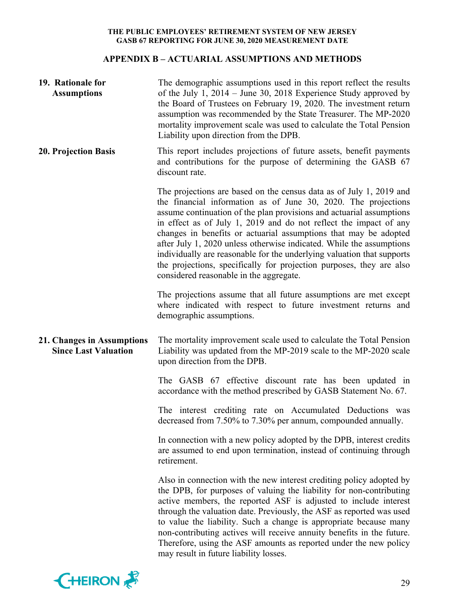# **APPENDIX B – ACTUARIAL ASSUMPTIONS AND METHODS**

| 19. Rationale for<br><b>Assumptions</b>                   | The demographic assumptions used in this report reflect the results<br>of the July 1, $2014 -$ June 30, 2018 Experience Study approved by<br>the Board of Trustees on February 19, 2020. The investment return<br>assumption was recommended by the State Treasurer. The MP-2020<br>mortality improvement scale was used to calculate the Total Pension<br>Liability upon direction from the DPB.                                                                                                                                                                                                                           |
|-----------------------------------------------------------|-----------------------------------------------------------------------------------------------------------------------------------------------------------------------------------------------------------------------------------------------------------------------------------------------------------------------------------------------------------------------------------------------------------------------------------------------------------------------------------------------------------------------------------------------------------------------------------------------------------------------------|
| <b>20. Projection Basis</b>                               | This report includes projections of future assets, benefit payments<br>and contributions for the purpose of determining the GASB 67<br>discount rate.                                                                                                                                                                                                                                                                                                                                                                                                                                                                       |
|                                                           | The projections are based on the census data as of July 1, 2019 and<br>the financial information as of June 30, 2020. The projections<br>assume continuation of the plan provisions and actuarial assumptions<br>in effect as of July 1, 2019 and do not reflect the impact of any<br>changes in benefits or actuarial assumptions that may be adopted<br>after July 1, 2020 unless otherwise indicated. While the assumptions<br>individually are reasonable for the underlying valuation that supports<br>the projections, specifically for projection purposes, they are also<br>considered reasonable in the aggregate. |
|                                                           | The projections assume that all future assumptions are met except<br>where indicated with respect to future investment returns and<br>demographic assumptions.                                                                                                                                                                                                                                                                                                                                                                                                                                                              |
|                                                           |                                                                                                                                                                                                                                                                                                                                                                                                                                                                                                                                                                                                                             |
| 21. Changes in Assumptions<br><b>Since Last Valuation</b> | The mortality improvement scale used to calculate the Total Pension<br>Liability was updated from the MP-2019 scale to the MP-2020 scale<br>upon direction from the DPB.                                                                                                                                                                                                                                                                                                                                                                                                                                                    |
|                                                           | The GASB 67 effective discount rate has been updated in<br>accordance with the method prescribed by GASB Statement No. 67.                                                                                                                                                                                                                                                                                                                                                                                                                                                                                                  |
|                                                           | The interest crediting rate on Accumulated Deductions was<br>decreased from 7.50% to 7.30% per annum, compounded annually.                                                                                                                                                                                                                                                                                                                                                                                                                                                                                                  |
|                                                           | In connection with a new policy adopted by the DPB, interest credits<br>are assumed to end upon termination, instead of continuing through<br>retirement.                                                                                                                                                                                                                                                                                                                                                                                                                                                                   |

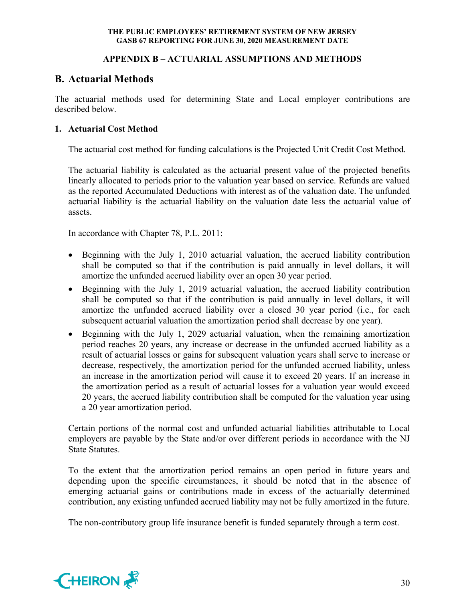# **APPENDIX B – ACTUARIAL ASSUMPTIONS AND METHODS**

# **B. Actuarial Methods**

The actuarial methods used for determining State and Local employer contributions are described below.

# **1. Actuarial Cost Method**

The actuarial cost method for funding calculations is the Projected Unit Credit Cost Method.

The actuarial liability is calculated as the actuarial present value of the projected benefits linearly allocated to periods prior to the valuation year based on service. Refunds are valued as the reported Accumulated Deductions with interest as of the valuation date. The unfunded actuarial liability is the actuarial liability on the valuation date less the actuarial value of assets.

In accordance with Chapter 78, P.L. 2011:

- Beginning with the July 1, 2010 actuarial valuation, the accrued liability contribution shall be computed so that if the contribution is paid annually in level dollars, it will amortize the unfunded accrued liability over an open 30 year period.
- Beginning with the July 1, 2019 actuarial valuation, the accrued liability contribution shall be computed so that if the contribution is paid annually in level dollars, it will amortize the unfunded accrued liability over a closed 30 year period (i.e., for each subsequent actuarial valuation the amortization period shall decrease by one year).
- Beginning with the July 1, 2029 actuarial valuation, when the remaining amortization period reaches 20 years, any increase or decrease in the unfunded accrued liability as a result of actuarial losses or gains for subsequent valuation years shall serve to increase or decrease, respectively, the amortization period for the unfunded accrued liability, unless an increase in the amortization period will cause it to exceed 20 years. If an increase in the amortization period as a result of actuarial losses for a valuation year would exceed 20 years, the accrued liability contribution shall be computed for the valuation year using a 20 year amortization period.

Certain portions of the normal cost and unfunded actuarial liabilities attributable to Local employers are payable by the State and/or over different periods in accordance with the NJ State Statutes.

To the extent that the amortization period remains an open period in future years and depending upon the specific circumstances, it should be noted that in the absence of emerging actuarial gains or contributions made in excess of the actuarially determined contribution, any existing unfunded accrued liability may not be fully amortized in the future.

The non-contributory group life insurance benefit is funded separately through a term cost.

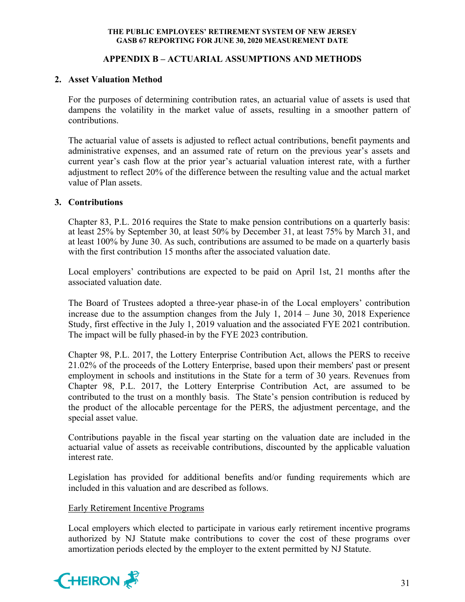# **APPENDIX B – ACTUARIAL ASSUMPTIONS AND METHODS**

## **2. Asset Valuation Method**

For the purposes of determining contribution rates, an actuarial value of assets is used that dampens the volatility in the market value of assets, resulting in a smoother pattern of contributions.

The actuarial value of assets is adjusted to reflect actual contributions, benefit payments and administrative expenses, and an assumed rate of return on the previous year's assets and current year's cash flow at the prior year's actuarial valuation interest rate, with a further adjustment to reflect 20% of the difference between the resulting value and the actual market value of Plan assets.

# **3. Contributions**

Chapter 83, P.L. 2016 requires the State to make pension contributions on a quarterly basis: at least 25% by September 30, at least 50% by December 31, at least 75% by March 31, and at least 100% by June 30. As such, contributions are assumed to be made on a quarterly basis with the first contribution 15 months after the associated valuation date.

Local employers' contributions are expected to be paid on April 1st, 21 months after the associated valuation date.

The Board of Trustees adopted a three-year phase-in of the Local employers' contribution increase due to the assumption changes from the July 1, 2014 – June 30, 2018 Experience Study, first effective in the July 1, 2019 valuation and the associated FYE 2021 contribution. The impact will be fully phased-in by the FYE 2023 contribution.

Chapter 98, P.L. 2017, the Lottery Enterprise Contribution Act, allows the PERS to receive 21.02% of the proceeds of the Lottery Enterprise, based upon their members' past or present employment in schools and institutions in the State for a term of 30 years. Revenues from Chapter 98, P.L. 2017, the Lottery Enterprise Contribution Act, are assumed to be contributed to the trust on a monthly basis. The State's pension contribution is reduced by the product of the allocable percentage for the PERS, the adjustment percentage, and the special asset value.

Contributions payable in the fiscal year starting on the valuation date are included in the actuarial value of assets as receivable contributions, discounted by the applicable valuation interest rate.

Legislation has provided for additional benefits and/or funding requirements which are included in this valuation and are described as follows.

## Early Retirement Incentive Programs

Local employers which elected to participate in various early retirement incentive programs authorized by NJ Statute make contributions to cover the cost of these programs over amortization periods elected by the employer to the extent permitted by NJ Statute.

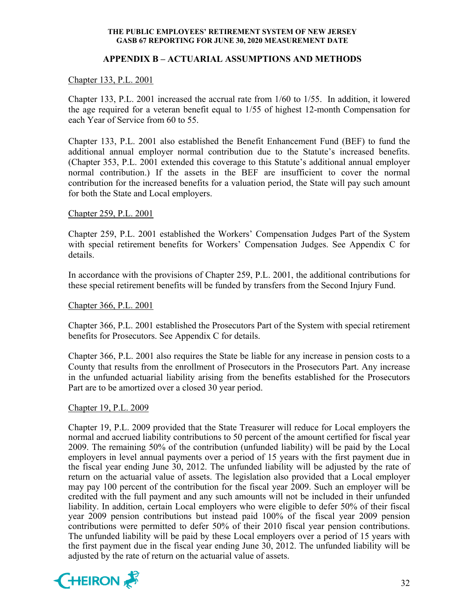# **APPENDIX B – ACTUARIAL ASSUMPTIONS AND METHODS**

## Chapter 133, P.L. 2001

Chapter 133, P.L. 2001 increased the accrual rate from 1/60 to 1/55. In addition, it lowered the age required for a veteran benefit equal to 1/55 of highest 12-month Compensation for each Year of Service from 60 to 55.

Chapter 133, P.L. 2001 also established the Benefit Enhancement Fund (BEF) to fund the additional annual employer normal contribution due to the Statute's increased benefits. (Chapter 353, P.L. 2001 extended this coverage to this Statute's additional annual employer normal contribution.) If the assets in the BEF are insufficient to cover the normal contribution for the increased benefits for a valuation period, the State will pay such amount for both the State and Local employers.

# Chapter 259, P.L. 2001

Chapter 259, P.L. 2001 established the Workers' Compensation Judges Part of the System with special retirement benefits for Workers' Compensation Judges. See Appendix C for details.

In accordance with the provisions of Chapter 259, P.L. 2001, the additional contributions for these special retirement benefits will be funded by transfers from the Second Injury Fund.

## Chapter 366, P.L. 2001

Chapter 366, P.L. 2001 established the Prosecutors Part of the System with special retirement benefits for Prosecutors. See Appendix C for details.

Chapter 366, P.L. 2001 also requires the State be liable for any increase in pension costs to a County that results from the enrollment of Prosecutors in the Prosecutors Part. Any increase in the unfunded actuarial liability arising from the benefits established for the Prosecutors Part are to be amortized over a closed 30 year period.

## Chapter 19, P.L. 2009

Chapter 19, P.L. 2009 provided that the State Treasurer will reduce for Local employers the normal and accrued liability contributions to 50 percent of the amount certified for fiscal year 2009. The remaining 50% of the contribution (unfunded liability) will be paid by the Local employers in level annual payments over a period of 15 years with the first payment due in the fiscal year ending June 30, 2012. The unfunded liability will be adjusted by the rate of return on the actuarial value of assets. The legislation also provided that a Local employer may pay 100 percent of the contribution for the fiscal year 2009. Such an employer will be credited with the full payment and any such amounts will not be included in their unfunded liability. In addition, certain Local employers who were eligible to defer 50% of their fiscal year 2009 pension contributions but instead paid 100% of the fiscal year 2009 pension contributions were permitted to defer 50% of their 2010 fiscal year pension contributions. The unfunded liability will be paid by these Local employers over a period of 15 years with the first payment due in the fiscal year ending June 30, 2012. The unfunded liability will be adjusted by the rate of return on the actuarial value of assets.

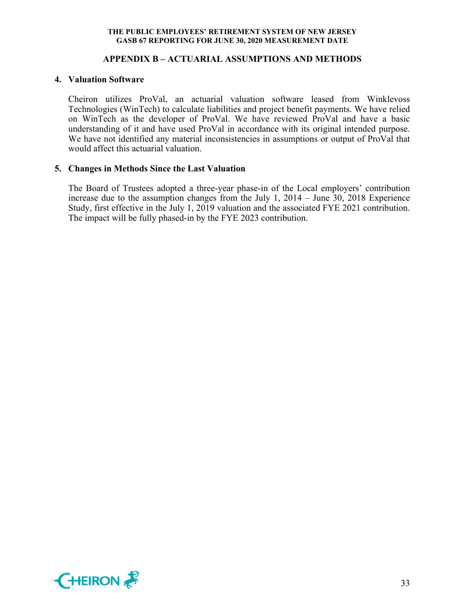# **APPENDIX B – ACTUARIAL ASSUMPTIONS AND METHODS**

#### **4. Valuation Software**

Cheiron utilizes ProVal, an actuarial valuation software leased from Winklevoss Technologies (WinTech) to calculate liabilities and project benefit payments. We have relied on WinTech as the developer of ProVal. We have reviewed ProVal and have a basic understanding of it and have used ProVal in accordance with its original intended purpose. We have not identified any material inconsistencies in assumptions or output of ProVal that would affect this actuarial valuation.

## **5. Changes in Methods Since the Last Valuation**

The Board of Trustees adopted a three-year phase-in of the Local employers' contribution increase due to the assumption changes from the July 1, 2014 – June 30, 2018 Experience Study, first effective in the July 1, 2019 valuation and the associated FYE 2021 contribution. The impact will be fully phased-in by the FYE 2023 contribution.

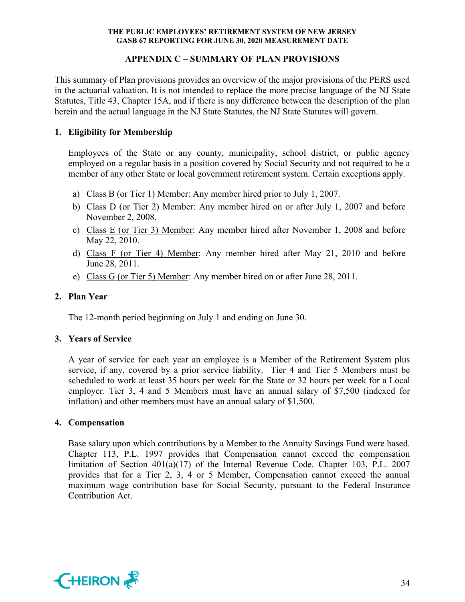# **APPENDIX C – SUMMARY OF PLAN PROVISIONS**

This summary of Plan provisions provides an overview of the major provisions of the PERS used in the actuarial valuation. It is not intended to replace the more precise language of the NJ State Statutes, Title 43, Chapter 15A, and if there is any difference between the description of the plan herein and the actual language in the NJ State Statutes, the NJ State Statutes will govern.

# **1. Eligibility for Membership**

Employees of the State or any county, municipality, school district, or public agency employed on a regular basis in a position covered by Social Security and not required to be a member of any other State or local government retirement system. Certain exceptions apply.

- a) Class B (or Tier 1) Member: Any member hired prior to July 1, 2007.
- b) Class D (or Tier 2) Member: Any member hired on or after July 1, 2007 and before November 2, 2008.
- c) Class E (or Tier 3) Member: Any member hired after November 1, 2008 and before May 22, 2010.
- d) Class F (or Tier 4) Member: Any member hired after May 21, 2010 and before June 28, 2011.
- e) Class G (or Tier 5) Member: Any member hired on or after June 28, 2011.

# **2. Plan Year**

The 12-month period beginning on July 1 and ending on June 30.

## **3. Years of Service**

A year of service for each year an employee is a Member of the Retirement System plus service, if any, covered by a prior service liability. Tier 4 and Tier 5 Members must be scheduled to work at least 35 hours per week for the State or 32 hours per week for a Local employer. Tier 3, 4 and 5 Members must have an annual salary of \$7,500 (indexed for inflation) and other members must have an annual salary of \$1,500.

## **4. Compensation**

Base salary upon which contributions by a Member to the Annuity Savings Fund were based. Chapter 113, P.L. 1997 provides that Compensation cannot exceed the compensation limitation of Section 401(a)(17) of the Internal Revenue Code. Chapter 103, P.L. 2007 provides that for a Tier 2, 3, 4 or 5 Member, Compensation cannot exceed the annual maximum wage contribution base for Social Security, pursuant to the Federal Insurance Contribution Act.

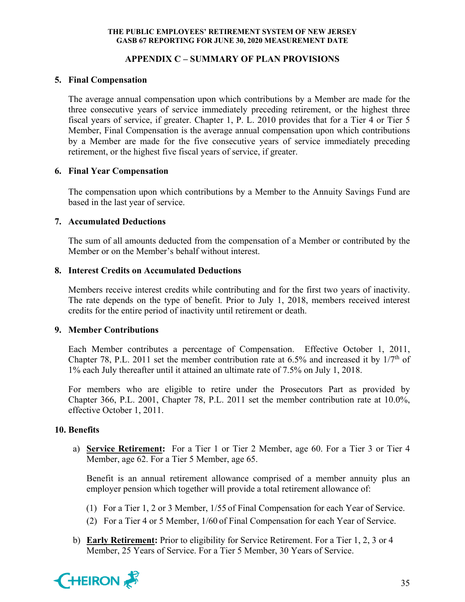# **APPENDIX C – SUMMARY OF PLAN PROVISIONS**

## **5. Final Compensation**

The average annual compensation upon which contributions by a Member are made for the three consecutive years of service immediately preceding retirement, or the highest three fiscal years of service, if greater. Chapter 1, P. L. 2010 provides that for a Tier 4 or Tier 5 Member, Final Compensation is the average annual compensation upon which contributions by a Member are made for the five consecutive years of service immediately preceding retirement, or the highest five fiscal years of service, if greater.

# **6. Final Year Compensation**

The compensation upon which contributions by a Member to the Annuity Savings Fund are based in the last year of service.

# **7. Accumulated Deductions**

The sum of all amounts deducted from the compensation of a Member or contributed by the Member or on the Member's behalf without interest.

# **8. Interest Credits on Accumulated Deductions**

Members receive interest credits while contributing and for the first two years of inactivity. The rate depends on the type of benefit. Prior to July 1, 2018, members received interest credits for the entire period of inactivity until retirement or death.

## **9. Member Contributions**

Each Member contributes a percentage of Compensation. Effective October 1, 2011, Chapter 78, P.L. 2011 set the member contribution rate at 6.5% and increased it by  $1/7<sup>th</sup>$  of 1% each July thereafter until it attained an ultimate rate of 7.5% on July 1, 2018.

For members who are eligible to retire under the Prosecutors Part as provided by Chapter 366, P.L. 2001, Chapter 78, P.L. 2011 set the member contribution rate at 10.0%, effective October 1, 2011.

## **10. Benefits**

a) **Service Retirement:** For a Tier 1 or Tier 2 Member, age 60. For a Tier 3 or Tier 4 Member, age 62. For a Tier 5 Member, age 65.

Benefit is an annual retirement allowance comprised of a member annuity plus an employer pension which together will provide a total retirement allowance of:

- (1) For a Tier 1, 2 or 3 Member, 1/55 of Final Compensation for each Year of Service.
- (2) For a Tier 4 or 5 Member, 1/60 of Final Compensation for each Year of Service.
- b) **Early Retirement:** Prior to eligibility for Service Retirement. For a Tier 1, 2, 3 or 4 Member, 25 Years of Service. For a Tier 5 Member, 30 Years of Service.

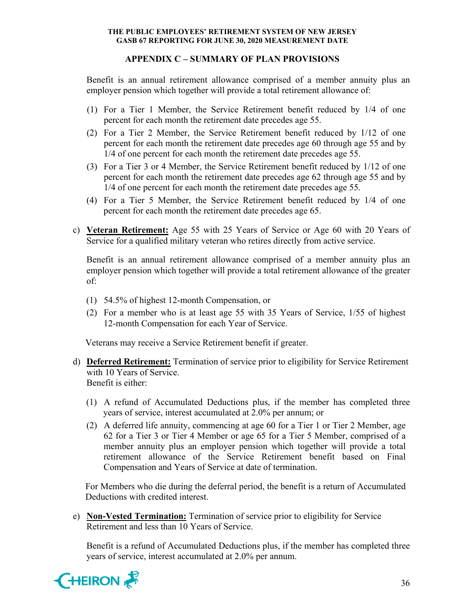# **APPENDIX C – SUMMARY OF PLAN PROVISIONS**

Benefit is an annual retirement allowance comprised of a member annuity plus an employer pension which together will provide a total retirement allowance of:

- (1) For a Tier 1 Member, the Service Retirement benefit reduced by 1/4 of one percent for each month the retirement date precedes age 55.
- (2) For a Tier 2 Member, the Service Retirement benefit reduced by 1/12 of one percent for each month the retirement date precedes age 60 through age 55 and by 1/4 of one percent for each month the retirement date precedes age 55.
- (3) For a Tier 3 or 4 Member, the Service Retirement benefit reduced by 1/12 of one percent for each month the retirement date precedes age 62 through age 55 and by 1/4 of one percent for each month the retirement date precedes age 55.
- (4) For a Tier 5 Member, the Service Retirement benefit reduced by 1/4 of one percent for each month the retirement date precedes age 65.
- c) **Veteran Retirement:** Age 55 with 25 Years of Service or Age 60 with 20 Years of Service for a qualified military veteran who retires directly from active service.

Benefit is an annual retirement allowance comprised of a member annuity plus an employer pension which together will provide a total retirement allowance of the greater of:

- (1) 54.5% of highest 12-month Compensation, or
- (2) For a member who is at least age 55 with 35 Years of Service, 1/55 of highest 12-month Compensation for each Year of Service.

Veterans may receive a Service Retirement benefit if greater.

- d) **Deferred Retirement:** Termination of service prior to eligibility for Service Retirement with 10 Years of Service. Benefit is either:
	- (1) A refund of Accumulated Deductions plus, if the member has completed three years of service, interest accumulated at 2.0% per annum; or
	- (2) A deferred life annuity, commencing at age 60 for a Tier 1 or Tier 2 Member, age 62 for a Tier 3 or Tier 4 Member or age 65 for a Tier 5 Member, comprised of a member annuity plus an employer pension which together will provide a total retirement allowance of the Service Retirement benefit based on Final Compensation and Years of Service at date of termination.

For Members who die during the deferral period, the benefit is a return of Accumulated Deductions with credited interest.

e) **Non-Vested Termination:** Termination of service prior to eligibility for Service Retirement and less than 10 Years of Service.

Benefit is a refund of Accumulated Deductions plus, if the member has completed three years of service, interest accumulated at 2.0% per annum.

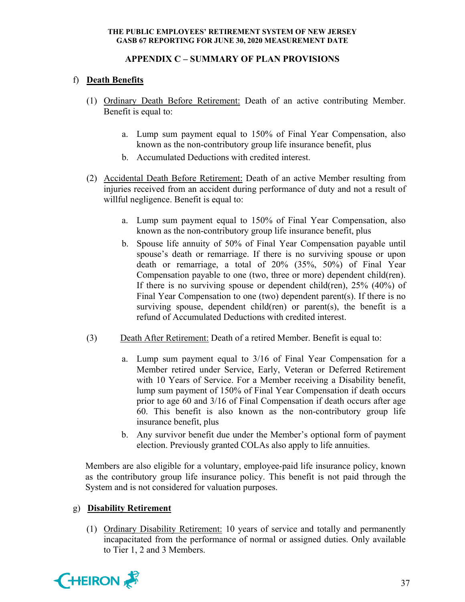# **APPENDIX C – SUMMARY OF PLAN PROVISIONS**

# f) **Death Benefits**

- (1) Ordinary Death Before Retirement: Death of an active contributing Member. Benefit is equal to:
	- a. Lump sum payment equal to 150% of Final Year Compensation, also known as the non-contributory group life insurance benefit, plus
	- b. Accumulated Deductions with credited interest.
- (2) Accidental Death Before Retirement: Death of an active Member resulting from injuries received from an accident during performance of duty and not a result of willful negligence. Benefit is equal to:
	- a. Lump sum payment equal to 150% of Final Year Compensation, also known as the non-contributory group life insurance benefit, plus
	- b. Spouse life annuity of 50% of Final Year Compensation payable until spouse's death or remarriage. If there is no surviving spouse or upon death or remarriage, a total of 20% (35%, 50%) of Final Year Compensation payable to one (two, three or more) dependent child(ren). If there is no surviving spouse or dependent child(ren), 25% (40%) of Final Year Compensation to one (two) dependent parent(s). If there is no surviving spouse, dependent child(ren) or parent(s), the benefit is a refund of Accumulated Deductions with credited interest.
- (3) Death After Retirement: Death of a retired Member. Benefit is equal to:
	- a. Lump sum payment equal to 3/16 of Final Year Compensation for a Member retired under Service, Early, Veteran or Deferred Retirement with 10 Years of Service. For a Member receiving a Disability benefit, lump sum payment of 150% of Final Year Compensation if death occurs prior to age 60 and 3/16 of Final Compensation if death occurs after age 60. This benefit is also known as the non-contributory group life insurance benefit, plus
	- b. Any survivor benefit due under the Member's optional form of payment election. Previously granted COLAs also apply to life annuities.

Members are also eligible for a voluntary, employee-paid life insurance policy, known as the contributory group life insurance policy. This benefit is not paid through the System and is not considered for valuation purposes.

# g) **Disability Retirement**

(1) Ordinary Disability Retirement: 10 years of service and totally and permanently incapacitated from the performance of normal or assigned duties. Only available to Tier 1, 2 and 3 Members.

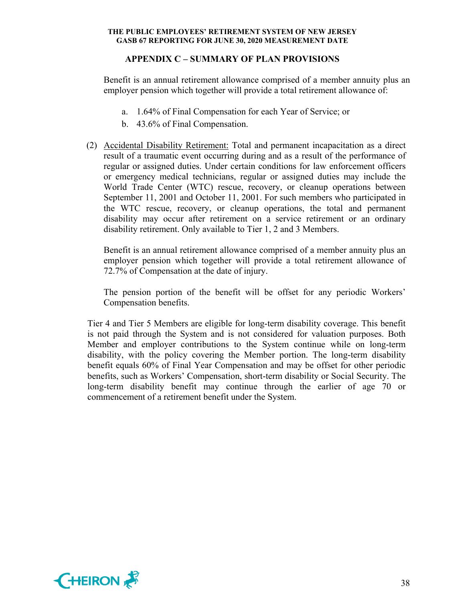# **APPENDIX C – SUMMARY OF PLAN PROVISIONS**

Benefit is an annual retirement allowance comprised of a member annuity plus an employer pension which together will provide a total retirement allowance of:

- a. 1.64% of Final Compensation for each Year of Service; or
- b. 43.6% of Final Compensation.
- (2) Accidental Disability Retirement: Total and permanent incapacitation as a direct result of a traumatic event occurring during and as a result of the performance of regular or assigned duties. Under certain conditions for law enforcement officers or emergency medical technicians, regular or assigned duties may include the World Trade Center (WTC) rescue, recovery, or cleanup operations between September 11, 2001 and October 11, 2001. For such members who participated in the WTC rescue, recovery, or cleanup operations, the total and permanent disability may occur after retirement on a service retirement or an ordinary disability retirement. Only available to Tier 1, 2 and 3 Members.

Benefit is an annual retirement allowance comprised of a member annuity plus an employer pension which together will provide a total retirement allowance of 72.7% of Compensation at the date of injury.

The pension portion of the benefit will be offset for any periodic Workers' Compensation benefits.

Tier 4 and Tier 5 Members are eligible for long-term disability coverage. This benefit is not paid through the System and is not considered for valuation purposes. Both Member and employer contributions to the System continue while on long-term disability, with the policy covering the Member portion. The long-term disability benefit equals 60% of Final Year Compensation and may be offset for other periodic benefits, such as Workers' Compensation, short-term disability or Social Security. The long-term disability benefit may continue through the earlier of age 70 or commencement of a retirement benefit under the System.

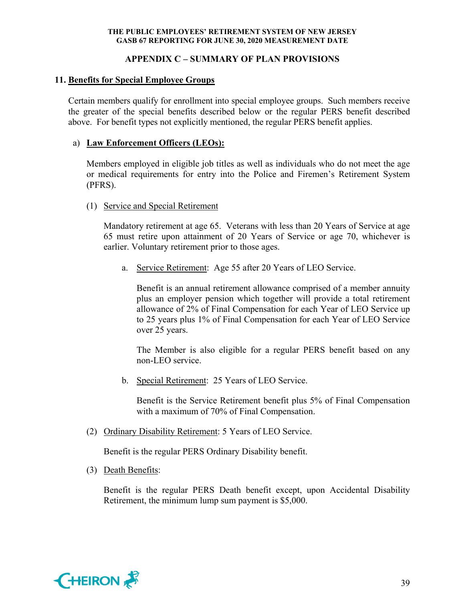# **APPENDIX C – SUMMARY OF PLAN PROVISIONS**

# **11. Benefits for Special Employee Groups**

Certain members qualify for enrollment into special employee groups. Such members receive the greater of the special benefits described below or the regular PERS benefit described above. For benefit types not explicitly mentioned, the regular PERS benefit applies.

# a) **Law Enforcement Officers (LEOs):**

Members employed in eligible job titles as well as individuals who do not meet the age or medical requirements for entry into the Police and Firemen's Retirement System (PFRS).

## (1) Service and Special Retirement

Mandatory retirement at age 65. Veterans with less than 20 Years of Service at age 65 must retire upon attainment of 20 Years of Service or age 70, whichever is earlier. Voluntary retirement prior to those ages.

a. Service Retirement: Age 55 after 20 Years of LEO Service.

Benefit is an annual retirement allowance comprised of a member annuity plus an employer pension which together will provide a total retirement allowance of 2% of Final Compensation for each Year of LEO Service up to 25 years plus 1% of Final Compensation for each Year of LEO Service over 25 years.

The Member is also eligible for a regular PERS benefit based on any non-LEO service.

b. Special Retirement: 25 Years of LEO Service.

Benefit is the Service Retirement benefit plus 5% of Final Compensation with a maximum of 70% of Final Compensation.

(2) Ordinary Disability Retirement: 5 Years of LEO Service.

Benefit is the regular PERS Ordinary Disability benefit.

(3) Death Benefits:

Benefit is the regular PERS Death benefit except, upon Accidental Disability Retirement, the minimum lump sum payment is \$5,000.

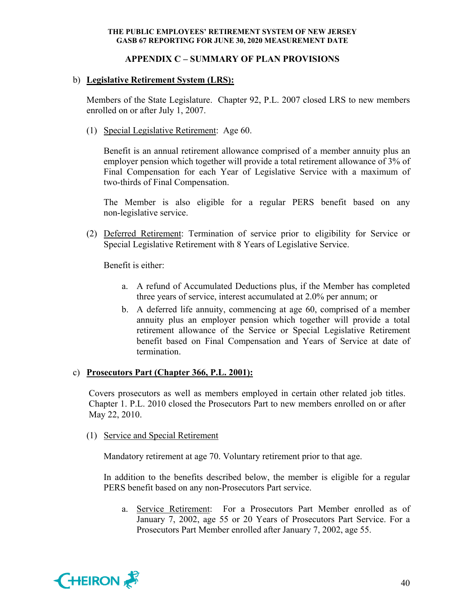# **APPENDIX C – SUMMARY OF PLAN PROVISIONS**

# b) **Legislative Retirement System (LRS):**

Members of the State Legislature. Chapter 92, P.L. 2007 closed LRS to new members enrolled on or after July 1, 2007.

(1) Special Legislative Retirement: Age 60.

Benefit is an annual retirement allowance comprised of a member annuity plus an employer pension which together will provide a total retirement allowance of 3% of Final Compensation for each Year of Legislative Service with a maximum of two-thirds of Final Compensation.

The Member is also eligible for a regular PERS benefit based on any non-legislative service.

(2) Deferred Retirement: Termination of service prior to eligibility for Service or Special Legislative Retirement with 8 Years of Legislative Service.

Benefit is either:

- a. A refund of Accumulated Deductions plus, if the Member has completed three years of service, interest accumulated at 2.0% per annum; or
- b. A deferred life annuity, commencing at age 60, comprised of a member annuity plus an employer pension which together will provide a total retirement allowance of the Service or Special Legislative Retirement benefit based on Final Compensation and Years of Service at date of termination.

## c) **Prosecutors Part (Chapter 366, P.L. 2001):**

Covers prosecutors as well as members employed in certain other related job titles. Chapter 1. P.L. 2010 closed the Prosecutors Part to new members enrolled on or after May 22, 2010.

#### (1) Service and Special Retirement

Mandatory retirement at age 70. Voluntary retirement prior to that age.

In addition to the benefits described below, the member is eligible for a regular PERS benefit based on any non-Prosecutors Part service.

a. Service Retirement: For a Prosecutors Part Member enrolled as of January 7, 2002, age 55 or 20 Years of Prosecutors Part Service. For a Prosecutors Part Member enrolled after January 7, 2002, age 55.

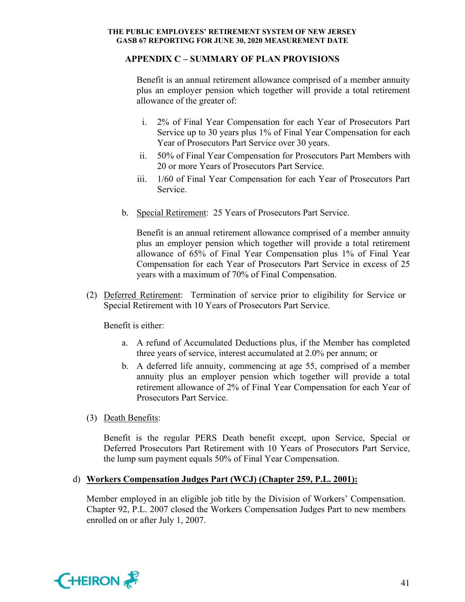# **APPENDIX C – SUMMARY OF PLAN PROVISIONS**

Benefit is an annual retirement allowance comprised of a member annuity plus an employer pension which together will provide a total retirement allowance of the greater of:

- i. 2% of Final Year Compensation for each Year of Prosecutors Part Service up to 30 years plus 1% of Final Year Compensation for each Year of Prosecutors Part Service over 30 years.
- ii. 50% of Final Year Compensation for Prosecutors Part Members with 20 or more Years of Prosecutors Part Service.
- iii. 1/60 of Final Year Compensation for each Year of Prosecutors Part Service.
- b. Special Retirement: 25 Years of Prosecutors Part Service.

Benefit is an annual retirement allowance comprised of a member annuity plus an employer pension which together will provide a total retirement allowance of 65% of Final Year Compensation plus 1% of Final Year Compensation for each Year of Prosecutors Part Service in excess of 25 years with a maximum of 70% of Final Compensation.

(2) Deferred Retirement: Termination of service prior to eligibility for Service or Special Retirement with 10 Years of Prosecutors Part Service.

Benefit is either:

- a. A refund of Accumulated Deductions plus, if the Member has completed three years of service, interest accumulated at 2.0% per annum; or
- b. A deferred life annuity, commencing at age 55, comprised of a member annuity plus an employer pension which together will provide a total retirement allowance of 2% of Final Year Compensation for each Year of Prosecutors Part Service.
- (3) Death Benefits:

Benefit is the regular PERS Death benefit except, upon Service, Special or Deferred Prosecutors Part Retirement with 10 Years of Prosecutors Part Service, the lump sum payment equals 50% of Final Year Compensation.

## d) **Workers Compensation Judges Part (WCJ) (Chapter 259, P.L. 2001):**

Member employed in an eligible job title by the Division of Workers' Compensation. Chapter 92, P.L. 2007 closed the Workers Compensation Judges Part to new members enrolled on or after July 1, 2007.

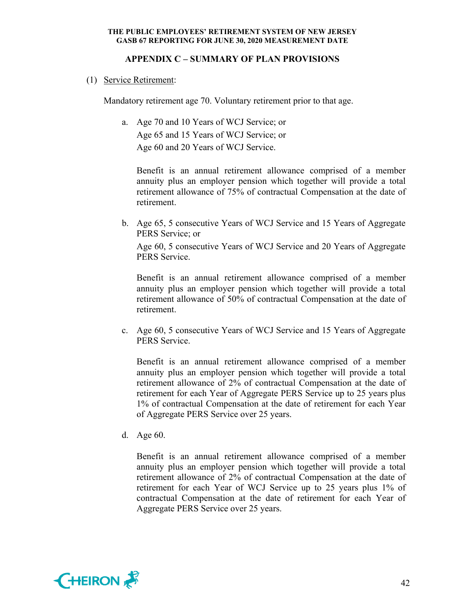# **APPENDIX C – SUMMARY OF PLAN PROVISIONS**

(1) Service Retirement:

Mandatory retirement age 70. Voluntary retirement prior to that age.

a. Age 70 and 10 Years of WCJ Service; or Age 65 and 15 Years of WCJ Service; or Age 60 and 20 Years of WCJ Service.

 Benefit is an annual retirement allowance comprised of a member annuity plus an employer pension which together will provide a total retirement allowance of 75% of contractual Compensation at the date of retirement.

b. Age 65, 5 consecutive Years of WCJ Service and 15 Years of Aggregate PERS Service; or

 Age 60, 5 consecutive Years of WCJ Service and 20 Years of Aggregate PERS Service.

 Benefit is an annual retirement allowance comprised of a member annuity plus an employer pension which together will provide a total retirement allowance of 50% of contractual Compensation at the date of retirement.

c. Age 60, 5 consecutive Years of WCJ Service and 15 Years of Aggregate PERS Service.

 Benefit is an annual retirement allowance comprised of a member annuity plus an employer pension which together will provide a total retirement allowance of 2% of contractual Compensation at the date of retirement for each Year of Aggregate PERS Service up to 25 years plus 1% of contractual Compensation at the date of retirement for each Year of Aggregate PERS Service over 25 years.

d. Age 60.

 Benefit is an annual retirement allowance comprised of a member annuity plus an employer pension which together will provide a total retirement allowance of 2% of contractual Compensation at the date of retirement for each Year of WCJ Service up to 25 years plus 1% of contractual Compensation at the date of retirement for each Year of Aggregate PERS Service over 25 years.

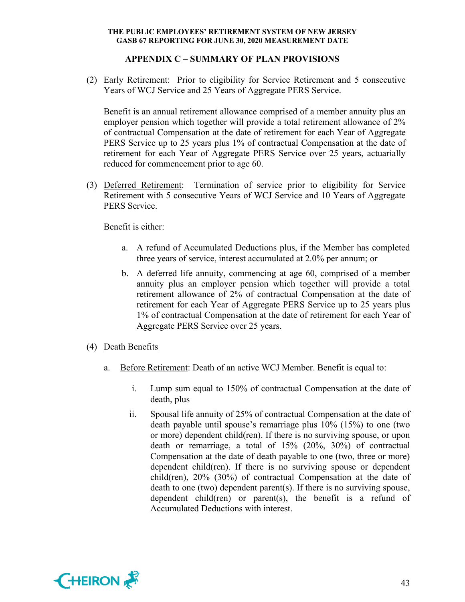# **APPENDIX C – SUMMARY OF PLAN PROVISIONS**

(2) Early Retirement: Prior to eligibility for Service Retirement and 5 consecutive Years of WCJ Service and 25 Years of Aggregate PERS Service.

Benefit is an annual retirement allowance comprised of a member annuity plus an employer pension which together will provide a total retirement allowance of 2% of contractual Compensation at the date of retirement for each Year of Aggregate PERS Service up to 25 years plus 1% of contractual Compensation at the date of retirement for each Year of Aggregate PERS Service over 25 years, actuarially reduced for commencement prior to age 60.

(3) Deferred Retirement: Termination of service prior to eligibility for Service Retirement with 5 consecutive Years of WCJ Service and 10 Years of Aggregate PERS Service.

Benefit is either:

- a. A refund of Accumulated Deductions plus, if the Member has completed three years of service, interest accumulated at 2.0% per annum; or
- b. A deferred life annuity, commencing at age 60, comprised of a member annuity plus an employer pension which together will provide a total retirement allowance of 2% of contractual Compensation at the date of retirement for each Year of Aggregate PERS Service up to 25 years plus 1% of contractual Compensation at the date of retirement for each Year of Aggregate PERS Service over 25 years.
- (4) Death Benefits
	- a. Before Retirement: Death of an active WCJ Member. Benefit is equal to:
		- i. Lump sum equal to 150% of contractual Compensation at the date of death, plus
		- ii. Spousal life annuity of 25% of contractual Compensation at the date of death payable until spouse's remarriage plus 10% (15%) to one (two or more) dependent child(ren). If there is no surviving spouse, or upon death or remarriage, a total of 15% (20%, 30%) of contractual Compensation at the date of death payable to one (two, three or more) dependent child(ren). If there is no surviving spouse or dependent child(ren), 20% (30%) of contractual Compensation at the date of death to one (two) dependent parent(s). If there is no surviving spouse, dependent child(ren) or parent(s), the benefit is a refund of Accumulated Deductions with interest.

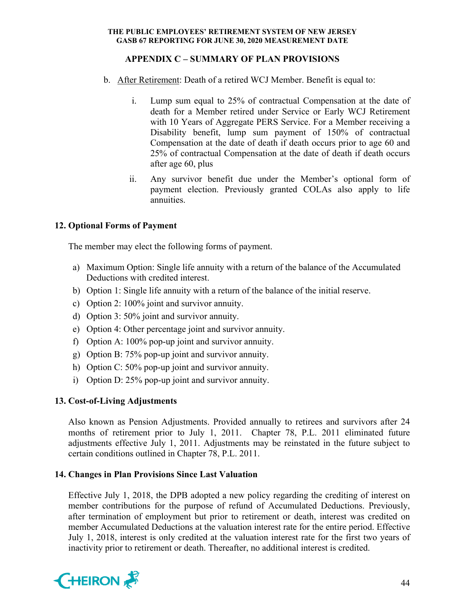# **APPENDIX C – SUMMARY OF PLAN PROVISIONS**

- b. After Retirement: Death of a retired WCJ Member. Benefit is equal to:
	- i. Lump sum equal to 25% of contractual Compensation at the date of death for a Member retired under Service or Early WCJ Retirement with 10 Years of Aggregate PERS Service. For a Member receiving a Disability benefit, lump sum payment of 150% of contractual Compensation at the date of death if death occurs prior to age 60 and 25% of contractual Compensation at the date of death if death occurs after age 60, plus
	- ii. Any survivor benefit due under the Member's optional form of payment election. Previously granted COLAs also apply to life annuities.

# **12. Optional Forms of Payment**

The member may elect the following forms of payment.

- a) Maximum Option: Single life annuity with a return of the balance of the Accumulated Deductions with credited interest.
- b) Option 1: Single life annuity with a return of the balance of the initial reserve.
- c) Option 2: 100% joint and survivor annuity.
- d) Option 3: 50% joint and survivor annuity.
- e) Option 4: Other percentage joint and survivor annuity.
- f) Option A: 100% pop-up joint and survivor annuity.
- g) Option B: 75% pop-up joint and survivor annuity.
- h) Option C: 50% pop-up joint and survivor annuity.
- i) Option D: 25% pop-up joint and survivor annuity.

# **13. Cost-of-Living Adjustments**

Also known as Pension Adjustments. Provided annually to retirees and survivors after 24 months of retirement prior to July 1, 2011. Chapter 78, P.L. 2011 eliminated future adjustments effective July 1, 2011. Adjustments may be reinstated in the future subject to certain conditions outlined in Chapter 78, P.L. 2011.

# **14. Changes in Plan Provisions Since Last Valuation**

Effective July 1, 2018, the DPB adopted a new policy regarding the crediting of interest on member contributions for the purpose of refund of Accumulated Deductions. Previously, after termination of employment but prior to retirement or death, interest was credited on member Accumulated Deductions at the valuation interest rate for the entire period. Effective July 1, 2018, interest is only credited at the valuation interest rate for the first two years of inactivity prior to retirement or death. Thereafter, no additional interest is credited.

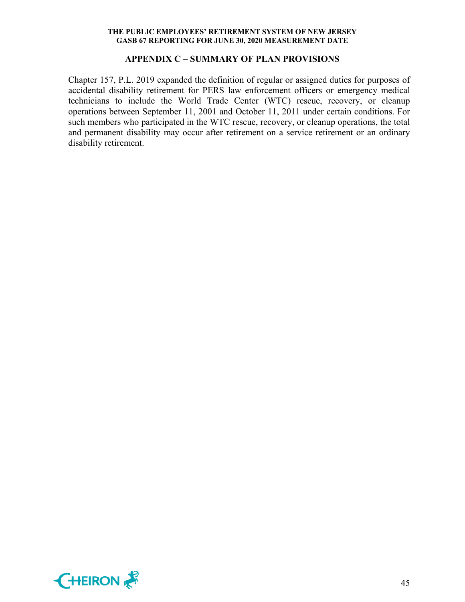#### **APPENDIX C – SUMMARY OF PLAN PROVISIONS**

Chapter 157, P.L. 2019 expanded the definition of regular or assigned duties for purposes of accidental disability retirement for PERS law enforcement officers or emergency medical technicians to include the World Trade Center (WTC) rescue, recovery, or cleanup operations between September 11, 2001 and October 11, 2011 under certain conditions. For such members who participated in the WTC rescue, recovery, or cleanup operations, the total and permanent disability may occur after retirement on a service retirement or an ordinary disability retirement.

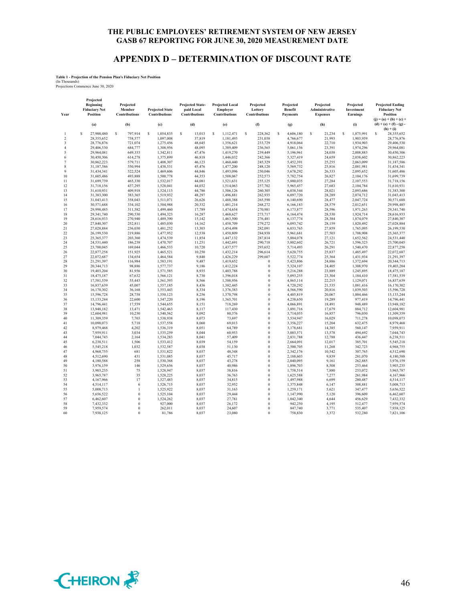## **APPENDIX D – DETERMINATION OF DISCOUNT RATE**

#### **Table 1 - Projection of the Pension Plan's Fiduciary Net Position**

(In Thousands) Projections Commence June 30, 2020

| Year                     | Projected<br><b>Beginning</b><br><b>Fiduciary Net</b><br>Position | Projected<br>Member<br><b>Contributions</b> | <b>Projected State</b><br>Contributions | <b>Projected State-</b><br>paid Local<br>Contributions | <b>Projected Local</b><br>Employer<br><b>Contributions</b> | Projected<br>Lottery<br>Contributions | Projected<br>Benefit<br>Payments | Projected<br>Administrative<br><b>Expenses</b> | Projected<br>Investment<br>Earnings | <b>Projected Ending</b><br><b>Fiduciary Net</b><br>Position           |
|--------------------------|-------------------------------------------------------------------|---------------------------------------------|-----------------------------------------|--------------------------------------------------------|------------------------------------------------------------|---------------------------------------|----------------------------------|------------------------------------------------|-------------------------------------|-----------------------------------------------------------------------|
|                          | (a)                                                               | (b)                                         | (c)                                     | (d)                                                    | (e)                                                        | (f)                                   | (g)                              | (h)                                            | (i)                                 | $(j) = (a) + (b) + (c) +$<br>$(d) + (e) + (f) - (g)$ .<br>$(h) + (i)$ |
| 1                        | Ś<br>27,900,480                                                   | s<br>797.914                                | $\mathbf S$<br>1.054.835                | s<br>13,013                                            | $\mathbf S$<br>1.112.471                                   | $\mathbf S$<br>228,362                | s<br>4,606,180                   | Ś<br>21.234                                    | s<br>1,875,991                      | s<br>28,355,652                                                       |
| $\overline{c}$           | 28,355,652                                                        | 758,577                                     | 1,097,008                               | 37,819                                                 | 1,181,493                                                  | 231,038                               | 4,766,677                        | 21,993                                         | 1,903,959                           | 28,776,876                                                            |
| 3                        | 28,776,876                                                        | 721,074                                     | 1,275,456                               | 48,645                                                 | 1,356,621                                                  | 233,729                               | 4,918,064                        | 22,710                                         | 1,934,903                           | 29,406,530                                                            |
| $\overline{4}$           | 29,406,530                                                        | 684,777                                     | 1,308,956                               | 48,095                                                 | 1,389,409                                                  | 236,565                               | 5,061,156                        | 23,391                                         | 1,974,296                           | 29,964,081                                                            |
| $\overline{\phantom{0}}$ | 29,964,081                                                        | 649,333                                     | 1,342,811                               | 47,476                                                 | 1,419,270                                                  | 239,449                               | 5,196,961                        | 24,038                                         | 2,008,883                           | 30,450,306                                                            |
| 6<br>$\overline{7}$      | 30,450,306                                                        | 614,278                                     | 1,375,899                               | 46,818                                                 | 1,446,032                                                  | 242,366                               | 5,327,419                        | 24,659                                         | 2,038,602                           | 30,862,223                                                            |
| 8                        | 30,862,223                                                        | 579,711<br>550,994                          | 1,408,307                               | 46,123                                                 | 1,460,440                                                  | 245,329<br>248,120                    | 5,452,391                        | 25,255<br>25,816                               | 2,063,099                           | 31,187,586                                                            |
| 9                        | 31,187,586<br>31,434,341                                          | 522,524                                     | 1,438,531<br>1.469.606                  | 45,476<br>44,846                                       | 1,477,200<br>1,493,096                                     | 250,046                               | 5,569,732<br>5,678,292           | 26,333                                         | 2,081,981<br>2,095,652              | 31,434,341<br>31,605,486                                              |
| 10                       | 31,605,486                                                        | 493,888                                     | 1,500,778                               | 44,353                                                 | 1,508,067                                                  | 252,573                               | 5,782,754                        | 26,827                                         | 2,104,176                           | 31,699,739                                                            |
| 11                       | 31,699,739                                                        | 465,330                                     | 1,532,017                               | 44,081                                                 | 1,521,631                                                  | 255,125                               | 5,880,035                        | 27,284                                         | 2,107,553                           | 31,718,156                                                            |
| 12                       | 31,718,156                                                        | 437,295                                     | 1,528,041                               | 44,032                                                 | 1,514,063                                                  | 257,702                               | 5,965,457                        | 27,683                                         | 2,104,784                           | 31,610,931                                                            |
| 13                       | 31,610,931                                                        | 409,918                                     | 1,524,113                               | 44,786                                                 | 1,506,126                                                  | 260,305                               | 6,038,544                        | 28,021                                         | 2,093,686                           | 31,383,300                                                            |
| 14                       | 31,383,300                                                        | 383,365                                     | 1,519,932                               | 48,297                                                 | 1,496,881                                                  | 262,935                               | 6,097,720                        | 28,289                                         | 2,074,712                           | 31,043,413                                                            |
| 15                       | 31,043,413                                                        | 358,043                                     | 1,511,071                               | 26,626                                                 | 1,488,388                                                  | 265,590                               | 6,140,690                        | 28,477                                         | 2,047,724                           | 30,571,688                                                            |
| 16                       | 30,571,688                                                        | 334.102                                     | 1.504.988                               | 20.332                                                 | 1,481,214                                                  | 268,272                               | 6.166.183                        | 28,579                                         | 2.012.651                           | 29,998,485                                                            |
| 17                       | 29,998,485                                                        | 311,582                                     | 1,499,460                               | 17,789                                                 | 1,474,654                                                  | 270,981                               | 6,173,877                        | 28,596                                         | 1,971,263                           | 29,341,740                                                            |
| 18                       | 29,341,740                                                        | 290,530                                     | 1,494,323                               | 16,287                                                 | 1,468,627                                                  | 273,717                               | 6,164,474                        | 28,530                                         | 1,924,714                           | 28,616,933                                                            |
| 19                       | 28,616,933                                                        | 270,940                                     | 1,489,390                               | 15,142                                                 | 1,463,500                                                  | 276,481                               | 6,137,774                        | 28,384                                         | 1,874,079                           | 27,840,307                                                            |
| 20                       | 27,840,307                                                        | 252,811                                     | 1,485,030                               | 14,162                                                 | 1,458,709                                                  | 279,272                               | 6,093,742                        | 28,159                                         | 1,820,492                           | 27,028,884                                                            |
| 21                       | 27,028,884                                                        | 236,030                                     | 1,481,252                               | 13,303                                                 | 1,454,498                                                  | 282,091                               | 6,033,765                        | 27,859                                         | 1,765,095                           | 26,199,530                                                            |
| 22                       | 26,199,530                                                        | 219,886                                     | 1,477,952                               | 12,538                                                 | 1,450,809                                                  | 284,938                               | 5,961,681                        | 27,503                                         | 1,708,908                           | 25,365,377                                                            |
| 23                       | 25,365,377                                                        | 203,360                                     | 1,474,539                               | 11,854                                                 | 1,447,132                                                  | 287,814                               | 5,884,078                        | 27,121                                         | 1,652,562                           | 24,531,440                                                            |
| 24                       | 24,531,440                                                        | 186,238                                     | 1,470,707                               | 11,251                                                 | 1,442,691                                                  | 290,718                               | 5,802,602                        | 26,721                                         | 1,596,323                           | 23,700,045                                                            |
| 25                       | 23,700,045                                                        | 169,044                                     | 1,466,533                               | 10,720                                                 | 1,437,577                                                  | 293,652                               | 5,714,493                        | 26,291                                         | 1,540,470                           | 22,877,258                                                            |
| 26                       | 22,877,258                                                        | 151,925                                     | 1,465,521                               | 10,250                                                 | 1,432,214                                                  | 296,614                               | 5,620,755                        | 25,837                                         | 1,485,497                           | 22,072,687                                                            |
| 27<br>28                 | 22,072,687<br>21,291,397                                          | 134,654<br>116,984                          | 1,464,584<br>1,583,191                  | 9,840<br>9,487                                         | 1,426,229<br>1,419,652                                     | 299,607<br>$\bf{0}$                   | 5,522,774<br>5,423,806           | 25,364<br>24,886                               | 1,431,934<br>1,372,694              | 21,291,397<br>20,344,713                                              |
| 29                       | 20,344,713                                                        | 98,886                                      | 1,577,737                               | 9,186                                                  | 1,412,224                                                  | $\bf{0}$                              | 5,324,107                        | 24,405                                         | 1,308,970                           | 19,403,204                                                            |
| 30                       | 19,403,204                                                        | 81,956                                      | 1,571,585                               | 8,935                                                  | 1,403,788                                                  | $\boldsymbol{0}$                      | 5,216,288                        | 23,889                                         | 1,245,895                           | 18,475,187                                                            |
| 31                       | 18,475,187                                                        | 67,632                                      | 1.566.121                               | 8,730                                                  | 1,396,018                                                  | $\bf{0}$                              | 5,093,255                        | 23,304                                         | 1,184,410                           | 17.581.539                                                            |
| 32                       | 17,581,539                                                        | 55,443                                      | 1,561,393                               | 8,566                                                  | 1,388,956                                                  | $\bf{0}$                              | 4,865,114                        | 22,215                                         | 1,129,071                           | 16,837,639                                                            |
| 33                       | 16,837,639                                                        | 45,007                                      | 1,557,185                               | 8,436                                                  | 1,382,445                                                  | $\bf{0}$                              | 4,720,292                        | 21,535                                         | 1,081,416                           | 16,170,302                                                            |
| 34                       | 16,170,302                                                        | 36,168                                      | 1,553,443                               | 8,334                                                  | 1,376,383                                                  | $\boldsymbol{0}$                      | 4,566,590                        | 20,816                                         | 1,039,503                           | 15,596,728                                                            |
| 35                       | 15,596,728                                                        | 28,758                                      | 1.550.123                               | 8,256                                                  | 1.370.798                                                  | $\overline{0}$                        | 4,405,819                        | 20,067                                         | 1,004,466                           | 15.133.244                                                            |
| 36                       | 15,133,244                                                        | 22,600                                      | 1,547,220                               | 8,196                                                  | 1,365,701                                                  | $\mathbf{0}$                          | 4,238,650                        | 19,289                                         | 977,419                             | 14,796,441                                                            |
| 37                       | 14,796,441                                                        | 17,559                                      | 1,544,655                               | 8,151                                                  | 718,269                                                    | $\bf{0}$                              | 4,066,891                        | 18,491                                         | 948,489                             | 13,948,182                                                            |
| 38                       | 13,948,182                                                        | 13,471                                      | 1,542,463                               | 8,117                                                  | 117,430                                                    | $\bf{0}$                              | 3,891,716                        | 17,679                                         | 884,712                             | 12,604,981                                                            |
| 39                       | 12,604,981                                                        | 10,230                                      | 1,540,562                               | 8,092                                                  | 80,376                                                     | $\bf{0}$                              | 3,714,055                        | 16,857                                         | 796,030                             | 11,309,359                                                            |
| 40                       | 11,309,359                                                        | 7,703                                       | 1,538,938                               | 8,073                                                  | 73,697                                                     | $\bf{0}$                              | 3,534,947                        | 16,029                                         | 711,278                             | 10,098,073                                                            |
| 41                       | 10,098,073                                                        | 5,718                                       | 1,537,558                               | 8,060                                                  | 69,013                                                     | $\bf{0}$                              | 3,356,227                        | 15,204                                         | 632,475                             | 8,979,468                                                             |
| 42                       | 8,979,468                                                         | 4,202                                       | 1,536,319                               | 8,051                                                  | 64,789                                                     | $\bf{0}$                              | 3,178,681                        | 14,385                                         | 560,147                             | 7,959,911                                                             |
| 43                       | 7,959,911                                                         | 3,034                                       | 1,535,259                               | 8,044                                                  | 60,953                                                     | $\bf{0}$                              | 3,003,571                        | 13,578                                         | 494,692                             | 7,044,743                                                             |
| 44                       | 7,044,743                                                         | 2,164                                       | 1,534,283                               | 8,041                                                  | 57,409                                                     | $\mathbf{0}$                          | 2,831,788                        | 12,788                                         | 436,447                             | 6,238,511                                                             |
| 45                       | 6,238,511                                                         | 1,506                                       | 1,533,412                               | 8,039                                                  | 54,159                                                     | $\bf{0}$                              | 2,664,091                        | 12,017                                         | 385,701                             | 5,545,218                                                             |
| 46<br>47                 | 5,545,218                                                         | 1.032<br>681                                | 1.532.587                               | 8,038                                                  | 51,130                                                     | $\bf{0}$<br>$\bf{0}$                  | 2.500,705                        | 11,268<br>10,542                               | 342,723<br>307,765                  | 4,968,755                                                             |
|                          | 4,968,755                                                         | 431                                         | 1,531,822                               | 8,037                                                  | 48,348                                                     | $\bf{0}$                              | 2,342,176                        |                                                |                                     | 4,512,690                                                             |
| 48<br>49                 | 4,512,690<br>4,180,588                                            | 258                                         | 1,531,085<br>1,530,368                  | 8,037<br>8,037                                         | 45,717<br>43,278                                           | $\boldsymbol{0}$                      | 2,188,603<br>2,040,095           | 9,839<br>9,161                                 | 281,070<br>262,885                  | 4,180,588<br>3,976,159                                                |
| 50                       | 3,976,159                                                         | 146                                         | 1.529.656                               | 8.037                                                  | 40,986                                                     | $\bf{0}$                              | 1,896,703                        | 8.508                                          | 253,464                             | 3,903,235                                                             |
| 51                       | 3,903,235                                                         | 75                                          | 1,528,947                               | 8,037                                                  | 38,816                                                     | $\bf{0}$                              | 1,758,514                        | 7,880                                          | 253,072                             | 3,965,787                                                             |
| 52                       | 3,965,787                                                         | 35                                          | 1,528,225                               | 8,037                                                  | 36,763                                                     | $\bf{0}$                              | 1,625,588                        | 7,277                                          | 261,984                             | 4,167,966                                                             |
| 53                       | 4,167,966                                                         | 17                                          | 1,527,483                               | 8,037                                                  | 34,815                                                     | $\bf{0}$                              | 1,497,988                        | 6,699                                          | 280,487                             | 4,514,117                                                             |
| 54                       | 4,514,117                                                         | 6                                           | 1,526,715                               | 8,037                                                  | 32,952                                                     | $\bf{0}$                              | 1,375,848                        | 6,147                                          | 308,881                             | 5,008,713                                                             |
| 55                       | 5,008,713                                                         | $\mathbf{I}$                                | 1,525,922                               | 8,037                                                  | 31,163                                                     | $\bf{0}$                              | 1,259,171                        | 5,621                                          | 347,477                             | 5,656,522                                                             |
| 56                       | 5,656,522                                                         | $\theta$                                    | 1,525,104                               | 8,037                                                  | 29,444                                                     | $\bf{0}$                              | 1,147,990                        | 5,120                                          | 396,609                             | 6,462,607                                                             |
| 57                       | 6,462,607                                                         | $\theta$                                    | 1,524,262                               | 8,037                                                  | 27,781                                                     | $\bf{0}$                              | 1,042,340                        | 4,644                                          | 456,629                             | 7,432,332                                                             |
| 58                       | 7,432,332                                                         | $\theta$                                    | 927,000                                 | 8,037                                                  | 26,172                                                     | $\bf{0}$                              | 942,250                          | 4,195                                          | 512,477                             | 7,959,574                                                             |
| 59                       | 7,959,574                                                         | $\Omega$                                    | 262,011                                 | 8.037                                                  | 24,607                                                     | $\bf{0}$                              | 847,740                          | 3,771                                          | 535,407                             | 7,938,125                                                             |
| 60                       | 7,938,125                                                         | $\Omega$                                    | 81,786                                  | 8,037                                                  | 23,080                                                     | $\Omega$                              | 758,830                          | 3,372                                          | 532,280                             | 7,821,106                                                             |

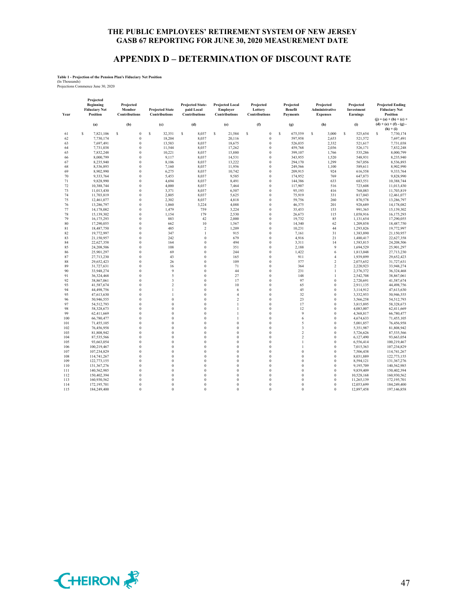## **APPENDIX D – DETERMINATION OF DISCOUNT RATE**

**Table 1 - Projection of the Pension Plan's Fiduciary Net Position**

(In Thousands) Projections Commence June 30, 2020

| Year | Projected<br>Beginning<br><b>Fiduciary Net</b><br>Position<br>(a) | Projected<br>Member<br><b>Contributions</b><br>(b) | <b>Projected State</b><br>Contributions<br>(c) | <b>Projected State-</b><br>paid Local<br>Contributions<br>(d) | <b>Projected Local</b><br>Employer<br><b>Contributions</b><br>(e) | Projected<br>Lottery<br>Contributions<br>(f) | Projected<br>Benefit<br><b>Payments</b><br>(g) | Projected<br>Administrative<br><b>Expenses</b><br>(h) | Projected<br>Investment<br>Earnings<br>(i) | <b>Projected Ending</b><br><b>Fiduciary Net</b><br><b>Position</b><br>$(j) = (a) + (b) + (c) +$<br>$(d) + (e) + (f) - (g)$ . |
|------|-------------------------------------------------------------------|----------------------------------------------------|------------------------------------------------|---------------------------------------------------------------|-------------------------------------------------------------------|----------------------------------------------|------------------------------------------------|-------------------------------------------------------|--------------------------------------------|------------------------------------------------------------------------------------------------------------------------------|
|      |                                                                   |                                                    |                                                |                                                               |                                                                   |                                              |                                                |                                                       |                                            | $(h) + (i)$                                                                                                                  |
| 61   | \$<br>7,821,106                                                   | \$<br>$\bf{0}$                                     | \$<br>32,351                                   | \$<br>8,037                                                   | \$<br>21,584                                                      | \$<br>$\theta$                               | \$<br>675,559                                  | \$<br>3,000                                           | s<br>525,654                               | s<br>7,730,174                                                                                                               |
| 62   | 7,730,174                                                         | $\theta$                                           | 18,204                                         | 8,037                                                         | 20,116                                                            | $\theta$                                     | 597,958                                        | 2,653                                                 | 521,572                                    | 7,697,491                                                                                                                    |
| 63   | 7,697,491                                                         | $\theta$                                           | 13,583                                         | 8,037                                                         | 18,675                                                            | $\mathbf{0}$                                 | 526,035                                        | 2,332                                                 | 521,617                                    | 7,731,038                                                                                                                    |
| 64   | 7.731.038                                                         | $\bf{0}$                                           | 11,544                                         | 8.037                                                         | 17,262                                                            | $\theta$                                     | 459,768                                        | 2,036                                                 | 526,171                                    | 7,832,248                                                                                                                    |
| 65   | 7,832,248                                                         | $\bf{0}$                                           | 10,221                                         | 8,037                                                         | 15,880                                                            | $\bf{0}$                                     | 399,107                                        | 1,766                                                 | 535,286                                    | 8,000,799                                                                                                                    |
| 66   | 8,000,799                                                         | $\theta$                                           | 9,117                                          | 8,037                                                         | 14,531                                                            | $\theta$                                     | 343,955                                        | 1,520                                                 | 548,931                                    | 8,235,940                                                                                                                    |
| 67   | 8,235,940                                                         | $\theta$                                           | 8,106                                          | 8,037                                                         | 13,222                                                            | $\theta$                                     | 294,170                                        | 1,299                                                 | 567,056                                    | 8,536,893                                                                                                                    |
| 68   | 8,536,893                                                         | $\theta$                                           | 7,160                                          | 8,037                                                         | 11,956                                                            | $\theta$                                     | 249,566                                        | 1,100                                                 | 589,611                                    | 8,902,990                                                                                                                    |
| 69   | 8,902,990                                                         | $\theta$                                           | 6.275                                          | 8,037                                                         | 10,742                                                            | $\theta$                                     | 209,915                                        | 924                                                   | 616,558                                    | 9,333,764                                                                                                                    |
| 70   | 9,333,764                                                         | $\theta$                                           | 5,453                                          | 8,037                                                         | 9,585                                                             | $\mathbf{0}$                                 | 174,952                                        | 769                                                   | 647,873                                    | 9,828,990                                                                                                                    |
| 71   | 9,828,990                                                         | $\theta$                                           | 4,694                                          | 8,037                                                         | 8,491                                                             | $\theta$                                     | 144,386                                        | 633                                                   | 683,551                                    | 10,388,744                                                                                                                   |
| 72   | 10,388,744                                                        | $\theta$                                           | 4,000                                          | 8,037                                                         | 7,464                                                             | $\theta$                                     | 117,907                                        | 516                                                   | 723,608                                    | 11,013,430                                                                                                                   |
| 73   | 11,013,430                                                        | $\theta$                                           | 3,371                                          | 8,037                                                         | 6,507                                                             | $\theta$                                     | 95,193                                         | 416                                                   | 768,083                                    | 11,703,819                                                                                                                   |
| 74   | 11,703,819                                                        | $\bf{0}$                                           | 2,805                                          | 8,037                                                         | 5,625                                                             | $\overline{0}$                               | 75,919                                         | 331                                                   | 817,043                                    | 12,461,077                                                                                                                   |
| 75   | 12,461,077                                                        | $\theta$                                           | 2,302                                          | 8,037                                                         | 4,818                                                             | $\theta$                                     | 59,756                                         | 260                                                   | 870,578                                    | 13,286,797                                                                                                                   |
| 76   | 13,286,797                                                        | $\theta$                                           | 1,860                                          | 3,224                                                         | 4,088                                                             | $\theta$                                     | 46,375                                         | 201                                                   | 928,689                                    | 14,178,082                                                                                                                   |
| 77   | 14,178,082                                                        | $\theta$                                           | 1.479                                          | 759                                                           | 3,224                                                             | $\theta$                                     | 35,453                                         | 153                                                   | 991,365                                    | 15,139,302                                                                                                                   |
| 78   | 15,139,302                                                        | $\theta$                                           | 1,154                                          | 179                                                           | 2,530                                                             | $\theta$                                     | 26,673                                         | 115                                                   | 1,058,916                                  | 16,175,293                                                                                                                   |
| 79   | 16,175,293                                                        | $\bf{0}$                                           | 883                                            | 42                                                            | 2,000                                                             | $\overline{0}$                               | 19,732                                         | 85                                                    | 1,131,654                                  | 17,290,055                                                                                                                   |
| 80   | 17,290,055                                                        | $\theta$                                           | 662                                            | 10                                                            | 1,567                                                             | $\theta$                                     | 14,340                                         | 62                                                    | 1,209,858                                  | 18,487,750                                                                                                                   |
| 81   | 18,487,750                                                        | $\theta$                                           | 485                                            | $\overline{\mathcal{L}}$                                      | 1,209                                                             | $\theta$                                     | 10,231                                         | 44                                                    | 1,293,826                                  | 19,772,997                                                                                                                   |
| 82   | 19,772,997                                                        | $\theta$                                           | 347                                            | $\mathbf{1}$                                                  | 915                                                               | $\theta$                                     | 7,161                                          | 31                                                    | 1,383,890                                  | 21,150,957                                                                                                                   |
| 83   | 21,150,957                                                        | $\theta$                                           | 242                                            | $\mathbf{0}$                                                  | 679                                                               | $\theta$                                     | 4,916                                          | 21                                                    | 1,480,417                                  | 22,627,358                                                                                                                   |
| 84   | 22,627,358                                                        | $\theta$                                           | 164                                            | $\theta$                                                      | 494                                                               | $\theta$                                     | 3,311                                          | 14                                                    | 1,583,815                                  | 24,208,506                                                                                                                   |
| 85   | 24,208,506                                                        | $\theta$                                           | 108                                            | $\theta$                                                      | 351                                                               | $\theta$                                     | 2,188                                          | 9                                                     | 1,694,529                                  | 25,901,297                                                                                                                   |
| 86   | 25,901,297                                                        | $\theta$                                           | 69                                             | $\theta$                                                      | 244                                                               | $\theta$                                     | 1,422                                          | 6                                                     | 1,813,048                                  | 27,713,230                                                                                                                   |
| 87   | 27,713,230                                                        | $\theta$                                           | 43                                             | $\theta$                                                      | 165                                                               | $\theta$                                     | 911                                            | $\overline{4}$                                        | 1,939,899                                  | 29,652,423                                                                                                                   |
| 88   | 29,652,423                                                        | $\theta$                                           | 26                                             | $\theta$                                                      | 109                                                               | $\theta$                                     | 577                                            | $\boldsymbol{2}$                                      | 2,075,652                                  | 31,727,631                                                                                                                   |
| 89   | 31,727,631                                                        | $\theta$                                           | 16                                             | $\theta$                                                      | 71                                                                | $\theta$                                     | 364                                            | $\mathfrak 2$                                         | 2,220,923                                  | 33,948,274                                                                                                                   |
| 90   | 33,948,274                                                        | $\theta$                                           | 9                                              | $\theta$                                                      | 44                                                                | $\theta$                                     | 231                                            | 1                                                     | 2,376,372                                  | 36,324,468                                                                                                                   |
| 91   | 36,324,468                                                        | $\bf{0}$                                           | 5                                              | $\mathbf{0}$                                                  | 27                                                                | $\overline{0}$                               | 148                                            | 1                                                     | 2,542,708                                  | 38,867,061                                                                                                                   |
| 92   | 38,867,061                                                        | $\theta$                                           | 3                                              | $\theta$                                                      | 17                                                                | $\theta$                                     | 97                                             | $\theta$                                              | 2,720,691                                  | 41,587,674                                                                                                                   |
| 93   | 41,587,674                                                        | $\theta$                                           | $\sqrt{2}$                                     | $\theta$                                                      | 10                                                                | $\theta$                                     | 65                                             | $\theta$                                              | 2,911,135                                  | 44,498,756                                                                                                                   |
| 94   | 44,498,756                                                        | $\Omega$                                           | $\mathbf{I}$                                   | $\theta$                                                      | 6                                                                 | $\theta$                                     | 45                                             | $\theta$                                              | 3,114,912                                  | 47,613,630                                                                                                                   |
| 95   | 47,613,630                                                        | $\theta$                                           | $\mathbf{I}$                                   | $\theta$                                                      | $\overline{4}$                                                    | $\theta$                                     | 32                                             | $\theta$                                              | 3,332,953                                  | 50,946,555                                                                                                                   |
| 96   | 50,946,555                                                        | $\theta$                                           | $\bf{0}$                                       | $\theta$                                                      | $\overline{\mathcal{L}}$                                          | $\theta$                                     | 23                                             | $\theta$                                              | 3,566,258                                  | 54,512,793                                                                                                                   |
| 97   | 54,512,793                                                        | $\theta$                                           | $\theta$                                       | $\theta$                                                      | $\mathbf{1}$                                                      | $\theta$                                     | 17                                             | $\theta$                                              | 3,815,895                                  | 58,328,673                                                                                                                   |
| 98   | 58,328,673                                                        | $\theta$                                           | $\theta$                                       | $\theta$                                                      | $\mathbf{1}$                                                      | $\theta$                                     | 12                                             | $\mathbf{0}$                                          | 4,083,007                                  | 62,411,669                                                                                                                   |
| 99   | 62,411,669                                                        | $\theta$                                           | $\theta$                                       | $\theta$                                                      | $\mathbf{1}$                                                      | $\theta$                                     | $\overline{9}$                                 | $\theta$                                              | 4,368,817                                  | 66,780,477                                                                                                                   |
| 100  | 66,780,477                                                        | $\theta$                                           | $\theta$                                       | $\theta$                                                      | $\mathbf{1}$                                                      | $\theta$                                     | 6                                              | $\theta$                                              | 4,674,633                                  | 71,455,105                                                                                                                   |
| 101  | 71,455,105                                                        | $\theta$                                           | $\theta$                                       | $\theta$                                                      | $\theta$                                                          | $\theta$                                     | $\overline{\phantom{0}}$                       | $\theta$                                              | 5,001,857                                  | 76,456,958                                                                                                                   |
| 102  | 76,456,958                                                        | $\theta$                                           | $\theta$                                       | $\theta$                                                      | $\theta$                                                          | $\theta$                                     | $\overline{\mathbf{3}}$                        | $\theta$                                              | 5,351,987                                  | 81,808,942                                                                                                                   |
| 103  | 81,808,942                                                        | $\theta$                                           | $\theta$                                       | $\theta$                                                      | $\theta$                                                          | $\theta$                                     | $\overline{2}$                                 | $\theta$                                              | 5,726,626                                  | 87,535,566                                                                                                                   |
| 104  | 87,535,566                                                        | $\theta$                                           | $\theta$                                       | $\theta$                                                      | $\theta$                                                          | $\theta$                                     | $\overline{2}$                                 | $\theta$                                              | 6,127,490                                  | 93,663,054                                                                                                                   |
| 105  | 93.663.054                                                        | $\theta$                                           | $\overline{0}$                                 | $\overline{0}$                                                | $\overline{0}$                                                    | $\overline{0}$                               | $\mathbf{I}$                                   | $\overline{0}$                                        | 6,556,414                                  | 100,219,467                                                                                                                  |
| 106  | 100,219,467                                                       | $\Omega$                                           | $\theta$                                       | $\Omega$                                                      | $\theta$                                                          | $\Omega$                                     | $\mathbf{1}$                                   | $\theta$                                              | 7,015,363                                  | 107,234,829                                                                                                                  |
| 107  | 107,234,829                                                       | $\theta$                                           | $\theta$                                       | $\theta$                                                      | $\theta$                                                          | $\theta$                                     | $\theta$                                       | $\theta$                                              | 7,506,438                                  | 114,741,267                                                                                                                  |
| 108  | 114,741,267                                                       | $\theta$                                           | $\Omega$                                       | $\theta$                                                      | $\theta$                                                          | $\theta$                                     | $\Omega$                                       | $\theta$                                              | 8,031,889                                  | 122,773,155                                                                                                                  |
| 109  | 122,773,155                                                       | $\theta$                                           | $\bf{0}$                                       | $\theta$                                                      | $\mathbf{0}$                                                      | $\theta$                                     | $\theta$                                       | $\mathbf{0}$                                          | 8,594,121                                  | 131,367,276                                                                                                                  |
| 110  | 131,367,276                                                       | $\theta$                                           | $\theta$                                       | $\theta$                                                      | $\theta$                                                          | $\theta$                                     | $\theta$                                       | $\theta$                                              | 9,195,709                                  | 140,562,985                                                                                                                  |
| 111  | 140,562,985                                                       | $\Omega$                                           | $\Omega$                                       | $\theta$                                                      | $\theta$                                                          | $\theta$                                     | $\theta$                                       | $\theta$                                              | 9,839,409                                  | 150,402,394                                                                                                                  |
| 112  | 150,402,394                                                       | $\theta$                                           | $\theta$                                       | $\theta$                                                      | $\theta$                                                          | $\theta$                                     | $\theta$                                       | $\theta$                                              | 10,528,168                                 | 160,930,562                                                                                                                  |
| 113  | 160,930,562                                                       | $\theta$                                           | $\theta$                                       | $\theta$                                                      | $\theta$                                                          | $\theta$                                     | $\theta$                                       | $\theta$                                              | 11,265,139                                 | 172,195,701                                                                                                                  |
| 114  | 172,195,701                                                       | $\theta$                                           | $\theta$                                       | $\theta$                                                      | $\theta$                                                          | $\theta$                                     | $\theta$                                       | $\theta$                                              | 12,053,699                                 | 184,249,400                                                                                                                  |
| 115  | 184,249,400                                                       | $\Omega$                                           | $\Omega$                                       | $\theta$                                                      | $\Omega$                                                          | $\theta$                                     | $\Omega$                                       | $\Omega$                                              | 12,897,458                                 | 197,146,858                                                                                                                  |

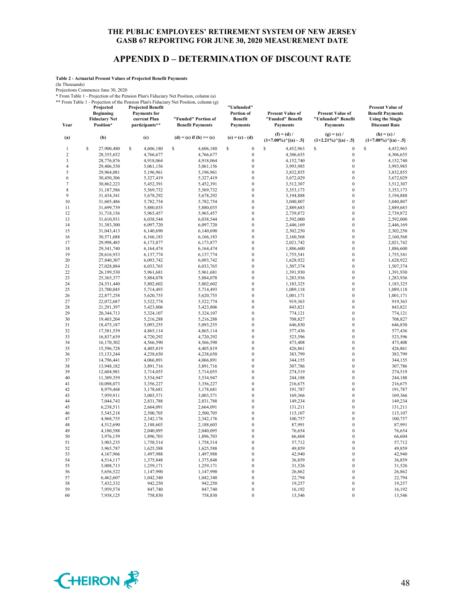# **APPENDIX D – DETERMINATION OF DISCOUNT RATE**

**Table 2 - Actuarial Present Values of Projected Benefit Payments**

(In Thousands)

Projections Commence June 30, 2020

\* From Table 1 - Projection of the Pension Plan's Fiduciary Net Position, column (a)

\*\* From Table 1 - Projection of the Pension Plan's Fiduciary Net Position, column (g) **Projected Projected Benefit** 

| Year                    | Projected<br><b>Beginning</b><br><b>Fiduciary Net</b><br>Position* | <b>Projected Benefit</b><br><b>Payments</b> for<br>current Plan<br>participants** | TTOIN TAULE I - I TOJECHUN UT HIE I ENSION I RAH ST RUUCIAI V TVEI I OSHION, CORNINI (E)<br>"Funded" Portion of<br><b>Benefit Payments</b> | "Unfunded"<br>Portion of<br><b>Benefit</b><br><b>Payments</b> | <b>Present Value of</b><br>"Funded" Benefit<br><b>Payments</b> | Present Value of<br>"Unfunded" Benefit<br><b>Payments</b> | <b>Present Value of</b><br><b>Benefit Payments</b><br><b>Using the Single</b><br><b>Discount Rate</b> |
|-------------------------|--------------------------------------------------------------------|-----------------------------------------------------------------------------------|--------------------------------------------------------------------------------------------------------------------------------------------|---------------------------------------------------------------|----------------------------------------------------------------|-----------------------------------------------------------|-------------------------------------------------------------------------------------------------------|
| (a)                     | (b)                                                                | (c)                                                                               | $(d) = (c)$ if $(b) >= (c)$                                                                                                                | $(e) = (c) - (d)$                                             | $(f) = (d) /$<br>$(1+7.00\%)$ <sup>^</sup> [(a) - .5]          | $(g) = (e) /$<br>$(1+2.21\%)$ <sup>^</sup> [(a) - .5]     | $(h) = (c) /$<br>$(1+7.00\%)$ <sup>^</sup> [(a) - .5]                                                 |
| $\mathbf{1}$            | \$<br>27,900,480                                                   | \$<br>4,606,180                                                                   | S<br>4,606,180                                                                                                                             | $\boldsymbol{0}$<br>s                                         | S<br>4,452,963                                                 | S<br>$\overline{0}$                                       | \$<br>4,452,963                                                                                       |
| $\boldsymbol{2}$        | 28,355,652                                                         | 4,766,677                                                                         | 4,766,677                                                                                                                                  | $\boldsymbol{0}$                                              | 4,306,655                                                      | $\mathbf{0}$                                              | 4,306,655                                                                                             |
| $\overline{\mathbf{3}}$ | 28,776,876                                                         | 4,918,064                                                                         | 4,918,064                                                                                                                                  | $\boldsymbol{0}$                                              | 4,152,740                                                      | $\mathbf{0}$                                              | 4,152,740                                                                                             |
| $\overline{4}$          | 29,406,530                                                         | 5,061,156                                                                         | 5,061,156                                                                                                                                  | $\boldsymbol{0}$                                              | 3,993,985                                                      | $\boldsymbol{0}$                                          | 3,993,985                                                                                             |
| 5                       | 29,964,081                                                         | 5,196,961                                                                         | 5,196,961                                                                                                                                  | $\boldsymbol{0}$                                              | 3,832,855                                                      | $\overline{0}$                                            | 3,832,855                                                                                             |
| 6                       | 30,450,306                                                         | 5,327,419                                                                         | 5,327,419                                                                                                                                  | $\boldsymbol{0}$                                              | 3,672,029                                                      | $\overline{0}$                                            | 3,672,029                                                                                             |
| 7                       | 30,862,223                                                         | 5,452,391                                                                         | 5,452,391                                                                                                                                  | $\boldsymbol{0}$                                              | 3,512,307                                                      | $\theta$                                                  | 3,512,307                                                                                             |
| 8                       | 31,187,586                                                         | 5,569,732                                                                         | 5,569,732                                                                                                                                  | $\boldsymbol{0}$                                              | 3,353,173                                                      | $\overline{0}$                                            | 3,353,173                                                                                             |
| 9                       | 31,434,341                                                         | 5,678,292                                                                         | 5,678,292                                                                                                                                  | $\boldsymbol{0}$                                              | 3,194,888                                                      | $\overline{0}$                                            | 3,194,888                                                                                             |
| 10                      | 31,605,486                                                         | 5,782,754                                                                         | 5,782,754                                                                                                                                  | $\boldsymbol{0}$                                              | 3,040,807                                                      | $\overline{0}$                                            | 3,040,807                                                                                             |
| 11                      | 31,699,739                                                         | 5,880,035                                                                         | 5,880,035                                                                                                                                  | $\boldsymbol{0}$                                              | 2,889,683                                                      | $\overline{0}$                                            | 2,889,683                                                                                             |
| 12<br>13                | 31,718,156                                                         | 5,965,457                                                                         | 5,965,457                                                                                                                                  | $\boldsymbol{0}$<br>$\boldsymbol{0}$                          | 2,739,872                                                      | $\boldsymbol{0}$<br>$\overline{0}$                        | 2,739,872                                                                                             |
| 14                      | 31,610,931<br>31,383,300                                           | 6,038,544<br>6,097,720                                                            | 6,038,544<br>6,097,720                                                                                                                     | $\boldsymbol{0}$                                              | 2,592,000<br>2,446,169                                         | $\overline{0}$                                            | 2,592,000<br>2,446,169                                                                                |
| 15                      | 31,043,413                                                         | 6,140,690                                                                         | 6,140,690                                                                                                                                  | $\boldsymbol{0}$                                              | 2,302,250                                                      | $\overline{0}$                                            | 2,302,250                                                                                             |
| 16                      | 30,571,688                                                         | 6,166,183                                                                         | 6,166,183                                                                                                                                  | $\mathbf{0}$                                                  | 2,160,568                                                      | $\mathbf{0}$                                              | 2,160,568                                                                                             |
| 17                      | 29,998,485                                                         | 6,173,877                                                                         | 6,173,877                                                                                                                                  | $\boldsymbol{0}$                                              | 2,021,742                                                      | $\overline{0}$                                            | 2,021,742                                                                                             |
| 18                      | 29,341,740                                                         | 6,164,474                                                                         | 6,164,474                                                                                                                                  | $\mathbf{0}$                                                  | 1,886,600                                                      | $\overline{0}$                                            | 1,886,600                                                                                             |
| 19                      | 28,616,933                                                         | 6,137,774                                                                         | 6,137,774                                                                                                                                  | $\boldsymbol{0}$                                              | 1,755,541                                                      | $\overline{0}$                                            | 1,755,541                                                                                             |
| 20                      | 27,840,307                                                         | 6,093,742                                                                         | 6,093,742                                                                                                                                  | $\boldsymbol{0}$                                              | 1,628,922                                                      | $\boldsymbol{0}$                                          | 1,628,922                                                                                             |
| 21                      | 27,028,884                                                         | 6,033,765                                                                         | 6,033,765                                                                                                                                  | $\boldsymbol{0}$                                              | 1,507,374                                                      | $\overline{0}$                                            | 1,507,374                                                                                             |
| 22                      | 26,199,530                                                         | 5,961,681                                                                         | 5,961,681                                                                                                                                  | $\boldsymbol{0}$                                              | 1,391,930                                                      | $\boldsymbol{0}$                                          | 1,391,930                                                                                             |
| 23                      | 25,365,377                                                         | 5,884,078                                                                         | 5,884,078                                                                                                                                  | $\mathbf{0}$                                                  | 1,283,936                                                      | $\mathbf{0}$                                              | 1,283,936                                                                                             |
| 24                      | 24,531,440                                                         | 5,802,602                                                                         | 5,802,602                                                                                                                                  | $\mathbf{0}$                                                  | 1,183,325                                                      | $\overline{0}$                                            | 1,183,325                                                                                             |
| 25                      | 23,700,045                                                         | 5,714,493                                                                         | 5,714,493                                                                                                                                  | $\mathbf{0}$                                                  | 1,089,118                                                      | $\overline{0}$                                            | 1,089,118                                                                                             |
| 26                      | 22,877,258                                                         | 5,620,755                                                                         | 5,620,755                                                                                                                                  | $\boldsymbol{0}$                                              | 1,001,171                                                      | $\overline{0}$                                            | 1,001,171                                                                                             |
| 27                      | 22,072,687                                                         | 5,522,774                                                                         | 5,522,774                                                                                                                                  | $\boldsymbol{0}$                                              | 919,363                                                        | $\boldsymbol{0}$                                          | 919,363                                                                                               |
| 28                      | 21,291,397                                                         | 5,423,806                                                                         | 5,423,806                                                                                                                                  | $\boldsymbol{0}$                                              | 843,821                                                        | $\overline{0}$                                            | 843,821                                                                                               |
| 29                      | 20,344,713                                                         | 5,324,107                                                                         | 5,324,107                                                                                                                                  | $\mathbf{0}$<br>$\boldsymbol{0}$                              | 774,121                                                        | $\overline{0}$<br>$\overline{0}$                          | 774,121                                                                                               |
| 30<br>31                | 19,403,204<br>18,475,187                                           | 5,216,288<br>5,093,255                                                            | 5,216,288<br>5,093,255                                                                                                                     | $\boldsymbol{0}$                                              | 708,827<br>646,830                                             | $\overline{0}$                                            | 708,827<br>646,830                                                                                    |
| 32                      | 17,581,539                                                         | 4,865,114                                                                         | 4,865,114                                                                                                                                  | $\boldsymbol{0}$                                              | 577,436                                                        | $\boldsymbol{0}$                                          | 577,436                                                                                               |
| 33                      | 16,837,639                                                         | 4,720,292                                                                         | 4,720,292                                                                                                                                  | $\mathbf{0}$                                                  | 523,596                                                        | $\overline{0}$                                            | 523,596                                                                                               |
| 34                      | 16,170,302                                                         | 4,566,590                                                                         | 4,566,590                                                                                                                                  | $\mathbf{0}$                                                  | 473,408                                                        | $\overline{0}$                                            | 473,408                                                                                               |
| 35                      | 15,596,728                                                         | 4,405,819                                                                         | 4,405,819                                                                                                                                  | $\boldsymbol{0}$                                              | 426,861                                                        | $\overline{0}$                                            | 426,861                                                                                               |
| 36                      | 15,133,244                                                         | 4,238,650                                                                         | 4,238,650                                                                                                                                  | $\boldsymbol{0}$                                              | 383,799                                                        | $\overline{0}$                                            | 383,799                                                                                               |
| 37                      | 14,796,441                                                         | 4,066,891                                                                         | 4,066,891                                                                                                                                  | $\boldsymbol{0}$                                              | 344,155                                                        | $\overline{0}$                                            | 344,155                                                                                               |
| 38                      | 13,948,182                                                         | 3,891,716                                                                         | 3,891,716                                                                                                                                  | $\mathbf{0}$                                                  | 307,786                                                        | $\mathbf{0}$                                              | 307,786                                                                                               |
| 39                      | 12,604,981                                                         | 3,714,055                                                                         | 3,714,055                                                                                                                                  | $\mathbf 0$                                                   | 274,519                                                        | $\overline{0}$                                            | 274,519                                                                                               |
| 40                      | 11,309,359                                                         | 3,534,947                                                                         | 3,534,947                                                                                                                                  | $\boldsymbol{0}$                                              | 244,188                                                        | $\overline{0}$                                            | 244,188                                                                                               |
| 41                      | 10,098,073                                                         | 3,356,227                                                                         | 3,356,227                                                                                                                                  | $\boldsymbol{0}$                                              | 216,675                                                        | $\overline{0}$                                            | 216,675                                                                                               |
| 42                      | 8,979,468                                                          | 3,178,681                                                                         | 3,178,681                                                                                                                                  | $\boldsymbol{0}$                                              | 191,787                                                        | $\boldsymbol{0}$                                          | 191,787                                                                                               |
| 43                      | 7,959,911                                                          | 3,003,571                                                                         | 3,003,571                                                                                                                                  | $\mathbf{0}$                                                  | 169,366                                                        | $\mathbf{0}$                                              | 169,366                                                                                               |
| 44                      | 7,044,743                                                          | 2,831,788                                                                         | 2,831,788                                                                                                                                  | $\mathbf{0}$                                                  | 149,234                                                        | $\overline{0}$                                            | 149,234                                                                                               |
| 45                      | 6,238,511                                                          | 2,664,091                                                                         | 2,664,091                                                                                                                                  | $\mathbf{0}$                                                  | 131,211                                                        | $\overline{0}$                                            | 131,211                                                                                               |
| 46                      | 5,545,218                                                          | 2,500,705                                                                         | 2,500,705                                                                                                                                  | $\boldsymbol{0}$                                              | 115,107                                                        | $\overline{0}$<br>$\theta$                                | 115,107                                                                                               |
| 47                      | 4,968,755                                                          | 2,342,176                                                                         | 2,342,176                                                                                                                                  | $\boldsymbol{0}$<br>$\boldsymbol{0}$                          | 100,757                                                        | $\overline{0}$                                            | 100,757<br>87,991                                                                                     |
| 48<br>49                | 4,512,690<br>4,180,588                                             | 2,188,603<br>2,040,095                                                            | 2,188,603<br>2,040,095                                                                                                                     | $\mathbf{0}$                                                  | 87,991<br>76,654                                               | $\overline{0}$                                            | 76,654                                                                                                |
| 50                      | 3,976,159                                                          | 1,896,703                                                                         | 1,896,703                                                                                                                                  | $\boldsymbol{0}$                                              | 66,604                                                         | $\overline{0}$                                            | 66,604                                                                                                |
| 51                      | 3,903,235                                                          | 1,758,514                                                                         | 1,758,514                                                                                                                                  | $\boldsymbol{0}$                                              | 57,712                                                         | $\overline{0}$                                            | 57,712                                                                                                |
| 52                      | 3,965,787                                                          | 1,625,588                                                                         | 1,625,588                                                                                                                                  | $\boldsymbol{0}$                                              | 49,859                                                         | $\boldsymbol{0}$                                          | 49,859                                                                                                |
| 53                      | 4,167,966                                                          | 1,497,988                                                                         | 1,497,988                                                                                                                                  | $\mathbf{0}$                                                  | 42,940                                                         | $\overline{0}$                                            | 42,940                                                                                                |
| 54                      | 4,514,117                                                          | 1,375,848                                                                         | 1,375,848                                                                                                                                  | $\mathbf{0}$                                                  | 36,859                                                         | $\overline{0}$                                            | 36,859                                                                                                |
| 55                      | 5,008,713                                                          | 1,259,171                                                                         | 1,259,171                                                                                                                                  | $\boldsymbol{0}$                                              | 31,526                                                         | $\overline{0}$                                            | 31,526                                                                                                |
| 56                      | 5,656,522                                                          | 1,147,990                                                                         | 1,147,990                                                                                                                                  | $\mathbf{0}$                                                  | 26,862                                                         | $\overline{0}$                                            | 26,862                                                                                                |
| 57                      | 6,462,607                                                          | 1,042,340                                                                         | 1,042,340                                                                                                                                  | $\boldsymbol{0}$                                              | 22,794                                                         | $\overline{0}$                                            | 22,794                                                                                                |
| 58                      | 7,432,332                                                          | 942,250                                                                           | 942,250                                                                                                                                    | $\boldsymbol{0}$                                              | 19,257                                                         | $\boldsymbol{0}$                                          | 19,257                                                                                                |
| 59                      | 7,959,574                                                          | 847,740                                                                           | 847,740                                                                                                                                    | $\boldsymbol{0}$                                              | 16,192                                                         | $\mathbf{0}$                                              | 16,192                                                                                                |
| 60                      | 7,938,125                                                          | 758,830                                                                           | 758,830                                                                                                                                    | $\mathbf{0}$                                                  | 13,546                                                         | $\mathbf{0}$                                              | 13,546                                                                                                |

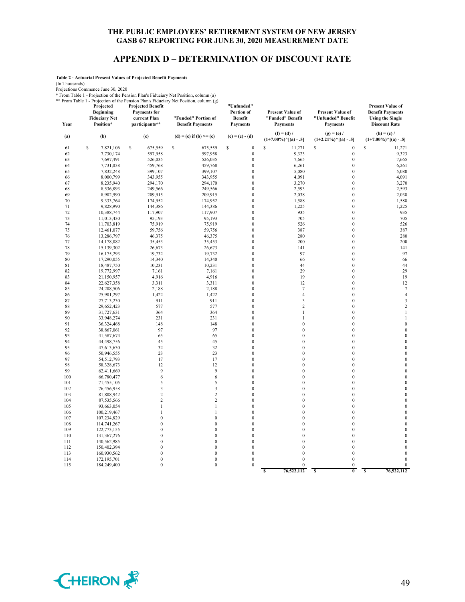## **APPENDIX D – DETERMINATION OF DISCOUNT RATE**

**Table 2 - Actuarial Present Values of Projected Benefit Payments**

(In Thousands)

Projections Commence June 30, 2020<br>
\* From Table 1 - Projection of the Pension Plan's Fiduciary Net Position, column (a)<br>
\*\* From Table 1 - Projection of the Pension Plan's Fiduciary Net Position, column (g)<br> **Projected Pr** 

| Year     | Projected<br><b>Beginning</b><br><b>Fiduciary Net</b><br>Position* | <b>Projected Benefit</b><br><b>Payments</b> for<br>current Plan<br>participants** | From Table 1 - Frojection of the Fension Flan's Figuerary Net Fosition, column (g)<br>"Funded" Portion of<br><b>Benefit Payments</b> | "Unfunded"<br>Portion of<br><b>Benefit</b><br><b>Payments</b> | Present Value of<br>"Funded" Benefit<br><b>Payments</b> | Present Value of<br>"Unfunded" Benefit<br><b>Payments</b> | Present Value of<br><b>Benefit Payments</b><br><b>Using the Single</b><br><b>Discount Rate</b> |
|----------|--------------------------------------------------------------------|-----------------------------------------------------------------------------------|--------------------------------------------------------------------------------------------------------------------------------------|---------------------------------------------------------------|---------------------------------------------------------|-----------------------------------------------------------|------------------------------------------------------------------------------------------------|
| (a)      | (b)                                                                | (c)                                                                               | $(d) = (c)$ if $(b) >= (c)$                                                                                                          | $(e) = (c) - (d)$                                             | $(f) = (d) /$<br>$(1+7.00\%)^{\wedge}[(a) - .5]$        | $(g) = (e) /$<br>$(1+2.21\%)$ <sup>^</sup> [(a) - .5]     | $(h) = (c) /$<br>$(1+7.00\%)$ <sup>^</sup> [(a) - .5]                                          |
| 61       | \$<br>7,821,106                                                    | \$<br>675,559                                                                     | \$<br>675,559                                                                                                                        | $\boldsymbol{0}$<br>\$                                        | S<br>11,271                                             | \$<br>$\boldsymbol{0}$                                    | \$<br>11,271                                                                                   |
| 62       | 7,730,174                                                          | 597,958                                                                           | 597,958                                                                                                                              | $\boldsymbol{0}$                                              | 9,323                                                   | $\boldsymbol{0}$                                          | 9,323                                                                                          |
| 63       | 7,697,491                                                          | 526,035                                                                           | 526,035                                                                                                                              | $\mathbf{0}$                                                  | 7,665                                                   | $\boldsymbol{0}$                                          | 7,665                                                                                          |
| 64       | 7,731,038                                                          | 459,768                                                                           | 459,768                                                                                                                              | $\mathbf{0}$                                                  | 6,261                                                   | $\boldsymbol{0}$                                          | 6,261                                                                                          |
| 65       | 7,832,248                                                          | 399,107                                                                           | 399,107                                                                                                                              | $\boldsymbol{0}$                                              | 5,080                                                   | $\boldsymbol{0}$                                          | 5,080                                                                                          |
| 66       | 8,000,799                                                          | 343,955                                                                           | 343,955                                                                                                                              | $\boldsymbol{0}$                                              | 4,091                                                   | $\boldsymbol{0}$                                          | 4,091                                                                                          |
| 67       | 8,235,940                                                          | 294,170                                                                           | 294,170                                                                                                                              | $\mathbf{0}$                                                  | 3,270                                                   | $\boldsymbol{0}$                                          | 3,270                                                                                          |
| 68       | 8,536,893                                                          | 249,566                                                                           | 249,566                                                                                                                              | $\overline{0}$                                                | 2,593                                                   | $\mathbf{0}$                                              | 2,593                                                                                          |
| 69       | 8,902,990                                                          | 209,915                                                                           | 209,915                                                                                                                              | $\boldsymbol{0}$                                              | 2,038                                                   | $\boldsymbol{0}$                                          | 2,038                                                                                          |
| 70       | 9,333,764                                                          | 174,952                                                                           | 174,952                                                                                                                              | $\mathbf{0}$                                                  | 1,588                                                   | $\boldsymbol{0}$                                          | 1,588                                                                                          |
| 71       | 9,828,990                                                          | 144,386                                                                           | 144,386                                                                                                                              | $\overline{0}$                                                | 1,225                                                   | $\boldsymbol{0}$                                          | 1,225                                                                                          |
| 72       | 10,388,744                                                         | 117,907                                                                           | 117,907                                                                                                                              | $\mathbf{0}$                                                  | 935                                                     | $\boldsymbol{0}$                                          | 935                                                                                            |
| 73       | 11,013,430                                                         | 95,193                                                                            | 95,193                                                                                                                               | $\mathbf{0}$                                                  | 705                                                     | $\mathbf{0}$                                              | 705                                                                                            |
| 74       | 11,703,819                                                         | 75,919                                                                            | 75,919                                                                                                                               | $\overline{0}$                                                | 526                                                     | $\boldsymbol{0}$                                          | 526                                                                                            |
| 75       | 12,461,077                                                         | 59,756                                                                            | 59,756                                                                                                                               | $\boldsymbol{0}$                                              | 387                                                     | $\boldsymbol{0}$                                          | 387                                                                                            |
| 76       | 13,286,797                                                         | 46,375                                                                            | 46,375                                                                                                                               | $\boldsymbol{0}$                                              | 280                                                     | $\boldsymbol{0}$                                          | 280                                                                                            |
| 77       | 14,178,082                                                         | 35,453                                                                            | 35,453                                                                                                                               | $\mathbf{0}$                                                  | 200                                                     | $\boldsymbol{0}$                                          | 200                                                                                            |
| 78       | 15,139,302                                                         | 26,673                                                                            | 26,673                                                                                                                               | $\mathbf{0}$                                                  | 141                                                     | $\boldsymbol{0}$                                          | 141                                                                                            |
| 79       | 16,175,293                                                         | 19,732                                                                            | 19,732                                                                                                                               | $\mathbf{0}$                                                  | 97                                                      | $\mathbf{0}$                                              | 97                                                                                             |
| 80       | 17,290,055                                                         | 14,340                                                                            | 14,340                                                                                                                               | $\boldsymbol{0}$                                              | 66                                                      | $\boldsymbol{0}$                                          | 66                                                                                             |
| 81       | 18,487,750                                                         | 10,231                                                                            | 10,231                                                                                                                               | $\mathbf{0}$                                                  | 44                                                      | $\boldsymbol{0}$                                          | 44                                                                                             |
| 82       | 19,772,997                                                         | 7,161                                                                             | 7,161                                                                                                                                | $\boldsymbol{0}$                                              | 29                                                      | $\boldsymbol{0}$                                          | 29                                                                                             |
| 83       | 21,150,957                                                         | 4,916                                                                             | 4,916                                                                                                                                | $\mathbf{0}$                                                  | 19                                                      | $\boldsymbol{0}$                                          | 19                                                                                             |
| 84       | 22,627,358                                                         | 3,311                                                                             | 3,311                                                                                                                                | $\overline{0}$                                                | 12                                                      | $\boldsymbol{0}$                                          | 12                                                                                             |
| 85       | 24,208,506                                                         | 2,188                                                                             | 2,188                                                                                                                                | $\mathbf{0}$                                                  | $\tau$                                                  | $\boldsymbol{0}$                                          | $\tau$                                                                                         |
| 86       | 25,901,297                                                         | 1,422                                                                             | 1,422                                                                                                                                | $\boldsymbol{0}$                                              | $\overline{4}$                                          | $\boldsymbol{0}$                                          | $\overline{4}$                                                                                 |
| 87       | 27,713,230                                                         | 911<br>577                                                                        | 911                                                                                                                                  | $\boldsymbol{0}$<br>$\mathbf{0}$                              | 3<br>$\sqrt{2}$                                         | $\boldsymbol{0}$<br>$\boldsymbol{0}$                      | 3<br>$\,2$                                                                                     |
| 88<br>89 | 29,652,423                                                         | 364                                                                               | 577<br>364                                                                                                                           | $\mathbf{0}$                                                  | $\mathbf{1}$                                            | $\mathbf{0}$                                              | $\mathbf{1}$                                                                                   |
| 90       | 31,727,631<br>33,948,274                                           | 231                                                                               | 231                                                                                                                                  | $\overline{0}$                                                | 1                                                       | $\boldsymbol{0}$                                          | $\mathbf{1}$                                                                                   |
| 91       | 36,324,468                                                         | 148                                                                               | 148                                                                                                                                  | $\overline{0}$                                                | $\mathbf{0}$                                            | $\boldsymbol{0}$                                          | $\boldsymbol{0}$                                                                               |
| 92       | 38,867,061                                                         | 97                                                                                | 97                                                                                                                                   | $\boldsymbol{0}$                                              | $\boldsymbol{0}$                                        | $\boldsymbol{0}$                                          | $\boldsymbol{0}$                                                                               |
| 93       | 41,587,674                                                         | 65                                                                                | 65                                                                                                                                   | $\boldsymbol{0}$                                              | $\boldsymbol{0}$                                        | $\boldsymbol{0}$                                          | $\boldsymbol{0}$                                                                               |
| 94       | 44,498,756                                                         | 45                                                                                | 45                                                                                                                                   | $\mathbf{0}$                                                  | $\boldsymbol{0}$                                        | $\boldsymbol{0}$                                          | $\boldsymbol{0}$                                                                               |
| 95       | 47,613,630                                                         | 32                                                                                | 32                                                                                                                                   | $\mathbf{0}$                                                  | $\boldsymbol{0}$                                        | $\boldsymbol{0}$                                          | $\boldsymbol{0}$                                                                               |
| 96       | 50,946,555                                                         | 23                                                                                | 23                                                                                                                                   | $\mathbf{0}$                                                  | $\mathbf{0}$                                            | $\mathbf{0}$                                              | $\mathbf{0}$                                                                                   |
| 97       | 54,512,793                                                         | 17                                                                                | 17                                                                                                                                   | $\boldsymbol{0}$                                              | $\boldsymbol{0}$                                        | $\boldsymbol{0}$                                          | $\boldsymbol{0}$                                                                               |
| 98       | 58,328,673                                                         | 12                                                                                | 12                                                                                                                                   | $\boldsymbol{0}$                                              | $\boldsymbol{0}$                                        | $\boldsymbol{0}$                                          | $\boldsymbol{0}$                                                                               |
| 99       | 62,411,669                                                         | 9                                                                                 | 9                                                                                                                                    | $\mathbf{0}$                                                  | $\mathbf{0}$                                            | $\boldsymbol{0}$                                          | $\boldsymbol{0}$                                                                               |
| 100      | 66,780,477                                                         | 6                                                                                 | 6                                                                                                                                    | $\overline{0}$                                                | $\mathbf{0}$                                            | $\mathbf{0}$                                              | $\mathbf{0}$                                                                                   |
| 101      | 71,455,105                                                         | 5                                                                                 | 5                                                                                                                                    | $\overline{0}$                                                | $\mathbf{0}$                                            | $\boldsymbol{0}$                                          | $\boldsymbol{0}$                                                                               |
| 102      | 76,456,958                                                         | 3                                                                                 | 3                                                                                                                                    | $\mathbf{0}$                                                  | $\boldsymbol{0}$                                        | $\boldsymbol{0}$                                          | $\boldsymbol{0}$                                                                               |
| 103      | 81,808,942                                                         | $\overline{c}$                                                                    | $\overline{c}$                                                                                                                       | $\boldsymbol{0}$                                              | $\boldsymbol{0}$                                        | $\boldsymbol{0}$                                          | $\boldsymbol{0}$                                                                               |
| 104      | 87,535,566                                                         | $\overline{c}$                                                                    | $\sqrt{2}$                                                                                                                           | $\mathbf{0}$                                                  | $\boldsymbol{0}$                                        | $\boldsymbol{0}$                                          | $\boldsymbol{0}$                                                                               |
| 105      | 93,663,054                                                         | $\,$ $\,$                                                                         | $\,$ $\,$                                                                                                                            | $\mathbf{0}$                                                  | $\boldsymbol{0}$                                        | $\boldsymbol{0}$                                          | $\boldsymbol{0}$                                                                               |
| 106      | 100,219,467                                                        | 1                                                                                 | $\mathbf{1}$                                                                                                                         | $\overline{0}$                                                | $\mathbf{0}$                                            | $\mathbf{0}$                                              | $\mathbf{0}$                                                                                   |
| 107      | 107,234,829                                                        | $\mathbf{0}$                                                                      | $\boldsymbol{0}$                                                                                                                     | $\boldsymbol{0}$                                              | $\boldsymbol{0}$                                        | $\boldsymbol{0}$                                          | $\boldsymbol{0}$                                                                               |
| 108      | 114,741,267                                                        | $\boldsymbol{0}$                                                                  | $\boldsymbol{0}$                                                                                                                     | $\boldsymbol{0}$                                              | $\boldsymbol{0}$                                        | $\boldsymbol{0}$                                          | $\boldsymbol{0}$                                                                               |
| 109      | 122,773,155                                                        | $\bf{0}$                                                                          | $\boldsymbol{0}$                                                                                                                     | $\boldsymbol{0}$                                              | $\boldsymbol{0}$                                        | $\boldsymbol{0}$                                          | $\boldsymbol{0}$                                                                               |
| 110      | 131,367,276                                                        | $\mathbf{0}$                                                                      | $\boldsymbol{0}$                                                                                                                     | $\mathbf{0}$                                                  | $\boldsymbol{0}$                                        | $\boldsymbol{0}$                                          | $\boldsymbol{0}$                                                                               |
| 111      | 140,562,985                                                        | $\overline{0}$                                                                    | $\overline{0}$                                                                                                                       | $\overline{0}$                                                | $\mathbf{0}$                                            | $\boldsymbol{0}$                                          | $\mathbf{0}$                                                                                   |
| 112      | 150,402,394                                                        | $\mathbf{0}$                                                                      | $\boldsymbol{0}$                                                                                                                     | $\mathbf{0}$                                                  | $\boldsymbol{0}$                                        | $\boldsymbol{0}$                                          | $\boldsymbol{0}$                                                                               |
| 113      | 160,930,562                                                        | $\boldsymbol{0}$                                                                  | $\boldsymbol{0}$                                                                                                                     | $\overline{0}$                                                | $\mathbf{0}$                                            | $\boldsymbol{0}$                                          | $\boldsymbol{0}$                                                                               |
| 114      | 172,195,701                                                        | $\boldsymbol{0}$                                                                  | $\boldsymbol{0}$                                                                                                                     | $\mathbf{0}$                                                  | $\mathbf{0}$                                            | $\boldsymbol{0}$                                          | $\boldsymbol{0}$                                                                               |
| 115      | 184,249,400                                                        | $\mathbf{0}$                                                                      | $\boldsymbol{0}$                                                                                                                     | $\mathbf{0}$                                                  | $\mathbf{0}$                                            | $\boldsymbol{0}$                                          | $\boldsymbol{0}$                                                                               |
|          |                                                                    |                                                                                   |                                                                                                                                      |                                                               | 76,522,112<br>s                                         | S<br>$\overline{\mathbf{0}}$                              | $\overline{\mathbf{s}}$<br>76,522,112                                                          |

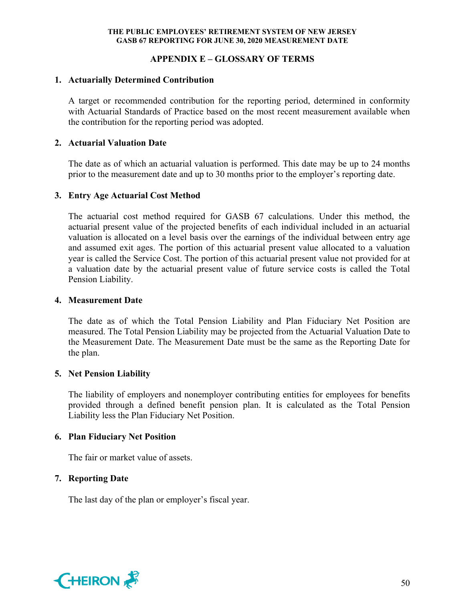# **APPENDIX E – GLOSSARY OF TERMS**

#### **1. Actuarially Determined Contribution**

A target or recommended contribution for the reporting period, determined in conformity with Actuarial Standards of Practice based on the most recent measurement available when the contribution for the reporting period was adopted.

#### **2. Actuarial Valuation Date**

The date as of which an actuarial valuation is performed. This date may be up to 24 months prior to the measurement date and up to 30 months prior to the employer's reporting date.

#### **3. Entry Age Actuarial Cost Method**

The actuarial cost method required for GASB 67 calculations. Under this method, the actuarial present value of the projected benefits of each individual included in an actuarial valuation is allocated on a level basis over the earnings of the individual between entry age and assumed exit ages. The portion of this actuarial present value allocated to a valuation year is called the Service Cost. The portion of this actuarial present value not provided for at a valuation date by the actuarial present value of future service costs is called the Total Pension Liability.

#### **4. Measurement Date**

The date as of which the Total Pension Liability and Plan Fiduciary Net Position are measured. The Total Pension Liability may be projected from the Actuarial Valuation Date to the Measurement Date. The Measurement Date must be the same as the Reporting Date for the plan.

## **5. Net Pension Liability**

The liability of employers and nonemployer contributing entities for employees for benefits provided through a defined benefit pension plan. It is calculated as the Total Pension Liability less the Plan Fiduciary Net Position.

## **6. Plan Fiduciary Net Position**

The fair or market value of assets.

## **7. Reporting Date**

The last day of the plan or employer's fiscal year.